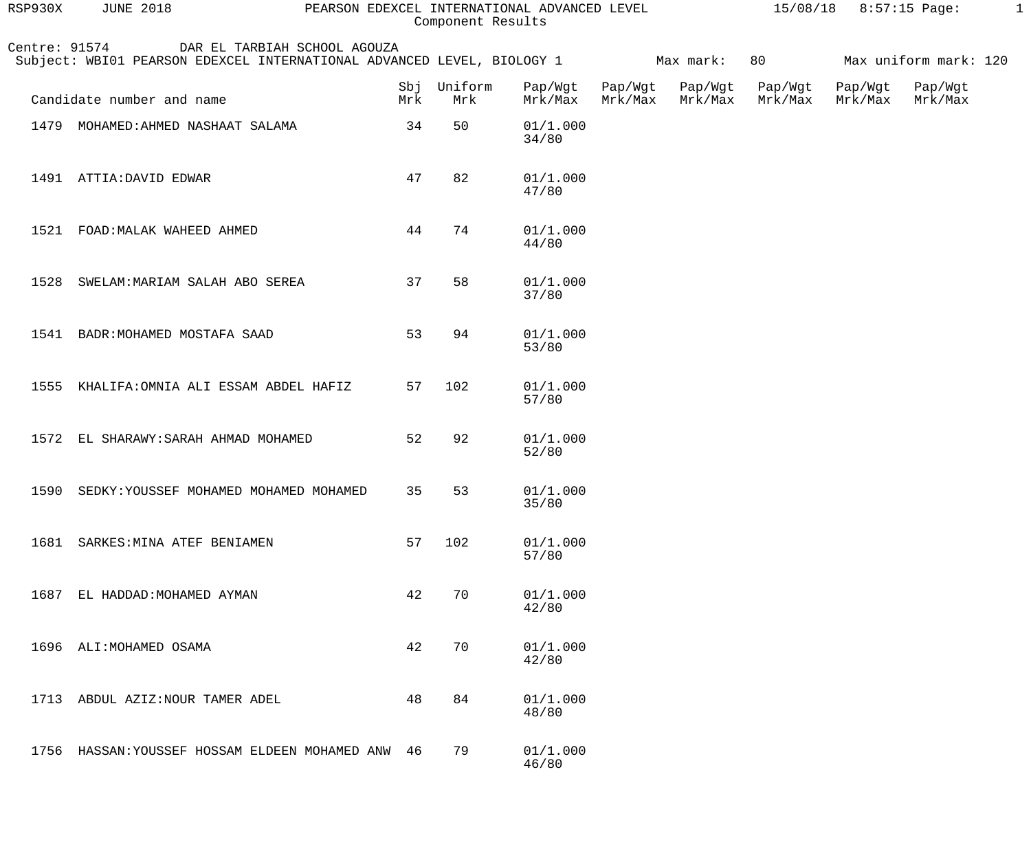| RSP930X       | <b>JUNE 2018</b>                                                                                                 |            | Component Results | PEARSON EDEXCEL INTERNATIONAL ADVANCED LEVEL |         |                            |                    | $15/08/18$ 8:57:15 Page: |                            | -1 |
|---------------|------------------------------------------------------------------------------------------------------------------|------------|-------------------|----------------------------------------------|---------|----------------------------|--------------------|--------------------------|----------------------------|----|
| Centre: 91574 | DAR EL TARBIAH SCHOOL AGOUZA<br>Subject: WBI01 PEARSON EDEXCEL INTERNATIONAL ADVANCED LEVEL, BIOLOGY 1 Max mark: |            |                   |                                              |         |                            | 80                 |                          | Max uniform mark: 120      |    |
|               | Candidate number and name                                                                                        | Sbj<br>Mrk | Uniform<br>Mrk    | Pap/Wgt<br>Mrk/Max                           | Mrk/Max | Pap/Wgt Pap/Wgt<br>Mrk/Max | Pap/Wgt<br>Mrk/Max | Mrk/Max                  | Pap/Wgt Pap/Wgt<br>Mrk/Max |    |
| 1479          | MOHAMED: AHMED NASHAAT SALAMA                                                                                    | 34         | 50                | 01/1.000<br>34/80                            |         |                            |                    |                          |                            |    |
|               | 1491 ATTIA: DAVID EDWAR                                                                                          | 47         | 82                | 01/1.000<br>47/80                            |         |                            |                    |                          |                            |    |
| 1521          | FOAD: MALAK WAHEED AHMED                                                                                         | 44         | 74                | 01/1.000<br>44/80                            |         |                            |                    |                          |                            |    |
| 1528          | SWELAM: MARIAM SALAH ABO SEREA                                                                                   | 37         | 58                | 01/1.000<br>37/80                            |         |                            |                    |                          |                            |    |
| 1541          | BADR: MOHAMED MOSTAFA SAAD                                                                                       | 53         | 94                | 01/1.000<br>53/80                            |         |                            |                    |                          |                            |    |
| 1555          | KHALIFA: OMNIA ALI ESSAM ABDEL HAFIZ                                                                             | 57         | 102               | 01/1.000<br>57/80                            |         |                            |                    |                          |                            |    |
| 1572          | EL SHARAWY: SARAH AHMAD MOHAMED                                                                                  | 52         | 92                | 01/1.000<br>52/80                            |         |                            |                    |                          |                            |    |
|               | 1590 SEDKY: YOUSSEF MOHAMED MOHAMED MOHAMED                                                                      |            | 35 53             | 01/1.000<br>35/80                            |         |                            |                    |                          |                            |    |
| 1681          | SARKES: MINA ATEF BENIAMEN                                                                                       | 57         | 102               | 01/1.000<br>57/80                            |         |                            |                    |                          |                            |    |
| 1687          | EL HADDAD: MOHAMED AYMAN                                                                                         | 42         | 70                | 01/1.000<br>42/80                            |         |                            |                    |                          |                            |    |
|               | 1696 ALI: MOHAMED OSAMA                                                                                          | 42         | 70                | 01/1.000<br>42/80                            |         |                            |                    |                          |                            |    |
| 1713          | ABDUL AZIZ: NOUR TAMER ADEL                                                                                      | 48         | 84                | 01/1.000<br>48/80                            |         |                            |                    |                          |                            |    |
| 1756          | HASSAN: YOUSSEF HOSSAM ELDEEN MOHAMED ANW 46                                                                     |            | 79                | 01/1.000<br>46/80                            |         |                            |                    |                          |                            |    |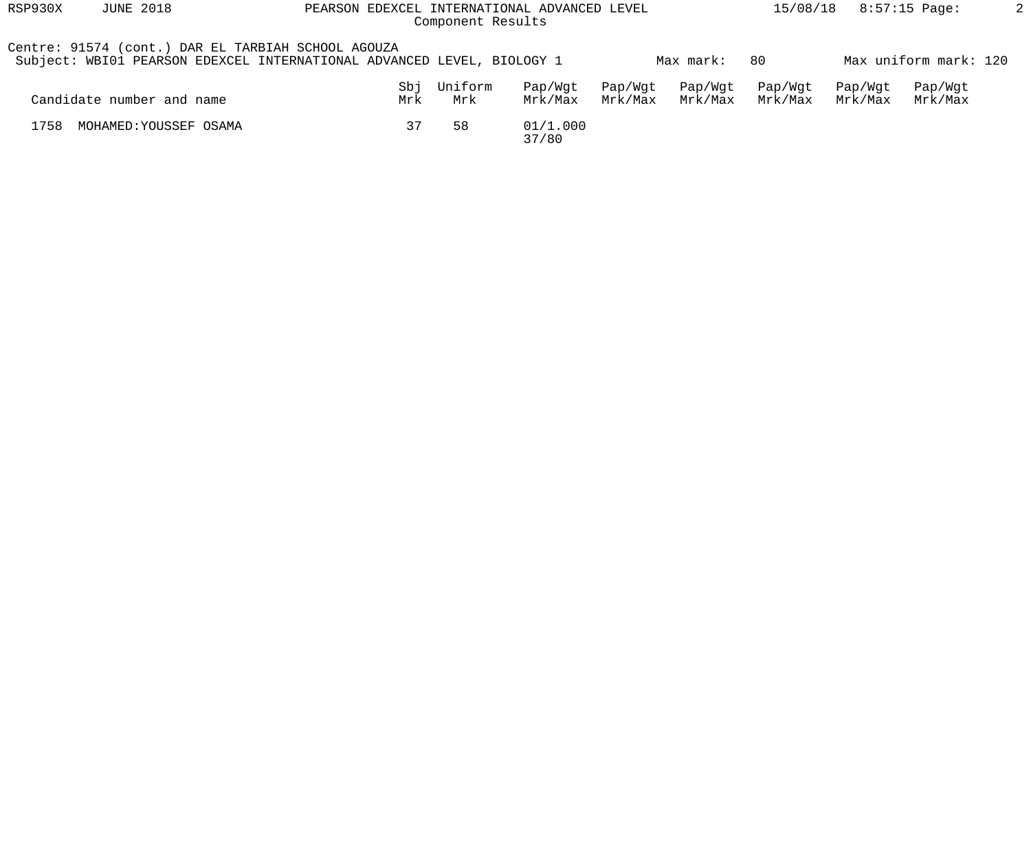| RSP930X | <b>JUNE 2018</b><br>PEARSON EDEXCEL INTERNATIONAL ADVANCED LEVEL<br>Component Results |                                                                        |                |                    |                    |                    |                    |                    | 8:57:15 Page:         |  |
|---------|---------------------------------------------------------------------------------------|------------------------------------------------------------------------|----------------|--------------------|--------------------|--------------------|--------------------|--------------------|-----------------------|--|
|         | Centre: 91574 (cont.) DAR EL TARBIAH SCHOOL AGOUZA                                    | Subject: WBI01 PEARSON EDEXCEL INTERNATIONAL ADVANCED LEVEL, BIOLOGY 1 |                |                    |                    | Max mark:          | -80                |                    | Max uniform mark: 120 |  |
|         | Candidate number and name                                                             | Sbj<br>Mrk                                                             | Uniform<br>Mrk | Pap/Wqt<br>Mrk/Max | Pap/Wgt<br>Mrk/Max | Pap/Wgt<br>Mrk/Max | Pap/Wgt<br>Mrk/Max | Pap/Wqt<br>Mrk/Max | Pap/Wgt<br>Mrk/Max    |  |
| 1758    | MOHAMED: YOUSSEF OSAMA                                                                | 37                                                                     | 58             | 01/1.000<br>37/80  |                    |                    |                    |                    |                       |  |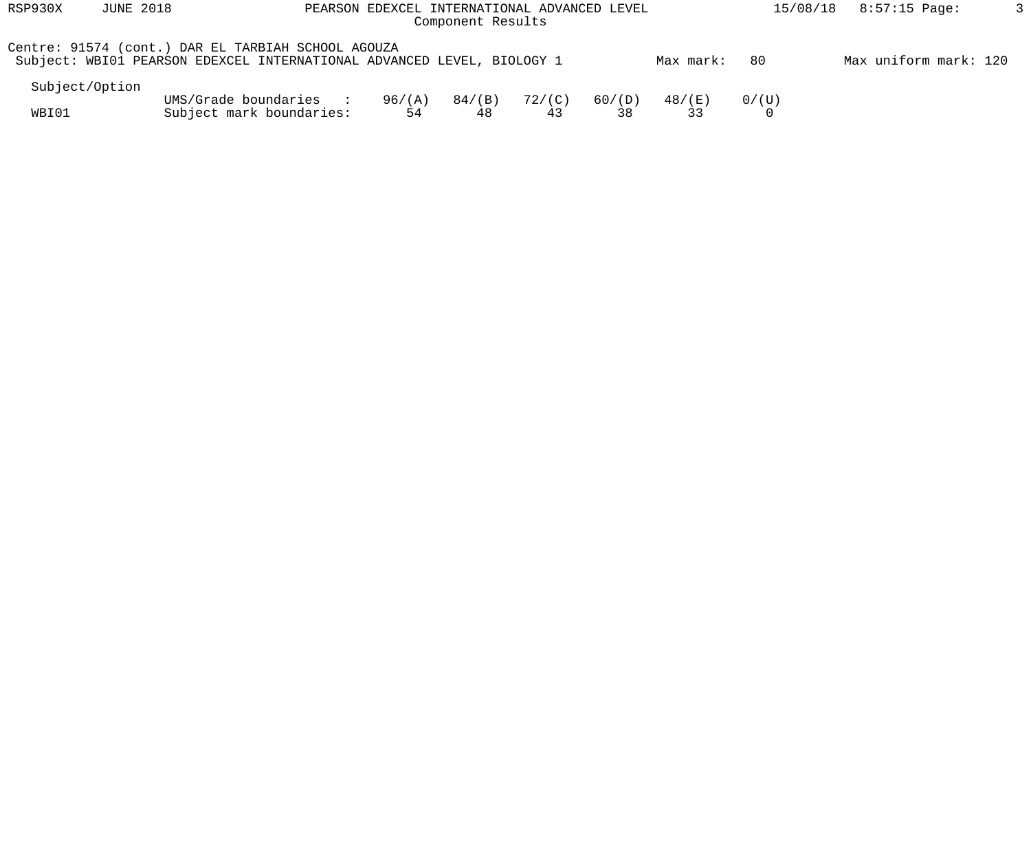| RSP930X        | <b>JUNE 2018</b><br>PEARSON EDEXCEL INTERNATIONAL ADVANCED LEVEL<br>Component Results |                                                                                                                              |              |                 |              |              |           |       | 8:57:15 Page:<br>15/08/18 |  |
|----------------|---------------------------------------------------------------------------------------|------------------------------------------------------------------------------------------------------------------------------|--------------|-----------------|--------------|--------------|-----------|-------|---------------------------|--|
|                |                                                                                       | Centre: 91574 (cont.) DAR EL TARBIAH SCHOOL AGOUZA<br>Subject: WBI01 PEARSON EDEXCEL INTERNATIONAL ADVANCED LEVEL, BIOLOGY 1 |              |                 |              |              | Max mark: | -80   | Max uniform mark: 120     |  |
| Subject/Option |                                                                                       |                                                                                                                              |              |                 |              |              |           |       |                           |  |
| WBI01          |                                                                                       | UMS/Grade boundaries<br><b>Contract Contract Street</b><br>Subject mark boundaries:                                          | 96/(A)<br>54 | $84/$ (B)<br>48 | 72/(C)<br>43 | 60/(D)<br>38 | 48/(E)    | 0/(U) |                           |  |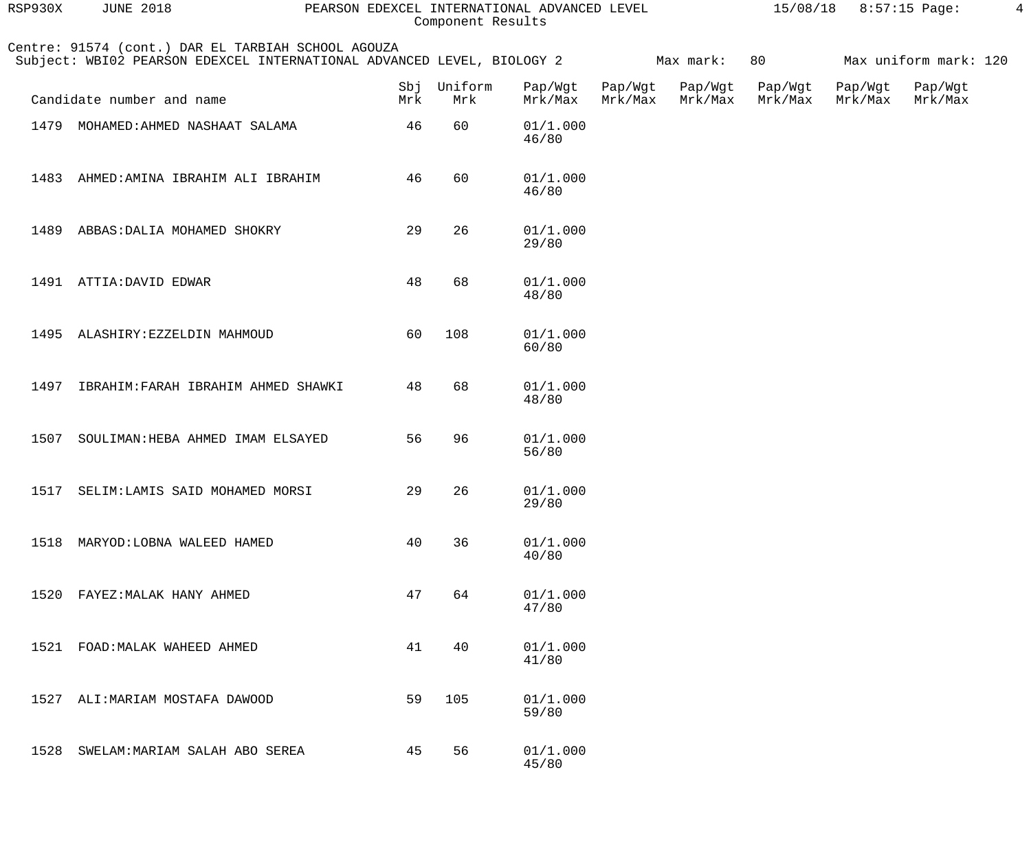| RSP930X | <b>JUNE 2018</b>                                   | PEARSON EDEXCEL INTERNATIONAL ADVANCED LEVEL                           | Component Results  |                    |                    |                    |                    | 15/08/18 8:57:15 Page: |                       | $\overline{4}$ |
|---------|----------------------------------------------------|------------------------------------------------------------------------|--------------------|--------------------|--------------------|--------------------|--------------------|------------------------|-----------------------|----------------|
|         | Centre: 91574 (cont.) DAR EL TARBIAH SCHOOL AGOUZA | Subject: WBI02 PEARSON EDEXCEL INTERNATIONAL ADVANCED LEVEL, BIOLOGY 2 |                    |                    |                    | Max mark:          | 80                 |                        | Max uniform mark: 120 |                |
|         | Candidate number and name                          | Mrk                                                                    | Sbj Uniform<br>Mrk | Pap/Wgt<br>Mrk/Max | Pap/Wgt<br>Mrk/Max | Pap/Wgt<br>Mrk/Max | Pap/Wgt<br>Mrk/Max | Pap/Wgt<br>Mrk/Max     | Pap/Wgt<br>Mrk/Max    |                |
| 1479    | MOHAMED: AHMED NASHAAT SALAMA                      | 46                                                                     | 60                 | 01/1.000<br>46/80  |                    |                    |                    |                        |                       |                |
|         | 1483 AHMED: AMINA IBRAHIM ALI IBRAHIM              | 46                                                                     | 60                 | 01/1.000<br>46/80  |                    |                    |                    |                        |                       |                |
|         | 1489 ABBAS: DALIA MOHAMED SHOKRY                   | 29                                                                     | 26                 | 01/1.000<br>29/80  |                    |                    |                    |                        |                       |                |
|         | 1491 ATTIA: DAVID EDWAR                            | 48                                                                     | 68                 | 01/1.000<br>48/80  |                    |                    |                    |                        |                       |                |
|         | 1495 ALASHIRY: EZZELDIN MAHMOUD                    | 60                                                                     | 108                | 01/1.000<br>60/80  |                    |                    |                    |                        |                       |                |
|         | 1497 IBRAHIM: FARAH IBRAHIM AHMED SHAWKI           | 48                                                                     | 68                 | 01/1.000<br>48/80  |                    |                    |                    |                        |                       |                |
| 1507    | SOULIMAN: HEBA AHMED IMAM ELSAYED                  | 56                                                                     | 96                 | 01/1.000<br>56/80  |                    |                    |                    |                        |                       |                |
| 1517    | SELIM:LAMIS SAID MOHAMED MORSI                     | 29                                                                     | 26                 | 01/1.000<br>29/80  |                    |                    |                    |                        |                       |                |
| 1518    | MARYOD: LOBNA WALEED HAMED                         | 40                                                                     | 36                 | 01/1.000<br>40/80  |                    |                    |                    |                        |                       |                |
| 1520    | FAYEZ: MALAK HANY AHMED                            | 47                                                                     | 64                 | 01/1.000<br>47/80  |                    |                    |                    |                        |                       |                |
| 1521    | FOAD: MALAK WAHEED AHMED                           | 41                                                                     | 40                 | 01/1.000<br>41/80  |                    |                    |                    |                        |                       |                |
| 1527    | ALI: MARIAM MOSTAFA DAWOOD                         | 59                                                                     | 105                | 01/1.000<br>59/80  |                    |                    |                    |                        |                       |                |
| 1528    | SWELAM: MARIAM SALAH ABO SEREA                     | 45                                                                     | 56                 | 01/1.000<br>45/80  |                    |                    |                    |                        |                       |                |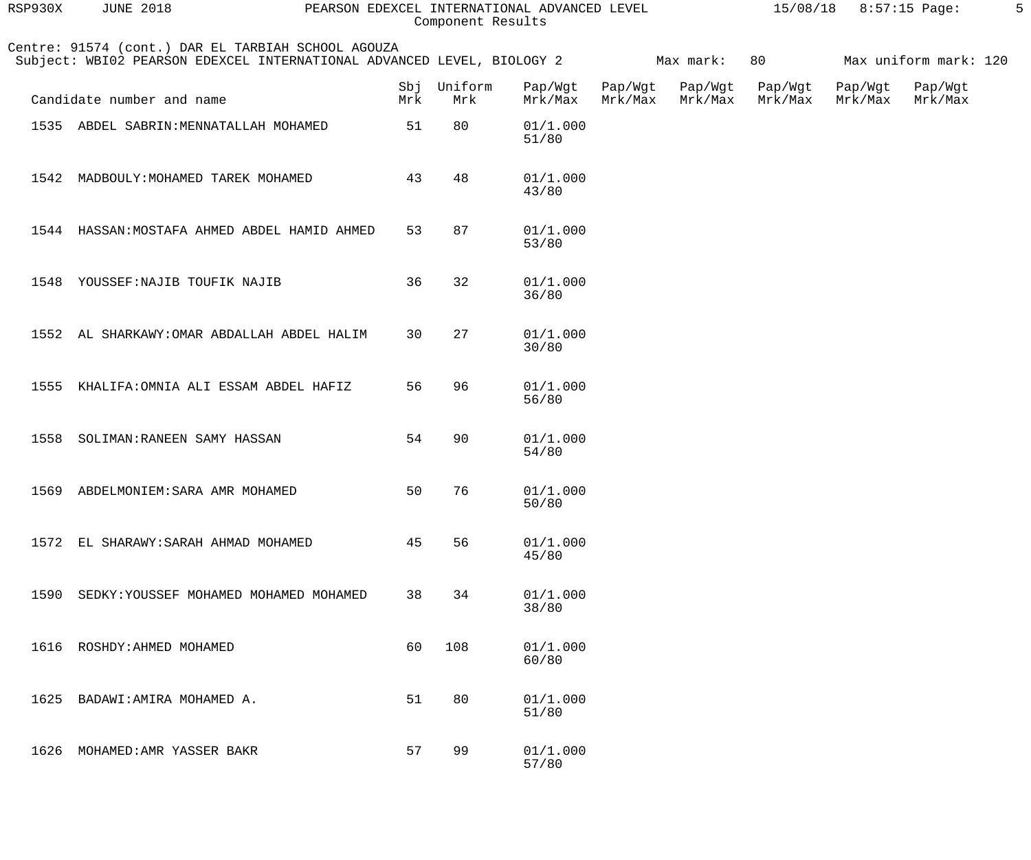| RSP930X | <b>JUNE 2018</b>                                                                                                             |     | Component Results  | PEARSON EDEXCEL INTERNATIONAL ADVANCED LEVEL |                    |                    |                    | 15/08/18 8:57:15 Page: |                       | 5 |
|---------|------------------------------------------------------------------------------------------------------------------------------|-----|--------------------|----------------------------------------------|--------------------|--------------------|--------------------|------------------------|-----------------------|---|
|         | Centre: 91574 (cont.) DAR EL TARBIAH SCHOOL AGOUZA<br>Subject: WBI02 PEARSON EDEXCEL INTERNATIONAL ADVANCED LEVEL, BIOLOGY 2 |     |                    |                                              |                    | Max mark:          | 80                 |                        | Max uniform mark: 120 |   |
|         | Candidate number and name                                                                                                    | Mrk | Sbj Uniform<br>Mrk | Pap/Wgt<br>Mrk/Max                           | Pap/Wgt<br>Mrk/Max | Pap/Wgt<br>Mrk/Max | Pap/Wgt<br>Mrk/Max | Pap/Wgt<br>Mrk/Max     | Pap/Wgt<br>Mrk/Max    |   |
|         | 1535 ABDEL SABRIN: MENNATALLAH MOHAMED                                                                                       | 51  | 80                 | 01/1.000<br>51/80                            |                    |                    |                    |                        |                       |   |
|         | 1542 MADBOULY: MOHAMED TAREK MOHAMED                                                                                         | 43  | 48                 | 01/1.000<br>43/80                            |                    |                    |                    |                        |                       |   |
|         | 1544 HASSAN: MOSTAFA AHMED ABDEL HAMID AHMED                                                                                 | 53  | 87                 | 01/1.000<br>53/80                            |                    |                    |                    |                        |                       |   |
|         | 1548 YOUSSEF: NAJIB TOUFIK NAJIB                                                                                             | 36  | 32                 | 01/1.000<br>36/80                            |                    |                    |                    |                        |                       |   |
|         | 1552 AL SHARKAWY: OMAR ABDALLAH ABDEL HALIM                                                                                  | 30  | 27                 | 01/1.000<br>30/80                            |                    |                    |                    |                        |                       |   |
|         | 1555 KHALIFA: OMNIA ALI ESSAM ABDEL HAFIZ                                                                                    | 56  | 96                 | 01/1.000<br>56/80                            |                    |                    |                    |                        |                       |   |
|         | 1558 SOLIMAN: RANEEN SAMY HASSAN                                                                                             | 54  | 90                 | 01/1.000<br>54/80                            |                    |                    |                    |                        |                       |   |
| 1569    | ABDELMONIEM: SARA AMR MOHAMED                                                                                                | 50  | 76                 | 01/1.000<br>50/80                            |                    |                    |                    |                        |                       |   |
| 1572    | EL SHARAWY: SARAH AHMAD MOHAMED                                                                                              | 45  | 56                 | 01/1.000<br>45/80                            |                    |                    |                    |                        |                       |   |
| 1590    | SEDKY: YOUSSEF MOHAMED MOHAMED MOHAMED                                                                                       | 38  | 34                 | 01/1.000<br>38/80                            |                    |                    |                    |                        |                       |   |
| 1616    | ROSHDY: AHMED MOHAMED                                                                                                        | 60  | 108                | 01/1.000<br>60/80                            |                    |                    |                    |                        |                       |   |
| 1625    | BADAWI: AMIRA MOHAMED A.                                                                                                     | 51  | 80                 | 01/1.000<br>51/80                            |                    |                    |                    |                        |                       |   |
| 1626    | MOHAMED: AMR YASSER BAKR                                                                                                     | 57  | 99                 | 01/1.000<br>57/80                            |                    |                    |                    |                        |                       |   |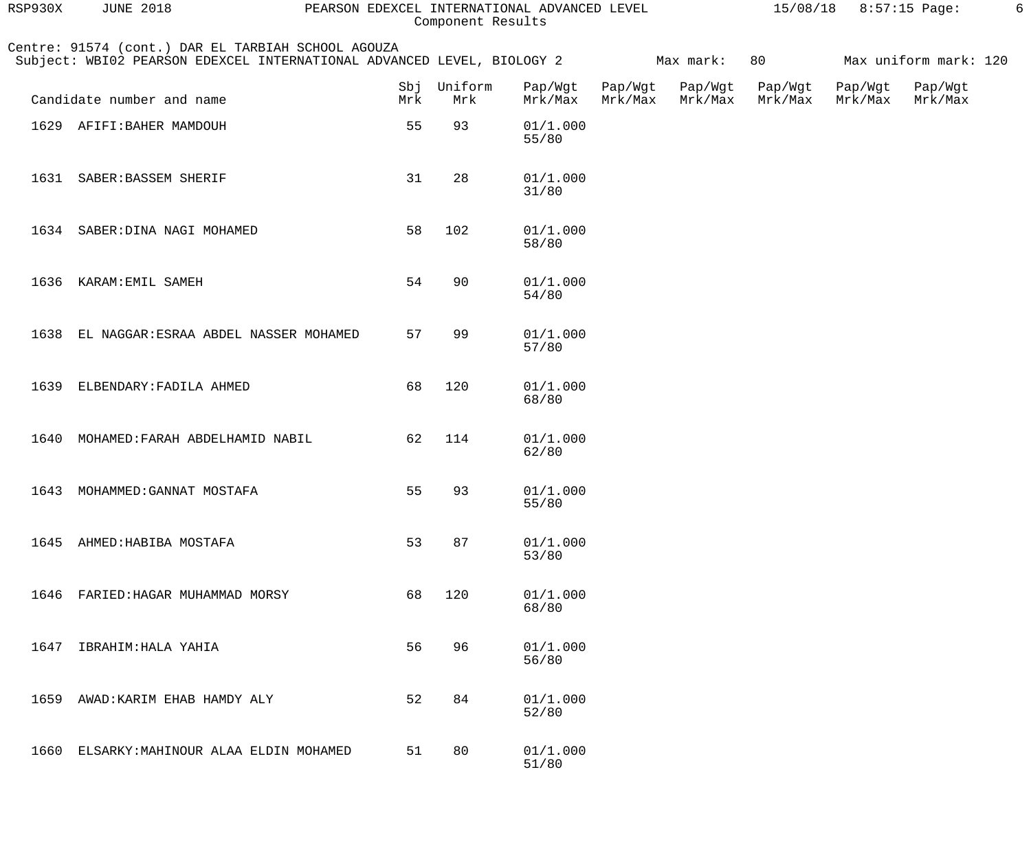| RSP930X | <b>JUNE 2018</b>                                                                                                             | PEARSON EDEXCEL INTERNATIONAL ADVANCED LEVEL |                    | Component Results  |                    |                    |                    | $15/08/18$ 8:57:15 Page: |                       | 6 |
|---------|------------------------------------------------------------------------------------------------------------------------------|----------------------------------------------|--------------------|--------------------|--------------------|--------------------|--------------------|--------------------------|-----------------------|---|
|         | Centre: 91574 (cont.) DAR EL TARBIAH SCHOOL AGOUZA<br>Subject: WBI02 PEARSON EDEXCEL INTERNATIONAL ADVANCED LEVEL, BIOLOGY 2 |                                              |                    |                    |                    | Max mark:          | 80                 |                          | Max uniform mark: 120 |   |
|         | Candidate number and name                                                                                                    | Mrk                                          | Sbj Uniform<br>Mrk | Pap/Wgt<br>Mrk/Max | Pap/Wgt<br>Mrk/Max | Pap/Wgt<br>Mrk/Max | Pap/Wgt<br>Mrk/Max | Pap/Wgt<br>Mrk/Max       | Pap/Wgt<br>Mrk/Max    |   |
|         | 1629 AFIFI: BAHER MAMDOUH                                                                                                    | 55                                           | 93                 | 01/1.000<br>55/80  |                    |                    |                    |                          |                       |   |
| 1631    | SABER: BASSEM SHERIF                                                                                                         | 31                                           | 28                 | 01/1.000<br>31/80  |                    |                    |                    |                          |                       |   |
|         | 1634 SABER: DINA NAGI MOHAMED                                                                                                | 58                                           | 102                | 01/1.000<br>58/80  |                    |                    |                    |                          |                       |   |
| 1636    | KARAM: EMIL SAMEH                                                                                                            | 54                                           | 90                 | 01/1.000<br>54/80  |                    |                    |                    |                          |                       |   |
| 1638    | EL NAGGAR: ESRAA ABDEL NASSER MOHAMED                                                                                        | 57                                           | 99                 | 01/1.000<br>57/80  |                    |                    |                    |                          |                       |   |
| 1639    | ELBENDARY: FADILA AHMED                                                                                                      | 68                                           | 120                | 01/1.000<br>68/80  |                    |                    |                    |                          |                       |   |
| 1640    | MOHAMED: FARAH ABDELHAMID NABIL                                                                                              | 62                                           | 114                | 01/1.000<br>62/80  |                    |                    |                    |                          |                       |   |
|         | 1643 MOHAMMED: GANNAT MOSTAFA                                                                                                | 55                                           | 93                 | 01/1.000<br>55/80  |                    |                    |                    |                          |                       |   |
| 1645    | AHMED: HABIBA MOSTAFA                                                                                                        | 53                                           | 87                 | 01/1.000<br>53/80  |                    |                    |                    |                          |                       |   |
| 1646    | FARIED: HAGAR MUHAMMAD MORSY                                                                                                 | 68                                           | 120                | 01/1.000<br>68/80  |                    |                    |                    |                          |                       |   |
| 1647    | IBRAHIM: HALA YAHIA                                                                                                          | 56                                           | 96                 | 01/1.000<br>56/80  |                    |                    |                    |                          |                       |   |
| 1659    | AWAD: KARIM EHAB HAMDY ALY                                                                                                   | 52                                           | 84                 | 01/1.000<br>52/80  |                    |                    |                    |                          |                       |   |
| 1660    | ELSARKY: MAHINOUR ALAA ELDIN MOHAMED                                                                                         | 51                                           | 80                 | 01/1.000<br>51/80  |                    |                    |                    |                          |                       |   |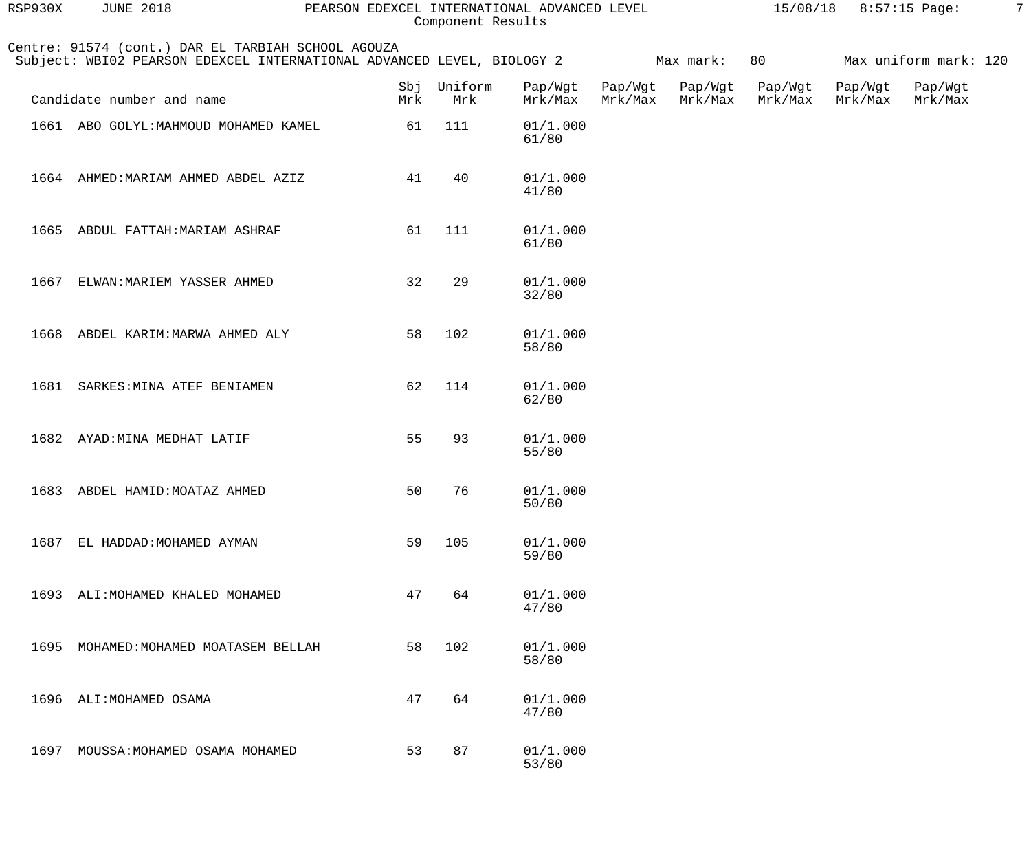| RSP930X | <b>JUNE 2018</b>                                                                                                             | PEARSON EDEXCEL INTERNATIONAL ADVANCED LEVEL | Component Results |                    |                    |                    |                    | 15/08/18 8:57:15 Page: |                       | $\overline{7}$ |
|---------|------------------------------------------------------------------------------------------------------------------------------|----------------------------------------------|-------------------|--------------------|--------------------|--------------------|--------------------|------------------------|-----------------------|----------------|
|         | Centre: 91574 (cont.) DAR EL TARBIAH SCHOOL AGOUZA<br>Subject: WBI02 PEARSON EDEXCEL INTERNATIONAL ADVANCED LEVEL, BIOLOGY 2 |                                              |                   |                    |                    | Max mark:          | 80                 |                        | Max uniform mark: 120 |                |
|         | Candidate number and name                                                                                                    | Sbj<br>Mrk                                   | Uniform<br>Mrk    | Pap/Wgt<br>Mrk/Max | Pap/Wgt<br>Mrk/Max | Pap/Wgt<br>Mrk/Max | Pap/Wgt<br>Mrk/Max | Pap/Wgt<br>Mrk/Max     | Pap/Wgt<br>Mrk/Max    |                |
|         | 1661 ABO GOLYL: MAHMOUD MOHAMED KAMEL                                                                                        | 61                                           | 111               | 01/1.000<br>61/80  |                    |                    |                    |                        |                       |                |
|         | 1664 AHMED: MARIAM AHMED ABDEL AZIZ                                                                                          | 41                                           | 40                | 01/1.000<br>41/80  |                    |                    |                    |                        |                       |                |
|         | 1665 ABDUL FATTAH: MARIAM ASHRAF                                                                                             | 61                                           | 111               | 01/1.000<br>61/80  |                    |                    |                    |                        |                       |                |
| 1667    | ELWAN: MARIEM YASSER AHMED                                                                                                   | 32                                           | 29                | 01/1.000<br>32/80  |                    |                    |                    |                        |                       |                |
|         | 1668 ABDEL KARIM: MARWA AHMED ALY                                                                                            | 58                                           | 102               | 01/1.000<br>58/80  |                    |                    |                    |                        |                       |                |
|         | 1681 SARKES: MINA ATEF BENIAMEN                                                                                              | 62                                           | 114               | 01/1.000<br>62/80  |                    |                    |                    |                        |                       |                |
|         | 1682 AYAD: MINA MEDHAT LATIF                                                                                                 | 55                                           | 93                | 01/1.000<br>55/80  |                    |                    |                    |                        |                       |                |
| 1683    | ABDEL HAMID: MOATAZ AHMED                                                                                                    | 50                                           | 76                | 01/1.000<br>50/80  |                    |                    |                    |                        |                       |                |
| 1687    | EL HADDAD: MOHAMED AYMAN                                                                                                     | 59                                           | 105               | 01/1.000<br>59/80  |                    |                    |                    |                        |                       |                |
|         | 1693 ALI: MOHAMED KHALED MOHAMED                                                                                             | 47                                           | 64                | 01/1.000<br>47/80  |                    |                    |                    |                        |                       |                |
| 1695    | MOHAMED: MOHAMED MOATASEM BELLAH                                                                                             | 58                                           | 102               | 01/1.000<br>58/80  |                    |                    |                    |                        |                       |                |
| 1696    | ALI: MOHAMED OSAMA                                                                                                           | 47                                           | 64                | 01/1.000<br>47/80  |                    |                    |                    |                        |                       |                |
| 1697    | MOUSSA: MOHAMED OSAMA MOHAMED                                                                                                | 53                                           | 87                | 01/1.000<br>53/80  |                    |                    |                    |                        |                       |                |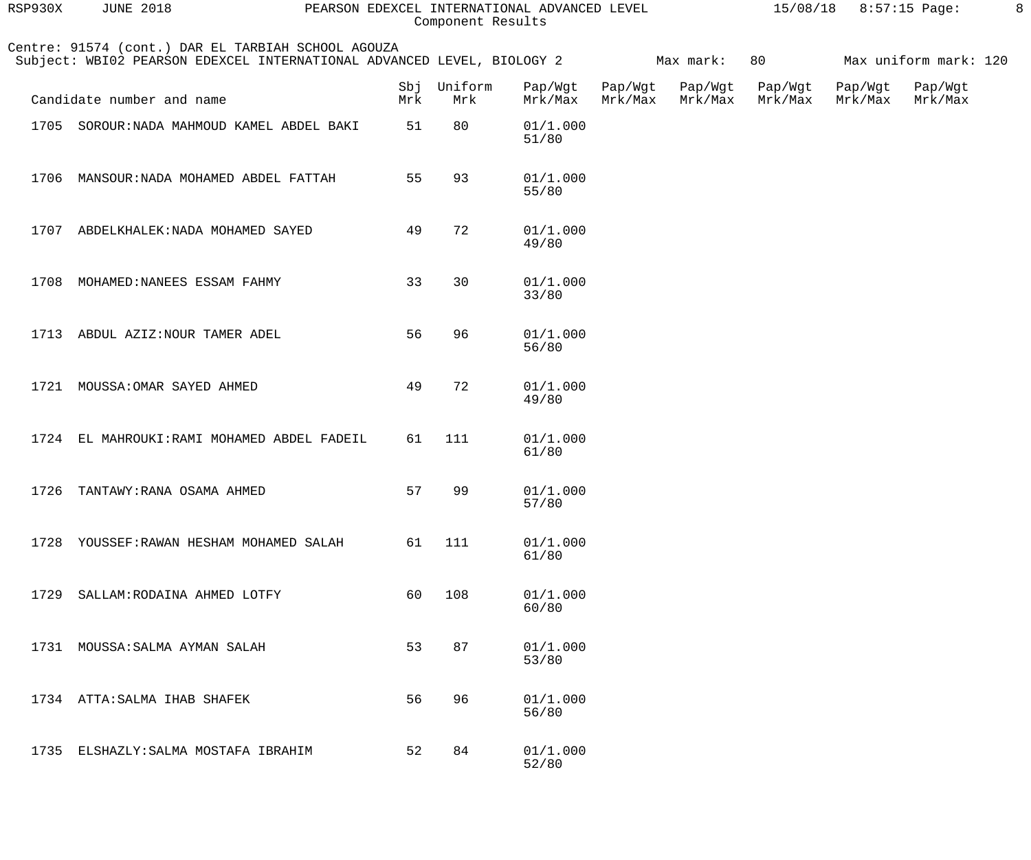| RSP930X | <b>JUNE 2018</b>                                                                                                             |     | Component Results  | PEARSON EDEXCEL INTERNATIONAL ADVANCED LEVEL |                    |                    |                    | 15/08/18 8:57:15 Page: |                       | 8 |
|---------|------------------------------------------------------------------------------------------------------------------------------|-----|--------------------|----------------------------------------------|--------------------|--------------------|--------------------|------------------------|-----------------------|---|
|         | Centre: 91574 (cont.) DAR EL TARBIAH SCHOOL AGOUZA<br>Subject: WBI02 PEARSON EDEXCEL INTERNATIONAL ADVANCED LEVEL, BIOLOGY 2 |     |                    |                                              |                    | Max mark:          | 80                 |                        | Max uniform mark: 120 |   |
|         | Candidate number and name                                                                                                    | Mrk | Sbj Uniform<br>Mrk | Pap/Wgt<br>Mrk/Max                           | Pap/Wgt<br>Mrk/Max | Pap/Wgt<br>Mrk/Max | Pap/Wgt<br>Mrk/Max | Pap/Wgt<br>Mrk/Max     | Pap/Wgt<br>Mrk/Max    |   |
|         | 1705 SOROUR: NADA MAHMOUD KAMEL ABDEL BAKI                                                                                   | 51  | 80                 | 01/1.000<br>51/80                            |                    |                    |                    |                        |                       |   |
|         | 1706 MANSOUR: NADA MOHAMED ABDEL FATTAH                                                                                      | 55  | 93                 | 01/1.000<br>55/80                            |                    |                    |                    |                        |                       |   |
|         | 1707 ABDELKHALEK: NADA MOHAMED SAYED                                                                                         | 49  | 72                 | 01/1.000<br>49/80                            |                    |                    |                    |                        |                       |   |
| 1708    | MOHAMED: NANEES ESSAM FAHMY                                                                                                  | 33  | 30                 | 01/1.000<br>33/80                            |                    |                    |                    |                        |                       |   |
|         | 1713 ABDUL AZIZ: NOUR TAMER ADEL                                                                                             | 56  | 96                 | 01/1.000<br>56/80                            |                    |                    |                    |                        |                       |   |
| 1721    | MOUSSA: OMAR SAYED AHMED                                                                                                     | 49  | 72                 | 01/1.000<br>49/80                            |                    |                    |                    |                        |                       |   |
|         | 1724 EL MAHROUKI: RAMI MOHAMED ABDEL FADEIL                                                                                  | 61  | 111                | 01/1.000<br>61/80                            |                    |                    |                    |                        |                       |   |
| 1726    | TANTAWY: RANA OSAMA AHMED                                                                                                    | 57  | 99                 | 01/1.000<br>57/80                            |                    |                    |                    |                        |                       |   |
| 1728    | YOUSSEF: RAWAN HESHAM MOHAMED SALAH                                                                                          | 61  | 111                | 01/1.000<br>61/80                            |                    |                    |                    |                        |                       |   |
| 1729    | SALLAM: RODAINA AHMED LOTFY                                                                                                  | 60  | 108                | 01/1.000<br>60/80                            |                    |                    |                    |                        |                       |   |
| 1731    | MOUSSA: SALMA AYMAN SALAH                                                                                                    | 53  | 87                 | 01/1.000<br>53/80                            |                    |                    |                    |                        |                       |   |
|         | 1734 ATTA: SALMA IHAB SHAFEK                                                                                                 | 56  | 96                 | 01/1.000<br>56/80                            |                    |                    |                    |                        |                       |   |
| 1735    | ELSHAZLY: SALMA MOSTAFA IBRAHIM                                                                                              | 52  | 84                 | 01/1.000<br>52/80                            |                    |                    |                    |                        |                       |   |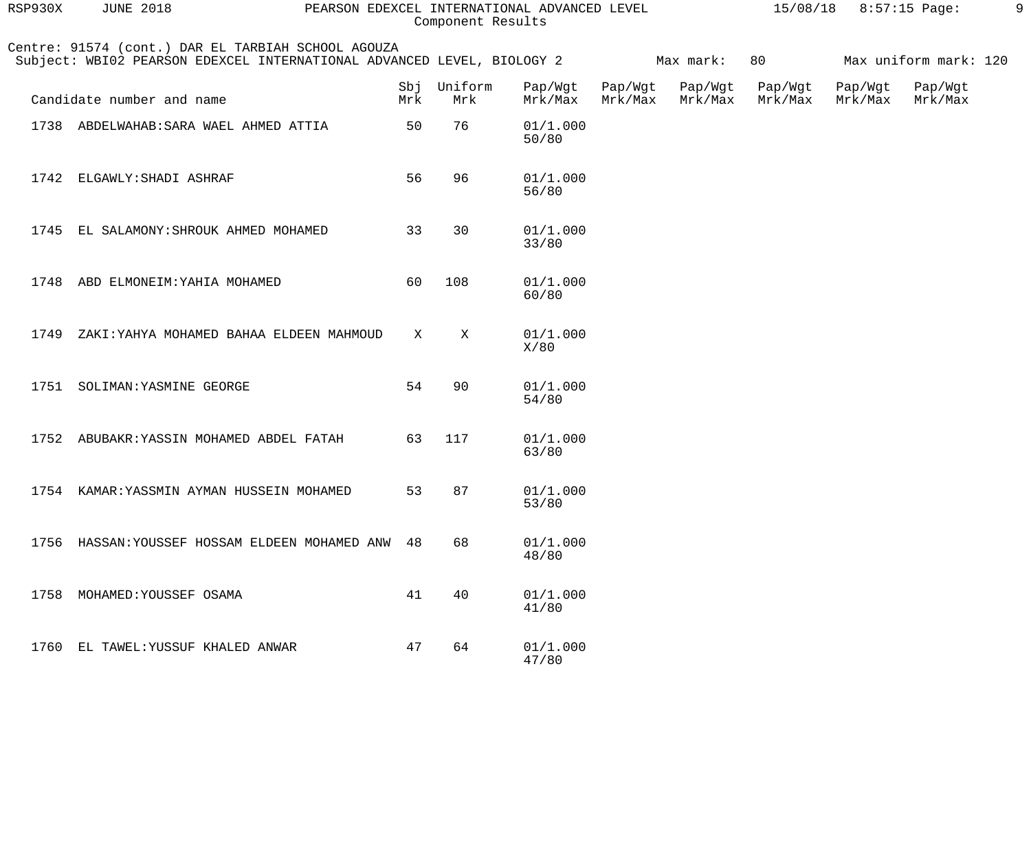| RSP930X | <b>JUNE 2018</b>                                                                                                             | PEARSON EDEXCEL INTERNATIONAL ADVANCED LEVEL<br>15/08/18 8:57:15 Page: |                |                    |                    |                    |                    |                    |                       |  |
|---------|------------------------------------------------------------------------------------------------------------------------------|------------------------------------------------------------------------|----------------|--------------------|--------------------|--------------------|--------------------|--------------------|-----------------------|--|
|         | Centre: 91574 (cont.) DAR EL TARBIAH SCHOOL AGOUZA<br>Subject: WBI02 PEARSON EDEXCEL INTERNATIONAL ADVANCED LEVEL, BIOLOGY 2 |                                                                        |                |                    |                    | Max mark:          | 80                 |                    | Max uniform mark: 120 |  |
|         | Candidate number and name                                                                                                    | Sbj<br>Mrk                                                             | Uniform<br>Mrk | Pap/Wgt<br>Mrk/Max | Pap/Wgt<br>Mrk/Max | Pap/Wgt<br>Mrk/Max | Pap/Wgt<br>Mrk/Max | Pap/Wgt<br>Mrk/Max | Pap/Wgt<br>Mrk/Max    |  |
| 1738    | ABDELWAHAB: SARA WAEL AHMED ATTIA                                                                                            | 50                                                                     | 76             | 01/1.000<br>50/80  |                    |                    |                    |                    |                       |  |
| 1742    | ELGAWLY: SHADI ASHRAF                                                                                                        | 56                                                                     | 96             | 01/1.000<br>56/80  |                    |                    |                    |                    |                       |  |
| 1745    | EL SALAMONY: SHROUK AHMED MOHAMED                                                                                            | 33                                                                     | 30             | 01/1.000<br>33/80  |                    |                    |                    |                    |                       |  |
| 1748    | ABD ELMONEIM: YAHIA MOHAMED                                                                                                  | 60                                                                     | 108            | 01/1.000<br>60/80  |                    |                    |                    |                    |                       |  |
| 1749    | ZAKI: YAHYA MOHAMED BAHAA ELDEEN MAHMOUD                                                                                     | Χ                                                                      | Χ              | 01/1.000<br>X/80   |                    |                    |                    |                    |                       |  |
| 1751    | SOLIMAN: YASMINE GEORGE                                                                                                      | 54                                                                     | 90             | 01/1.000<br>54/80  |                    |                    |                    |                    |                       |  |
| 1752    | ABUBAKR: YASSIN MOHAMED ABDEL FATAH                                                                                          | 63                                                                     | 117            | 01/1.000<br>63/80  |                    |                    |                    |                    |                       |  |
|         | 1754 KAMAR: YASSMIN AYMAN HUSSEIN MOHAMED                                                                                    | 53                                                                     | 87             | 01/1.000<br>53/80  |                    |                    |                    |                    |                       |  |
| 1756    | HASSAN: YOUSSEF HOSSAM ELDEEN MOHAMED ANW                                                                                    | 48                                                                     | 68             | 01/1.000<br>48/80  |                    |                    |                    |                    |                       |  |
| 1758    | MOHAMED: YOUSSEF OSAMA                                                                                                       | 41                                                                     | 40             | 01/1.000<br>41/80  |                    |                    |                    |                    |                       |  |
|         | 1760 EL TAWEL: YUSSUF KHALED ANWAR                                                                                           | 47                                                                     | 64             | 01/1.000<br>47/80  |                    |                    |                    |                    |                       |  |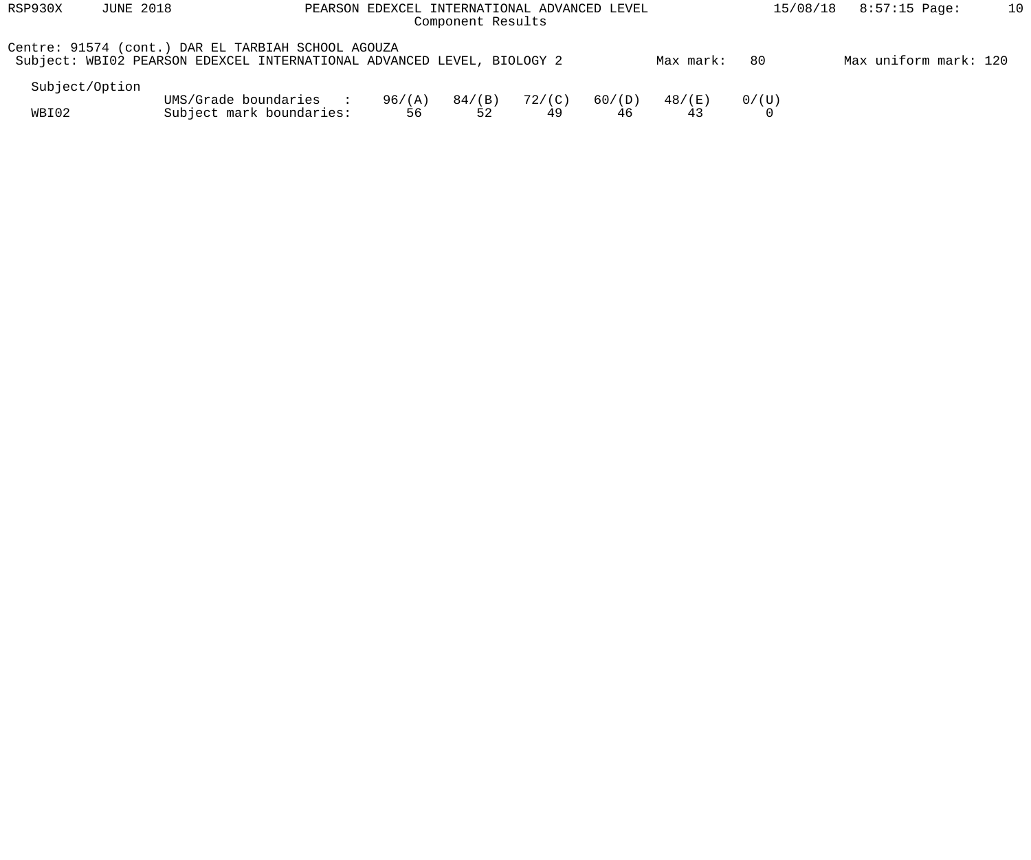| RSP930X        | <b>JUNE 2018</b> | PEARSON EDEXCEL INTERNATIONAL ADVANCED LEVEL                                                                                 |              |                 | 8:57:15 Page:<br>15/08/18 | 10           |           |       |                       |  |
|----------------|------------------|------------------------------------------------------------------------------------------------------------------------------|--------------|-----------------|---------------------------|--------------|-----------|-------|-----------------------|--|
|                |                  | Centre: 91574 (cont.) DAR EL TARBIAH SCHOOL AGOUZA<br>Subject: WBI02 PEARSON EDEXCEL INTERNATIONAL ADVANCED LEVEL, BIOLOGY 2 |              |                 |                           |              | Max mark: | -80   | Max uniform mark: 120 |  |
| Subject/Option |                  |                                                                                                                              |              |                 |                           |              |           |       |                       |  |
| WBI02          |                  | UMS/Grade boundaries :<br>Subject mark boundaries:                                                                           | 96/(A)<br>56 | $84/$ (B)<br>52 | 72/(C)<br>49              | 60/(D)<br>46 | 48/(E)    | 0/(U) |                       |  |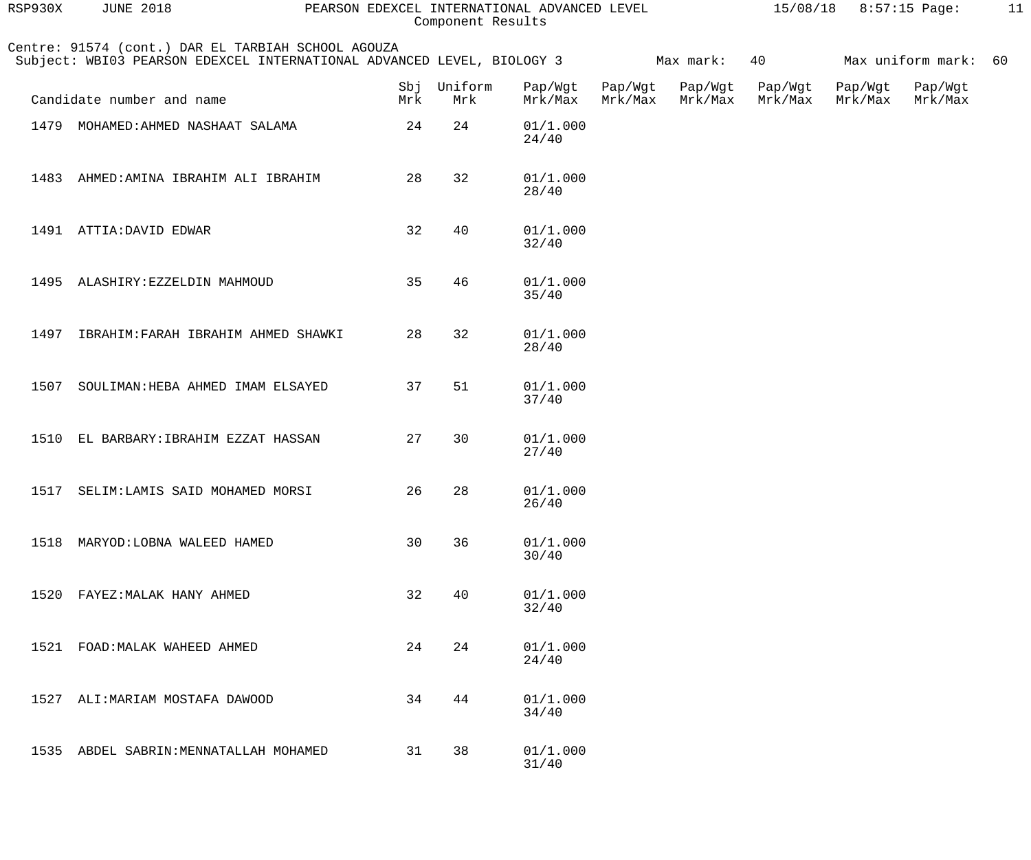| RSP930X | <b>JUNE 2018</b>                                                                                                             |     | Component Results  | PEARSON EDEXCEL INTERNATIONAL ADVANCED LEVEL |                    |                    |                    | 15/08/18 8:57:15 Page: |                      | 11 |
|---------|------------------------------------------------------------------------------------------------------------------------------|-----|--------------------|----------------------------------------------|--------------------|--------------------|--------------------|------------------------|----------------------|----|
|         | Centre: 91574 (cont.) DAR EL TARBIAH SCHOOL AGOUZA<br>Subject: WBI03 PEARSON EDEXCEL INTERNATIONAL ADVANCED LEVEL, BIOLOGY 3 |     |                    |                                              |                    | Max mark:          | 40                 |                        | Max uniform mark: 60 |    |
|         | Candidate number and name                                                                                                    | Mrk | Sbj Uniform<br>Mrk | Pap/Wgt<br>Mrk/Max                           | Pap/Wgt<br>Mrk/Max | Pap/Wgt<br>Mrk/Max | Pap/Wgt<br>Mrk/Max | Pap/Wgt<br>Mrk/Max     | Pap/Wgt<br>Mrk/Max   |    |
|         | 1479 MOHAMED: AHMED NASHAAT SALAMA                                                                                           | 24  | 24                 | 01/1.000<br>24/40                            |                    |                    |                    |                        |                      |    |
| 1483    | AHMED: AMINA IBRAHIM ALI IBRAHIM                                                                                             | 28  | 32                 | 01/1.000<br>28/40                            |                    |                    |                    |                        |                      |    |
|         | 1491 ATTIA: DAVID EDWAR                                                                                                      | 32  | 40                 | 01/1.000<br>32/40                            |                    |                    |                    |                        |                      |    |
|         | 1495 ALASHIRY: EZZELDIN MAHMOUD                                                                                              | 35  | 46                 | 01/1.000<br>35/40                            |                    |                    |                    |                        |                      |    |
| 1497    | IBRAHIM: FARAH IBRAHIM AHMED SHAWKI                                                                                          | 28  | 32                 | 01/1.000<br>28/40                            |                    |                    |                    |                        |                      |    |
| 1507    | SOULIMAN: HEBA AHMED IMAM ELSAYED                                                                                            | 37  | 51                 | 01/1.000<br>37/40                            |                    |                    |                    |                        |                      |    |
|         | 1510 EL BARBARY: IBRAHIM EZZAT HASSAN                                                                                        | 27  | 30                 | 01/1.000<br>27/40                            |                    |                    |                    |                        |                      |    |
|         | 1517 SELIM: LAMIS SAID MOHAMED MORSI                                                                                         | 26  | 28                 | 01/1.000<br>26/40                            |                    |                    |                    |                        |                      |    |
| 1518    | MARYOD: LOBNA WALEED HAMED                                                                                                   | 30  | 36                 | 01/1.000<br>30/40                            |                    |                    |                    |                        |                      |    |
| 1520    | FAYEZ: MALAK HANY AHMED                                                                                                      | 32  | 40                 | 01/1.000<br>32/40                            |                    |                    |                    |                        |                      |    |
| 1521    | FOAD: MALAK WAHEED AHMED                                                                                                     | 24  | 24                 | 01/1.000<br>24/40                            |                    |                    |                    |                        |                      |    |
| 1527    | ALI: MARIAM MOSTAFA DAWOOD                                                                                                   | 34  | 44                 | 01/1.000<br>34/40                            |                    |                    |                    |                        |                      |    |
| 1535    | ABDEL SABRIN: MENNATALLAH MOHAMED                                                                                            | 31  | 38                 | 01/1.000<br>31/40                            |                    |                    |                    |                        |                      |    |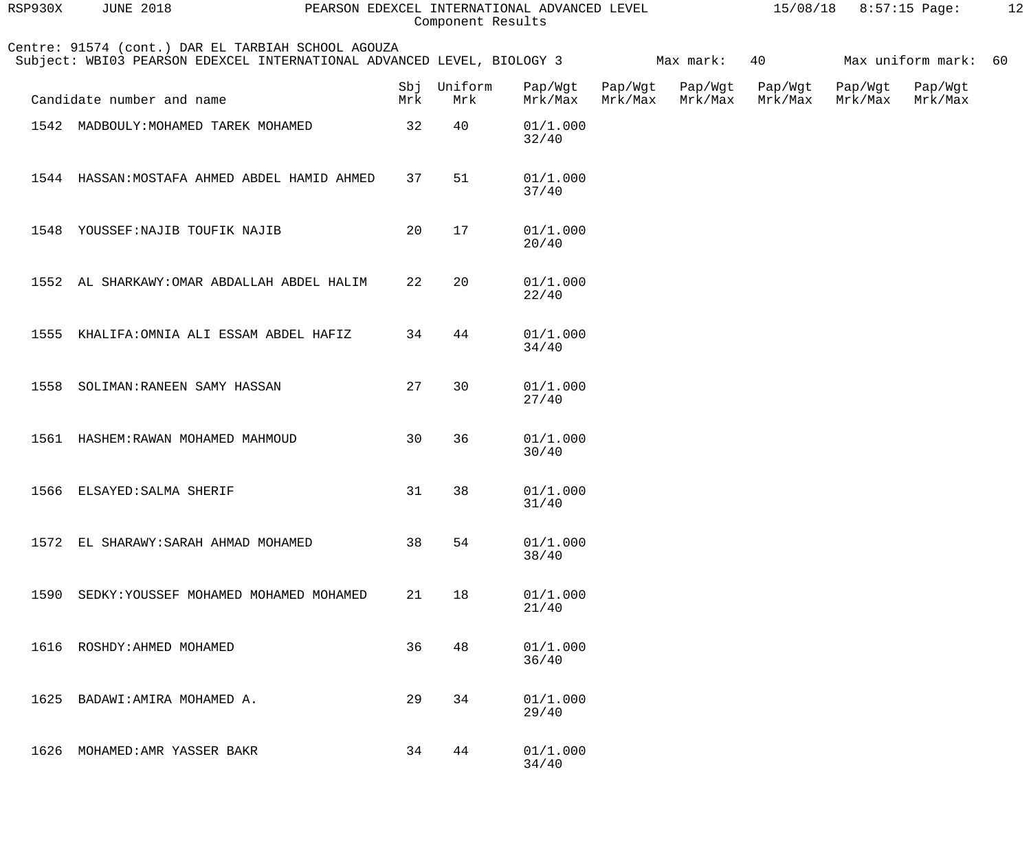| RSP930X | <b>JUNE 2018</b>                                                                                                             |     | Component Results  | PEARSON EDEXCEL INTERNATIONAL ADVANCED LEVEL |                    |                    |                    | $15/08/18$ 8:57:15 Page: |                      | 12 |
|---------|------------------------------------------------------------------------------------------------------------------------------|-----|--------------------|----------------------------------------------|--------------------|--------------------|--------------------|--------------------------|----------------------|----|
|         | Centre: 91574 (cont.) DAR EL TARBIAH SCHOOL AGOUZA<br>Subject: WBI03 PEARSON EDEXCEL INTERNATIONAL ADVANCED LEVEL, BIOLOGY 3 |     |                    |                                              |                    | Max mark:          | 40                 |                          | Max uniform mark: 60 |    |
|         | Candidate number and name                                                                                                    | Mrk | Sbj Uniform<br>Mrk | Pap/Wgt<br>Mrk/Max                           | Pap/Wgt<br>Mrk/Max | Pap/Wgt<br>Mrk/Max | Pap/Wgt<br>Mrk/Max | Pap/Wgt<br>Mrk/Max       | Pap/Wgt<br>Mrk/Max   |    |
|         | 1542 MADBOULY: MOHAMED TAREK MOHAMED                                                                                         | 32  | 40                 | 01/1.000<br>32/40                            |                    |                    |                    |                          |                      |    |
|         | 1544 HASSAN: MOSTAFA AHMED ABDEL HAMID AHMED                                                                                 | 37  | 51                 | 01/1.000<br>37/40                            |                    |                    |                    |                          |                      |    |
| 1548    | YOUSSEF: NAJIB TOUFIK NAJIB                                                                                                  | 20  | 17                 | 01/1.000<br>20/40                            |                    |                    |                    |                          |                      |    |
|         | 1552 AL SHARKAWY: OMAR ABDALLAH ABDEL HALIM                                                                                  | 22  | 20                 | 01/1.000<br>22/40                            |                    |                    |                    |                          |                      |    |
|         | 1555 KHALIFA: OMNIA ALI ESSAM ABDEL HAFIZ                                                                                    | 34  | 44                 | 01/1.000<br>34/40                            |                    |                    |                    |                          |                      |    |
| 1558    | SOLIMAN: RANEEN SAMY HASSAN                                                                                                  | 27  | 30                 | 01/1.000<br>27/40                            |                    |                    |                    |                          |                      |    |
|         | 1561 HASHEM: RAWAN MOHAMED MAHMOUD                                                                                           | 30  | 36                 | 01/1.000<br>30/40                            |                    |                    |                    |                          |                      |    |
|         | 1566 ELSAYED: SALMA SHERIF                                                                                                   |     | 31 38              | 01/1.000<br>31/40                            |                    |                    |                    |                          |                      |    |
| 1572    | EL SHARAWY: SARAH AHMAD MOHAMED                                                                                              | 38  | 54                 | 01/1.000<br>38/40                            |                    |                    |                    |                          |                      |    |
| 1590    | SEDKY: YOUSSEF MOHAMED MOHAMED MOHAMED                                                                                       | 21  | 18                 | 01/1.000<br>21/40                            |                    |                    |                    |                          |                      |    |
|         | 1616 ROSHDY: AHMED MOHAMED                                                                                                   | 36  | 48                 | 01/1.000<br>36/40                            |                    |                    |                    |                          |                      |    |
| 1625    | BADAWI: AMIRA MOHAMED A.                                                                                                     | 29  | 34                 | 01/1.000<br>29/40                            |                    |                    |                    |                          |                      |    |
| 1626    | MOHAMED: AMR YASSER BAKR                                                                                                     | 34  | 44                 | 01/1.000<br>34/40                            |                    |                    |                    |                          |                      |    |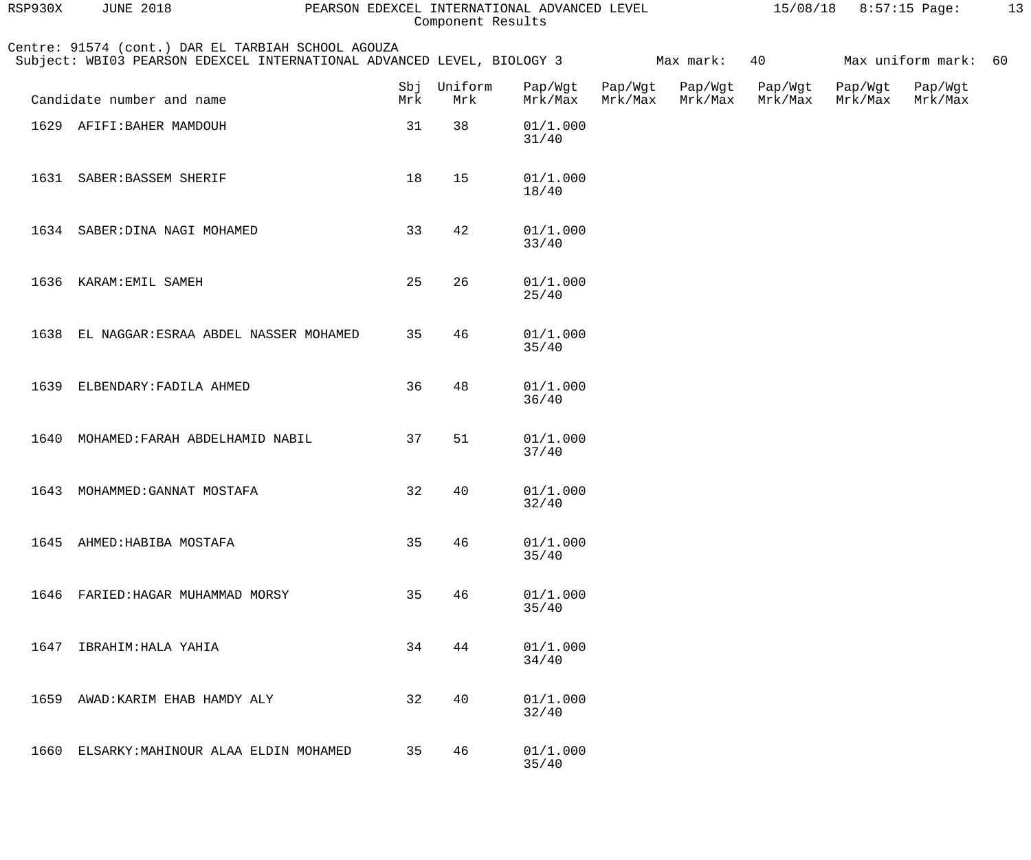| RSP930X | <b>JUNE 2018</b>                                                                                                             | PEARSON EDEXCEL INTERNATIONAL ADVANCED LEVEL |                    | Component Results  |                    |                    |                    | $15/08/18$ 8:57:15 Page: |                    | 13 |
|---------|------------------------------------------------------------------------------------------------------------------------------|----------------------------------------------|--------------------|--------------------|--------------------|--------------------|--------------------|--------------------------|--------------------|----|
|         | Centre: 91574 (cont.) DAR EL TARBIAH SCHOOL AGOUZA<br>Subject: WBI03 PEARSON EDEXCEL INTERNATIONAL ADVANCED LEVEL, BIOLOGY 3 |                                              |                    |                    |                    | Max mark:          | 40                 |                          | Max uniform mark:  | 60 |
|         | Candidate number and name                                                                                                    | Mrk                                          | Sbj Uniform<br>Mrk | Pap/Wgt<br>Mrk/Max | Pap/Wgt<br>Mrk/Max | Pap/Wgt<br>Mrk/Max | Pap/Wgt<br>Mrk/Max | Pap/Wgt<br>Mrk/Max       | Pap/Wgt<br>Mrk/Max |    |
|         | 1629 AFIFI: BAHER MAMDOUH                                                                                                    | 31                                           | 38                 | 01/1.000<br>31/40  |                    |                    |                    |                          |                    |    |
| 1631    | SABER: BASSEM SHERIF                                                                                                         | 18                                           | 15                 | 01/1.000<br>18/40  |                    |                    |                    |                          |                    |    |
|         | 1634 SABER: DINA NAGI MOHAMED                                                                                                | 33                                           | 42                 | 01/1.000<br>33/40  |                    |                    |                    |                          |                    |    |
| 1636    | KARAM: EMIL SAMEH                                                                                                            | 25                                           | 26                 | 01/1.000<br>25/40  |                    |                    |                    |                          |                    |    |
| 1638    | EL NAGGAR: ESRAA ABDEL NASSER MOHAMED                                                                                        | 35                                           | 46                 | 01/1.000<br>35/40  |                    |                    |                    |                          |                    |    |
| 1639    | ELBENDARY: FADILA AHMED                                                                                                      | 36                                           | 48                 | 01/1.000<br>36/40  |                    |                    |                    |                          |                    |    |
| 1640    | MOHAMED: FARAH ABDELHAMID NABIL                                                                                              | 37                                           | 51                 | 01/1.000<br>37/40  |                    |                    |                    |                          |                    |    |
|         | 1643 MOHAMMED: GANNAT MOSTAFA                                                                                                | 32                                           | 40                 | 01/1.000<br>32/40  |                    |                    |                    |                          |                    |    |
| 1645    | AHMED: HABIBA MOSTAFA                                                                                                        | 35                                           | 46                 | 01/1.000<br>35/40  |                    |                    |                    |                          |                    |    |
| 1646    | FARIED: HAGAR MUHAMMAD MORSY                                                                                                 | 35                                           | 46                 | 01/1.000<br>35/40  |                    |                    |                    |                          |                    |    |
| 1647    | IBRAHIM: HALA YAHIA                                                                                                          | 34                                           | 44                 | 01/1.000<br>34/40  |                    |                    |                    |                          |                    |    |
| 1659    | AWAD: KARIM EHAB HAMDY ALY                                                                                                   | 32                                           | 40                 | 01/1.000<br>32/40  |                    |                    |                    |                          |                    |    |
| 1660    | ELSARKY: MAHINOUR ALAA ELDIN MOHAMED                                                                                         | 35                                           | 46                 | 01/1.000<br>35/40  |                    |                    |                    |                          |                    |    |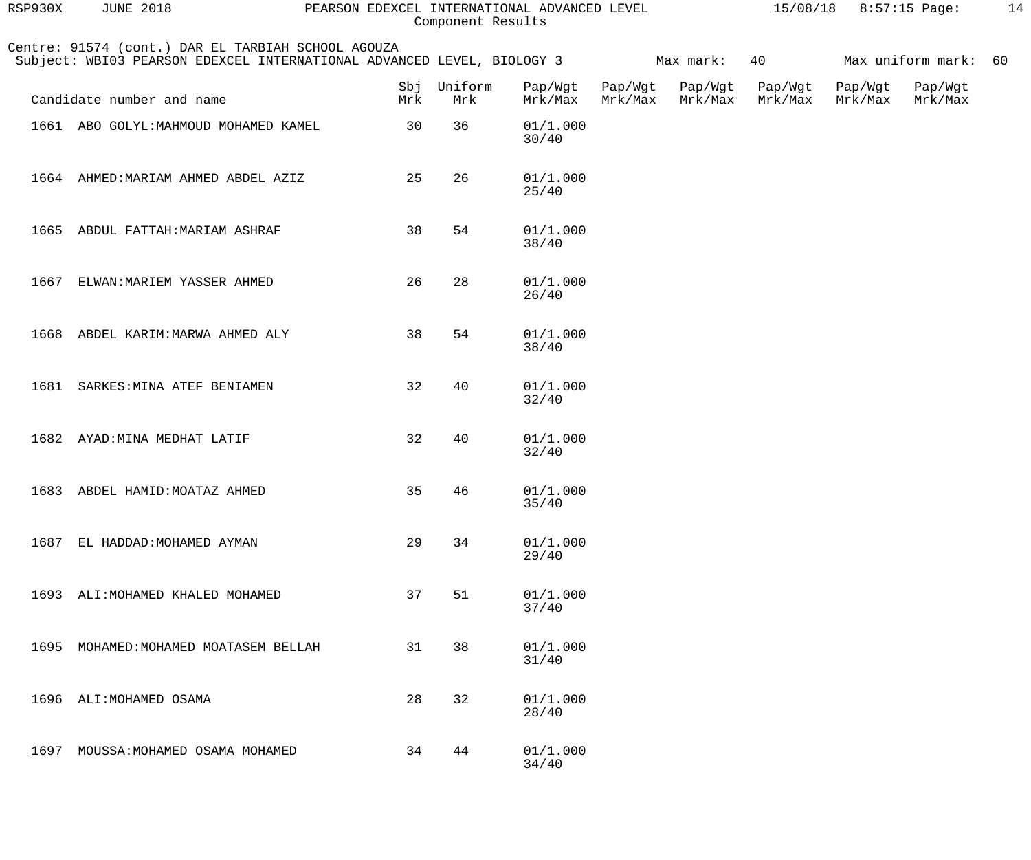| RSP930X | <b>JUNE 2018</b>                                                                                                             | PEARSON EDEXCEL INTERNATIONAL ADVANCED LEVEL | Component Results |                    |                    |                    |                    | 15/08/18 8:57:15 Page: |                      | 14 |
|---------|------------------------------------------------------------------------------------------------------------------------------|----------------------------------------------|-------------------|--------------------|--------------------|--------------------|--------------------|------------------------|----------------------|----|
|         | Centre: 91574 (cont.) DAR EL TARBIAH SCHOOL AGOUZA<br>Subject: WBI03 PEARSON EDEXCEL INTERNATIONAL ADVANCED LEVEL, BIOLOGY 3 |                                              |                   |                    |                    | Max mark:          | 40                 |                        | Max uniform mark: 60 |    |
|         | Candidate number and name                                                                                                    | Sbj<br>Mrk                                   | Uniform<br>Mrk    | Pap/Wgt<br>Mrk/Max | Pap/Wgt<br>Mrk/Max | Pap/Wgt<br>Mrk/Max | Pap/Wgt<br>Mrk/Max | Pap/Wgt<br>Mrk/Max     | Pap/Wgt<br>Mrk/Max   |    |
|         | 1661 ABO GOLYL: MAHMOUD MOHAMED KAMEL                                                                                        | 30                                           | 36                | 01/1.000<br>30/40  |                    |                    |                    |                        |                      |    |
|         | 1664 AHMED: MARIAM AHMED ABDEL AZIZ                                                                                          | 25                                           | 26                | 01/1.000<br>25/40  |                    |                    |                    |                        |                      |    |
|         | 1665 ABDUL FATTAH: MARIAM ASHRAF                                                                                             | 38                                           | 54                | 01/1.000<br>38/40  |                    |                    |                    |                        |                      |    |
| 1667    | ELWAN: MARIEM YASSER AHMED                                                                                                   | 26                                           | 28                | 01/1.000<br>26/40  |                    |                    |                    |                        |                      |    |
|         | 1668 ABDEL KARIM: MARWA AHMED ALY                                                                                            | 38                                           | 54                | 01/1.000<br>38/40  |                    |                    |                    |                        |                      |    |
|         | 1681 SARKES: MINA ATEF BENIAMEN                                                                                              | 32                                           | 40                | 01/1.000<br>32/40  |                    |                    |                    |                        |                      |    |
|         | 1682 AYAD: MINA MEDHAT LATIF                                                                                                 | 32                                           | 40                | 01/1.000<br>32/40  |                    |                    |                    |                        |                      |    |
| 1683    | ABDEL HAMID: MOATAZ AHMED                                                                                                    | 35                                           | 46                | 01/1.000<br>35/40  |                    |                    |                    |                        |                      |    |
| 1687    | EL HADDAD: MOHAMED AYMAN                                                                                                     | 29                                           | 34                | 01/1.000<br>29/40  |                    |                    |                    |                        |                      |    |
|         | 1693 ALI: MOHAMED KHALED MOHAMED                                                                                             | 37                                           | 51                | 01/1.000<br>37/40  |                    |                    |                    |                        |                      |    |
| 1695    | MOHAMED: MOHAMED MOATASEM BELLAH                                                                                             | 31                                           | 38                | 01/1.000<br>31/40  |                    |                    |                    |                        |                      |    |
| 1696    | ALI: MOHAMED OSAMA                                                                                                           | 28                                           | 32                | 01/1.000<br>28/40  |                    |                    |                    |                        |                      |    |
| 1697    | MOUSSA: MOHAMED OSAMA MOHAMED                                                                                                | 34                                           | 44                | 01/1.000<br>34/40  |                    |                    |                    |                        |                      |    |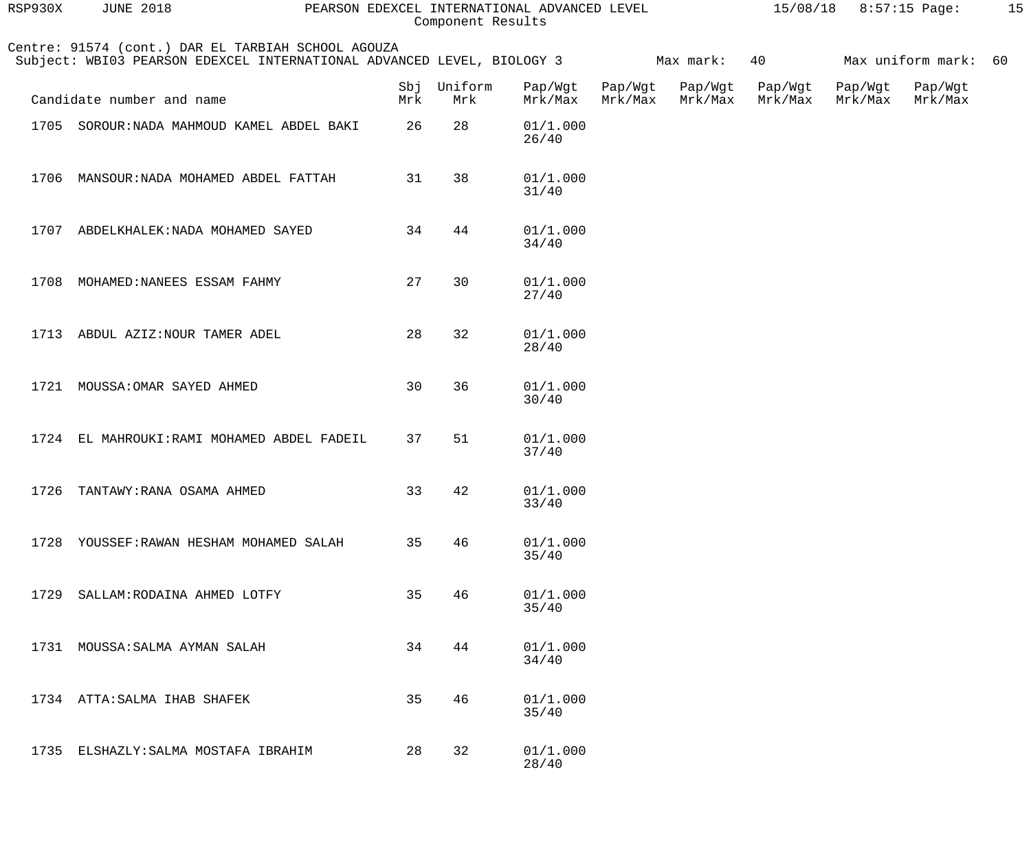| RSP930X | <b>JUNE 2018</b>                                                                                                             |     | Component Results  | PEARSON EDEXCEL INTERNATIONAL ADVANCED LEVEL |                    |                    |                    | $15/08/18$ 8:57:15 Page: |                      | 15 |
|---------|------------------------------------------------------------------------------------------------------------------------------|-----|--------------------|----------------------------------------------|--------------------|--------------------|--------------------|--------------------------|----------------------|----|
|         | Centre: 91574 (cont.) DAR EL TARBIAH SCHOOL AGOUZA<br>Subject: WBI03 PEARSON EDEXCEL INTERNATIONAL ADVANCED LEVEL, BIOLOGY 3 |     |                    |                                              |                    | Max mark:          | 40                 |                          | Max uniform mark: 60 |    |
|         | Candidate number and name                                                                                                    | Mrk | Sbj Uniform<br>Mrk | Pap/Wgt<br>Mrk/Max                           | Pap/Wgt<br>Mrk/Max | Pap/Wgt<br>Mrk/Max | Pap/Wgt<br>Mrk/Max | Pap/Wgt<br>Mrk/Max       | Pap/Wgt<br>Mrk/Max   |    |
|         | 1705 SOROUR: NADA MAHMOUD KAMEL ABDEL BAKI                                                                                   | 26  | 28                 | 01/1.000<br>26/40                            |                    |                    |                    |                          |                      |    |
|         | 1706 MANSOUR: NADA MOHAMED ABDEL FATTAH                                                                                      | 31  | 38                 | 01/1.000<br>31/40                            |                    |                    |                    |                          |                      |    |
|         | 1707 ABDELKHALEK: NADA MOHAMED SAYED                                                                                         | 34  | 44                 | 01/1.000<br>34/40                            |                    |                    |                    |                          |                      |    |
| 1708    | MOHAMED: NANEES ESSAM FAHMY                                                                                                  | 27  | 30                 | 01/1.000<br>27/40                            |                    |                    |                    |                          |                      |    |
|         | 1713 ABDUL AZIZ: NOUR TAMER ADEL                                                                                             | 28  | 32                 | 01/1.000<br>28/40                            |                    |                    |                    |                          |                      |    |
| 1721    | MOUSSA: OMAR SAYED AHMED                                                                                                     | 30  | 36                 | 01/1.000<br>30/40                            |                    |                    |                    |                          |                      |    |
|         | 1724 EL MAHROUKI: RAMI MOHAMED ABDEL FADEIL                                                                                  | 37  | 51                 | 01/1.000<br>37/40                            |                    |                    |                    |                          |                      |    |
| 1726    | TANTAWY: RANA OSAMA AHMED                                                                                                    | 33  | 42                 | 01/1.000<br>33/40                            |                    |                    |                    |                          |                      |    |
| 1728    | YOUSSEF: RAWAN HESHAM MOHAMED SALAH                                                                                          | 35  | 46                 | 01/1.000<br>35/40                            |                    |                    |                    |                          |                      |    |
| 1729    | SALLAM: RODAINA AHMED LOTFY                                                                                                  | 35  | 46                 | 01/1.000<br>35/40                            |                    |                    |                    |                          |                      |    |
| 1731    | MOUSSA: SALMA AYMAN SALAH                                                                                                    | 34  | 44                 | 01/1.000<br>34/40                            |                    |                    |                    |                          |                      |    |
|         | 1734 ATTA: SALMA IHAB SHAFEK                                                                                                 | 35  | 46                 | 01/1.000<br>35/40                            |                    |                    |                    |                          |                      |    |
| 1735    | ELSHAZLY: SALMA MOSTAFA IBRAHIM                                                                                              | 28  | 32                 | 01/1.000<br>28/40                            |                    |                    |                    |                          |                      |    |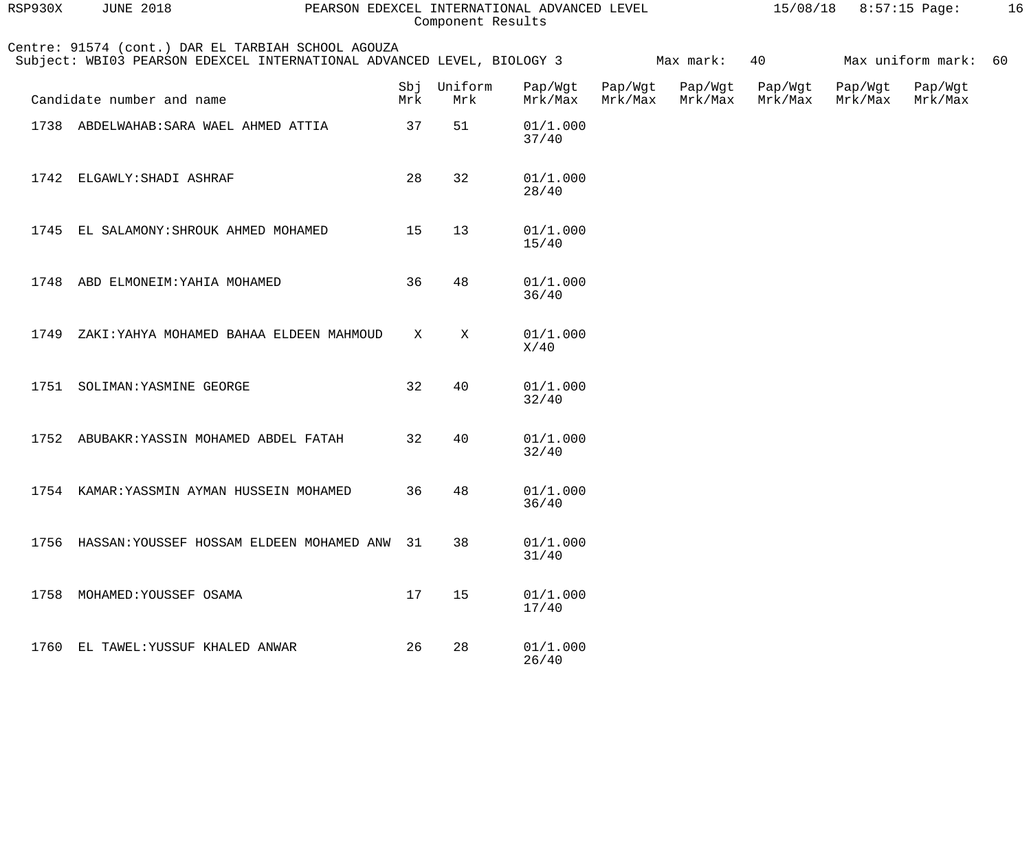| RSP930X | <b>JUNE 2018</b><br>PEARSON EDEXCEL INTERNATIONAL ADVANCED LEVEL<br>Component Results |                                                                                                                              |            |                |                    |                    |                    |                    | 15/08/18 8:57:15 Page: |                    | 16 |
|---------|---------------------------------------------------------------------------------------|------------------------------------------------------------------------------------------------------------------------------|------------|----------------|--------------------|--------------------|--------------------|--------------------|------------------------|--------------------|----|
|         |                                                                                       | Centre: 91574 (cont.) DAR EL TARBIAH SCHOOL AGOUZA<br>Subject: WBI03 PEARSON EDEXCEL INTERNATIONAL ADVANCED LEVEL, BIOLOGY 3 |            |                |                    |                    | Max mark:          | 40                 |                        | Max uniform mark:  | 60 |
|         | Candidate number and name                                                             |                                                                                                                              | Sbj<br>Mrk | Uniform<br>Mrk | Pap/Wgt<br>Mrk/Max | Pap/Wgt<br>Mrk/Max | Pap/Wgt<br>Mrk/Max | Pap/Wgt<br>Mrk/Max | Pap/Wgt<br>Mrk/Max     | Pap/Wgt<br>Mrk/Max |    |
|         | 1738 ABDELWAHAB: SARA WAEL AHMED ATTIA                                                |                                                                                                                              | 37         | 51             | 01/1.000<br>37/40  |                    |                    |                    |                        |                    |    |
|         | 1742 ELGAWLY: SHADI ASHRAF                                                            |                                                                                                                              | 28         | 32             | 01/1.000<br>28/40  |                    |                    |                    |                        |                    |    |
| 1745    | EL SALAMONY: SHROUK AHMED MOHAMED                                                     |                                                                                                                              | 15         | 13             | 01/1.000<br>15/40  |                    |                    |                    |                        |                    |    |
| 1748    | ABD ELMONEIM: YAHIA MOHAMED                                                           |                                                                                                                              | 36         | 48             | 01/1.000<br>36/40  |                    |                    |                    |                        |                    |    |
| 1749    |                                                                                       | ZAKI: YAHYA MOHAMED BAHAA ELDEEN MAHMOUD                                                                                     | X          | $\mathbf X$    | 01/1.000<br>X/40   |                    |                    |                    |                        |                    |    |
|         | 1751 SOLIMAN: YASMINE GEORGE                                                          |                                                                                                                              | 32         | 40             | 01/1.000<br>32/40  |                    |                    |                    |                        |                    |    |
|         | 1752 ABUBAKR: YASSIN MOHAMED ABDEL FATAH                                              |                                                                                                                              | 32         | 40             | 01/1.000<br>32/40  |                    |                    |                    |                        |                    |    |
|         | 1754 KAMAR: YASSMIN AYMAN HUSSEIN MOHAMED                                             |                                                                                                                              | 36         | 48             | 01/1.000<br>36/40  |                    |                    |                    |                        |                    |    |
|         |                                                                                       | 1756 HASSAN: YOUSSEF HOSSAM ELDEEN MOHAMED ANW 31                                                                            |            | 38             | 01/1.000<br>31/40  |                    |                    |                    |                        |                    |    |
|         | 1758 MOHAMED: YOUSSEF OSAMA                                                           |                                                                                                                              | 17         | 15             | 01/1.000<br>17/40  |                    |                    |                    |                        |                    |    |
|         | 1760 EL TAWEL: YUSSUF KHALED ANWAR                                                    |                                                                                                                              | 26         | 28             | 01/1.000<br>26/40  |                    |                    |                    |                        |                    |    |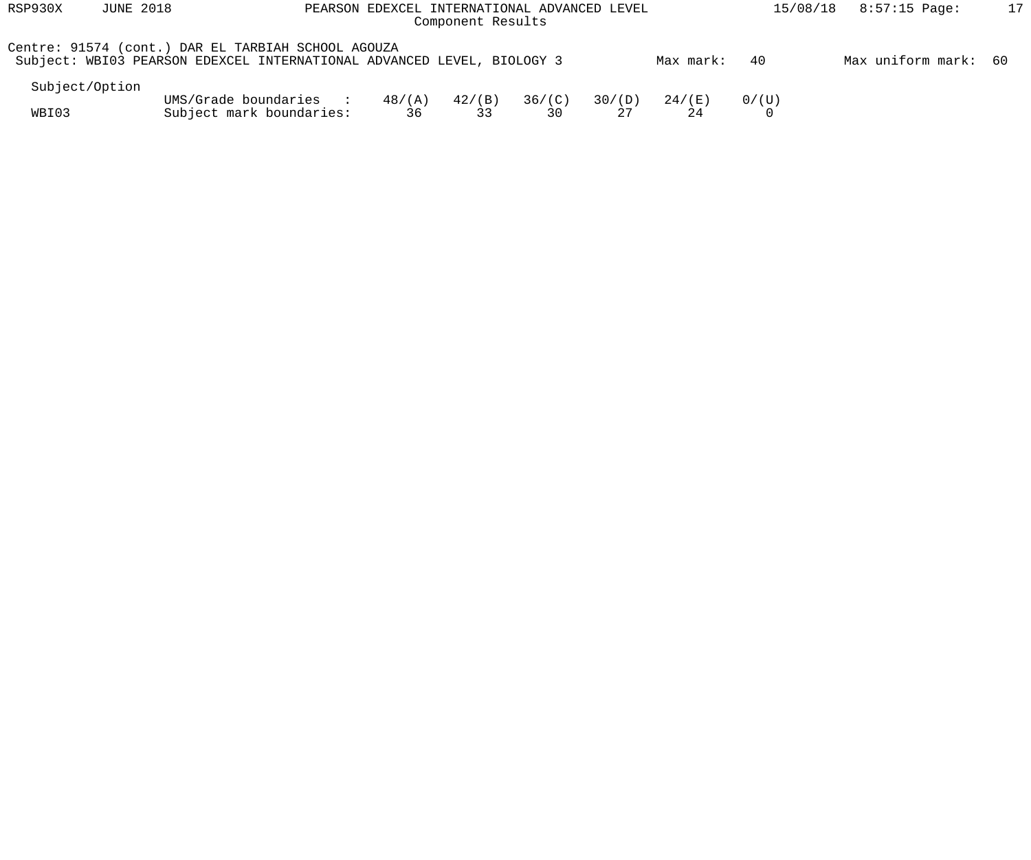| RSP930X        | <b>JUNE 2018</b> | PEARSON EDEXCEL INTERNATIONAL ADVANCED LEVEL                                                                                 |                       |                 | 8:57:15 Page:<br>15/08/18 | 17     |           |       |                      |  |
|----------------|------------------|------------------------------------------------------------------------------------------------------------------------------|-----------------------|-----------------|---------------------------|--------|-----------|-------|----------------------|--|
|                |                  | Centre: 91574 (cont.) DAR EL TARBIAH SCHOOL AGOUZA<br>Subject: WBI03 PEARSON EDEXCEL INTERNATIONAL ADVANCED LEVEL, BIOLOGY 3 |                       |                 |                           |        | Max mark: | -40   | Max uniform mark: 60 |  |
| Subject/Option |                  |                                                                                                                              |                       |                 |                           |        |           |       |                      |  |
| WBI03          |                  | UMS/Grade boundaries<br>Subject mark boundaries:                                                                             | $48/(\text{A})$<br>36 | $42/$ (B)<br>33 | 36/(C)<br>30              | 30/(D) | 24 / (E)  | 0/(U) |                      |  |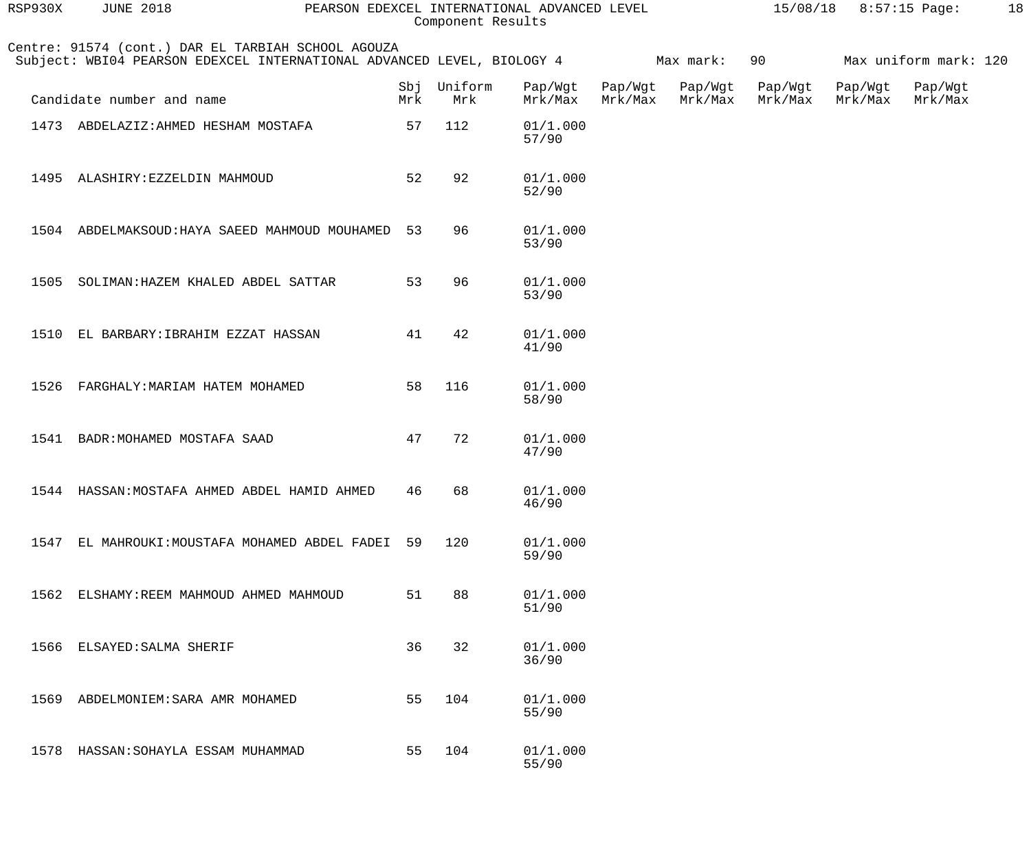| RSP930X | <b>JUNE 2018</b>                                                                                                             | PEARSON EDEXCEL INTERNATIONAL ADVANCED LEVEL |     | Component Results  |                    |                    |                    |                    | $15/08/18$ 8:57:15 Page: |                       | 18 |
|---------|------------------------------------------------------------------------------------------------------------------------------|----------------------------------------------|-----|--------------------|--------------------|--------------------|--------------------|--------------------|--------------------------|-----------------------|----|
|         | Centre: 91574 (cont.) DAR EL TARBIAH SCHOOL AGOUZA<br>Subject: WBI04 PEARSON EDEXCEL INTERNATIONAL ADVANCED LEVEL, BIOLOGY 4 |                                              |     |                    |                    |                    | Max mark:          | 90                 |                          | Max uniform mark: 120 |    |
|         | Candidate number and name                                                                                                    |                                              | Mrk | Sbj Uniform<br>Mrk | Pap/Wgt<br>Mrk/Max | Pap/Wgt<br>Mrk/Max | Pap/Wgt<br>Mrk/Max | Pap/Wgt<br>Mrk/Max | Pap/Wgt<br>Mrk/Max       | Pap/Wgt<br>Mrk/Max    |    |
|         | 1473 ABDELAZIZ: AHMED HESHAM MOSTAFA                                                                                         |                                              | 57  | 112                | 01/1.000<br>57/90  |                    |                    |                    |                          |                       |    |
|         | 1495 ALASHIRY: EZZELDIN MAHMOUD                                                                                              |                                              | 52  | 92                 | 01/1.000<br>52/90  |                    |                    |                    |                          |                       |    |
|         | 1504 ABDELMAKSOUD: HAYA SAEED MAHMOUD MOUHAMED                                                                               |                                              | 53  | 96                 | 01/1.000<br>53/90  |                    |                    |                    |                          |                       |    |
| 1505    | SOLIMAN: HAZEM KHALED ABDEL SATTAR                                                                                           |                                              | 53  | 96                 | 01/1.000<br>53/90  |                    |                    |                    |                          |                       |    |
|         | 1510 EL BARBARY: IBRAHIM EZZAT HASSAN                                                                                        |                                              | 41  | 42                 | 01/1.000<br>41/90  |                    |                    |                    |                          |                       |    |
| 1526    | FARGHALY: MARIAM HATEM MOHAMED                                                                                               |                                              | 58  | 116                | 01/1.000<br>58/90  |                    |                    |                    |                          |                       |    |
| 1541    | BADR: MOHAMED MOSTAFA SAAD                                                                                                   |                                              | 47  | 72                 | 01/1.000<br>47/90  |                    |                    |                    |                          |                       |    |
|         | 1544 HASSAN: MOSTAFA AHMED ABDEL HAMID AHMED                                                                                 |                                              | 46  | 68                 | 01/1.000<br>46/90  |                    |                    |                    |                          |                       |    |
| 1547    | EL MAHROUKI: MOUSTAFA MOHAMED ABDEL FADEI                                                                                    |                                              | 59  | 120                | 01/1.000<br>59/90  |                    |                    |                    |                          |                       |    |
| 1562    | ELSHAMY: REEM MAHMOUD AHMED MAHMOUD                                                                                          |                                              | 51  | 88                 | 01/1.000<br>51/90  |                    |                    |                    |                          |                       |    |
| 1566    | ELSAYED: SALMA SHERIF                                                                                                        |                                              | 36  | 32                 | 01/1.000<br>36/90  |                    |                    |                    |                          |                       |    |
| 1569    | ABDELMONIEM: SARA AMR MOHAMED                                                                                                |                                              | 55  | 104                | 01/1.000<br>55/90  |                    |                    |                    |                          |                       |    |
| 1578    | HASSAN: SOHAYLA ESSAM MUHAMMAD                                                                                               |                                              | 55  | 104                | 01/1.000<br>55/90  |                    |                    |                    |                          |                       |    |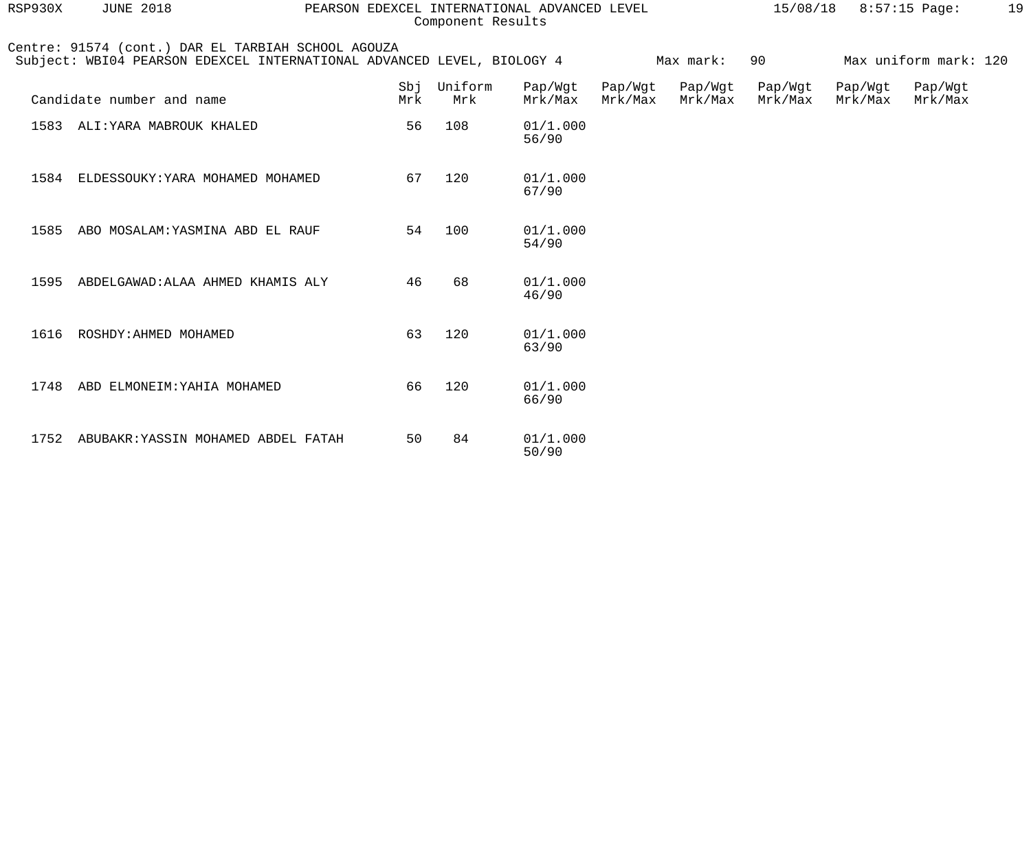| RSP930X | <b>JUNE 2018</b>                                                                                                             | PEARSON EDEXCEL INTERNATIONAL ADVANCED LEVEL |            | Component Results |                    |                    |                    | 15/08/18           |                    | $8:57:15$ Page:       | 19 |
|---------|------------------------------------------------------------------------------------------------------------------------------|----------------------------------------------|------------|-------------------|--------------------|--------------------|--------------------|--------------------|--------------------|-----------------------|----|
|         | Centre: 91574 (cont.) DAR EL TARBIAH SCHOOL AGOUZA<br>Subject: WBI04 PEARSON EDEXCEL INTERNATIONAL ADVANCED LEVEL, BIOLOGY 4 |                                              |            |                   |                    |                    | Max mark:          | 90                 |                    | Max uniform mark: 120 |    |
|         | Candidate number and name                                                                                                    |                                              | Sbi<br>Mrk | Uniform<br>Mrk    | Pap/Wgt<br>Mrk/Max | Pap/Wgt<br>Mrk/Max | Pap/Wgt<br>Mrk/Max | Pap/Wgt<br>Mrk/Max | Pap/Wgt<br>Mrk/Max | Pap/Wgt<br>Mrk/Max    |    |
|         | 1583 ALI: YARA MABROUK KHALED                                                                                                |                                              | 56         | 108               | 01/1.000<br>56/90  |                    |                    |                    |                    |                       |    |
|         | 1584 ELDESSOUKY: YARA MOHAMED MOHAMED                                                                                        |                                              | 67         | 120               | 01/1.000<br>67/90  |                    |                    |                    |                    |                       |    |
| 1585    | ABO MOSALAM: YASMINA ABD EL RAUF                                                                                             |                                              | 54         | 100               | 01/1.000<br>54/90  |                    |                    |                    |                    |                       |    |
| 1595    | ABDELGAWAD: ALAA AHMED KHAMIS ALY                                                                                            |                                              | 46         | 68                | 01/1.000<br>46/90  |                    |                    |                    |                    |                       |    |
| 1616    | ROSHDY: AHMED MOHAMED                                                                                                        |                                              | 63         | 120               | 01/1.000<br>63/90  |                    |                    |                    |                    |                       |    |
| 1748    | ABD ELMONEIM: YAHIA MOHAMED                                                                                                  |                                              | 66         | 120               | 01/1.000<br>66/90  |                    |                    |                    |                    |                       |    |
| 1752    | ABUBAKR: YASSIN MOHAMED ABDEL FATAH                                                                                          |                                              | 50         | 84                | 01/1.000<br>50/90  |                    |                    |                    |                    |                       |    |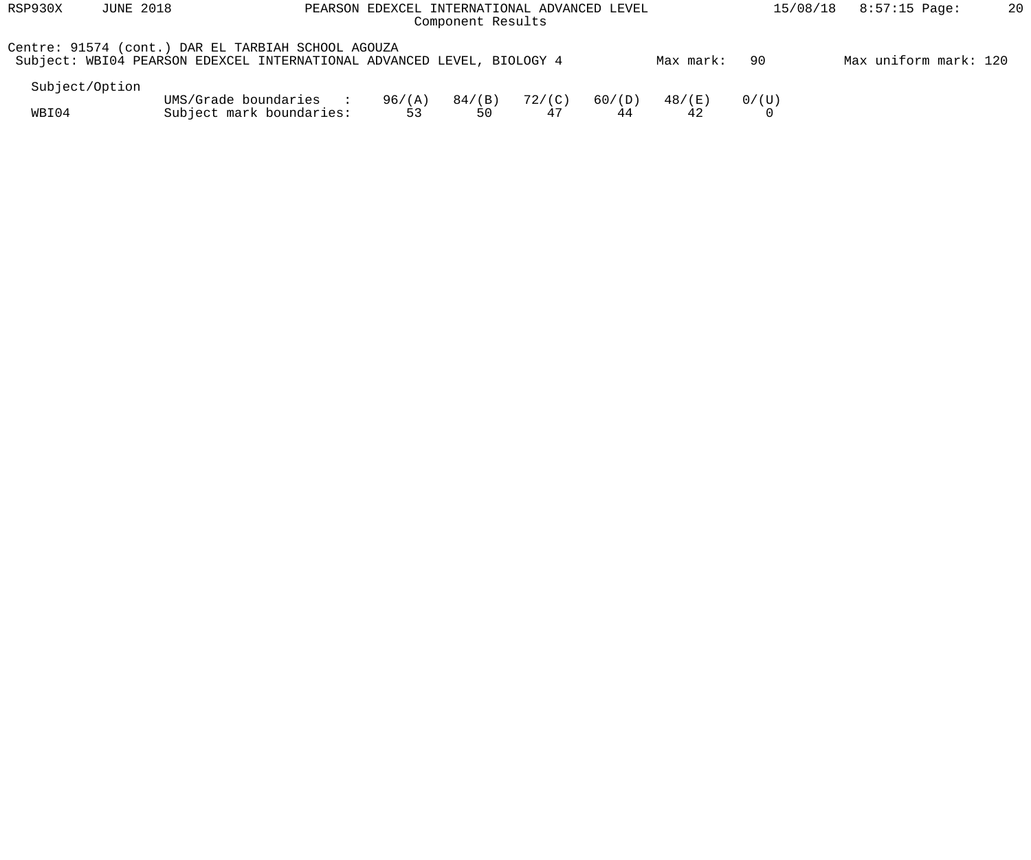| RSP930X        | <b>JUNE 2018</b> | PEARSON EDEXCEL INTERNATIONAL ADVANCED LEVEL                                                                                 |              |                 | 8:57:15 Page:<br>15/08/18 | 20           |              |       |                       |  |
|----------------|------------------|------------------------------------------------------------------------------------------------------------------------------|--------------|-----------------|---------------------------|--------------|--------------|-------|-----------------------|--|
|                |                  | Centre: 91574 (cont.) DAR EL TARBIAH SCHOOL AGOUZA<br>Subject: WBI04 PEARSON EDEXCEL INTERNATIONAL ADVANCED LEVEL, BIOLOGY 4 |              |                 |                           |              | Max mark:    | -90   | Max uniform mark: 120 |  |
| Subject/Option |                  |                                                                                                                              |              |                 |                           |              |              |       |                       |  |
| WBI04          |                  | UMS/Grade boundaries :<br>Subject mark boundaries:                                                                           | 96/(A)<br>53 | $84/$ (B)<br>50 | 72/(C)<br>47              | 60/(D)<br>44 | 48/(E)<br>42 | 0/(U) |                       |  |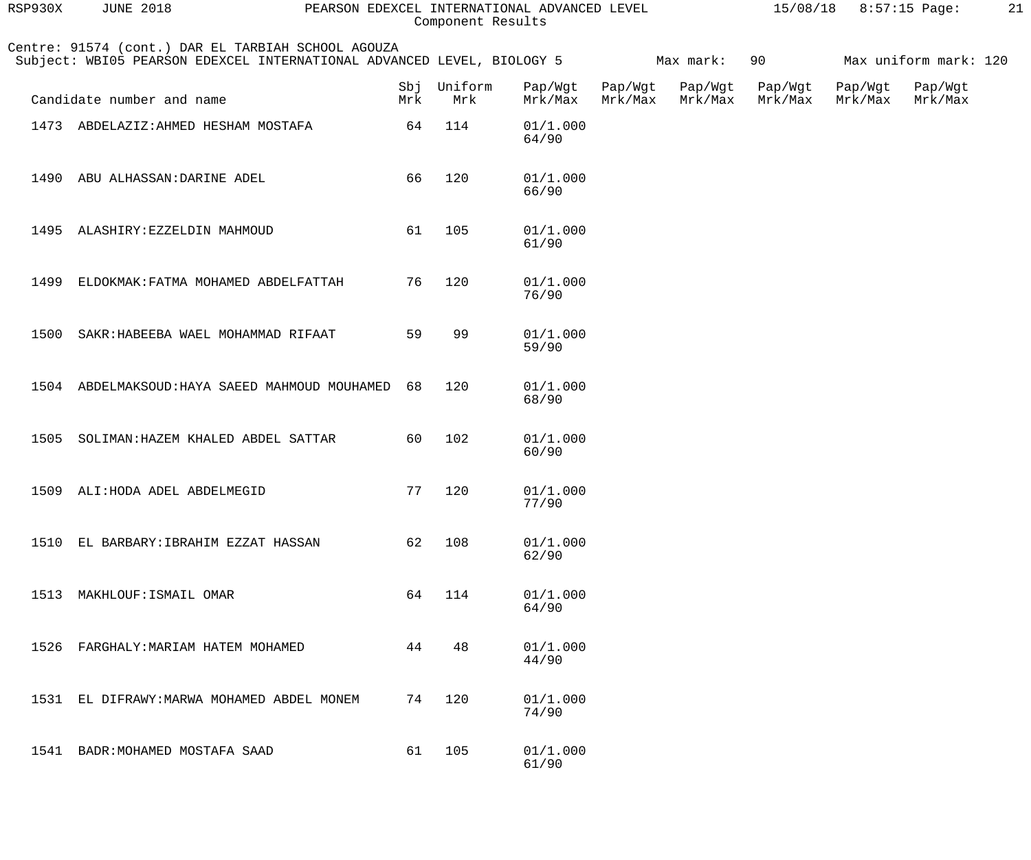| RSP930X | <b>JUNE 2018</b>                                                                                                             | PEARSON EDEXCEL INTERNATIONAL ADVANCED LEVEL | Component Results  |                    |                    |                    |                    | $15/08/18$ 8:57:15 Page: |                       | 21 |
|---------|------------------------------------------------------------------------------------------------------------------------------|----------------------------------------------|--------------------|--------------------|--------------------|--------------------|--------------------|--------------------------|-----------------------|----|
|         | Centre: 91574 (cont.) DAR EL TARBIAH SCHOOL AGOUZA<br>Subject: WBI05 PEARSON EDEXCEL INTERNATIONAL ADVANCED LEVEL, BIOLOGY 5 |                                              |                    |                    |                    | Max mark:          | 90                 |                          | Max uniform mark: 120 |    |
|         | Candidate number and name                                                                                                    | Mrk                                          | Sbj Uniform<br>Mrk | Pap/Wgt<br>Mrk/Max | Pap/Wgt<br>Mrk/Max | Pap/Wgt<br>Mrk/Max | Pap/Wgt<br>Mrk/Max | Pap/Wgt<br>Mrk/Max       | Pap/Wgt<br>Mrk/Max    |    |
|         | 1473 ABDELAZIZ: AHMED HESHAM MOSTAFA                                                                                         | 64                                           | 114                | 01/1.000<br>64/90  |                    |                    |                    |                          |                       |    |
|         | 1490 ABU ALHASSAN: DARINE ADEL                                                                                               | 66                                           | 120                | 01/1.000<br>66/90  |                    |                    |                    |                          |                       |    |
|         | 1495 ALASHIRY: EZZELDIN MAHMOUD                                                                                              | 61                                           | 105                | 01/1.000<br>61/90  |                    |                    |                    |                          |                       |    |
| 1499    | ELDOKMAK: FATMA MOHAMED ABDELFATTAH                                                                                          | 76                                           | 120                | 01/1.000<br>76/90  |                    |                    |                    |                          |                       |    |
| 1500    | SAKR: HABEEBA WAEL MOHAMMAD RIFAAT                                                                                           | 59                                           | 99                 | 01/1.000<br>59/90  |                    |                    |                    |                          |                       |    |
|         | 1504 ABDELMAKSOUD: HAYA SAEED MAHMOUD MOUHAMED                                                                               | 68                                           | 120                | 01/1.000<br>68/90  |                    |                    |                    |                          |                       |    |
| 1505    | SOLIMAN: HAZEM KHALED ABDEL SATTAR                                                                                           | 60                                           | 102                | 01/1.000<br>60/90  |                    |                    |                    |                          |                       |    |
|         | 1509 ALI: HODA ADEL ABDELMEGID                                                                                               | 77                                           | 120                | 01/1.000<br>77/90  |                    |                    |                    |                          |                       |    |
| 1510    | EL BARBARY: IBRAHIM EZZAT HASSAN                                                                                             | 62                                           | 108                | 01/1.000<br>62/90  |                    |                    |                    |                          |                       |    |
| 1513    | MAKHLOUF: ISMAIL OMAR                                                                                                        | 64                                           | 114                | 01/1.000<br>64/90  |                    |                    |                    |                          |                       |    |
| 1526    | FARGHALY: MARIAM HATEM MOHAMED                                                                                               | 44                                           | 48                 | 01/1.000<br>44/90  |                    |                    |                    |                          |                       |    |
| 1531    | EL DIFRAWY: MARWA MOHAMED ABDEL MONEM                                                                                        | 74                                           | 120                | 01/1.000<br>74/90  |                    |                    |                    |                          |                       |    |
| 1541    | BADR: MOHAMED MOSTAFA SAAD                                                                                                   | 61                                           | 105                | 01/1.000<br>61/90  |                    |                    |                    |                          |                       |    |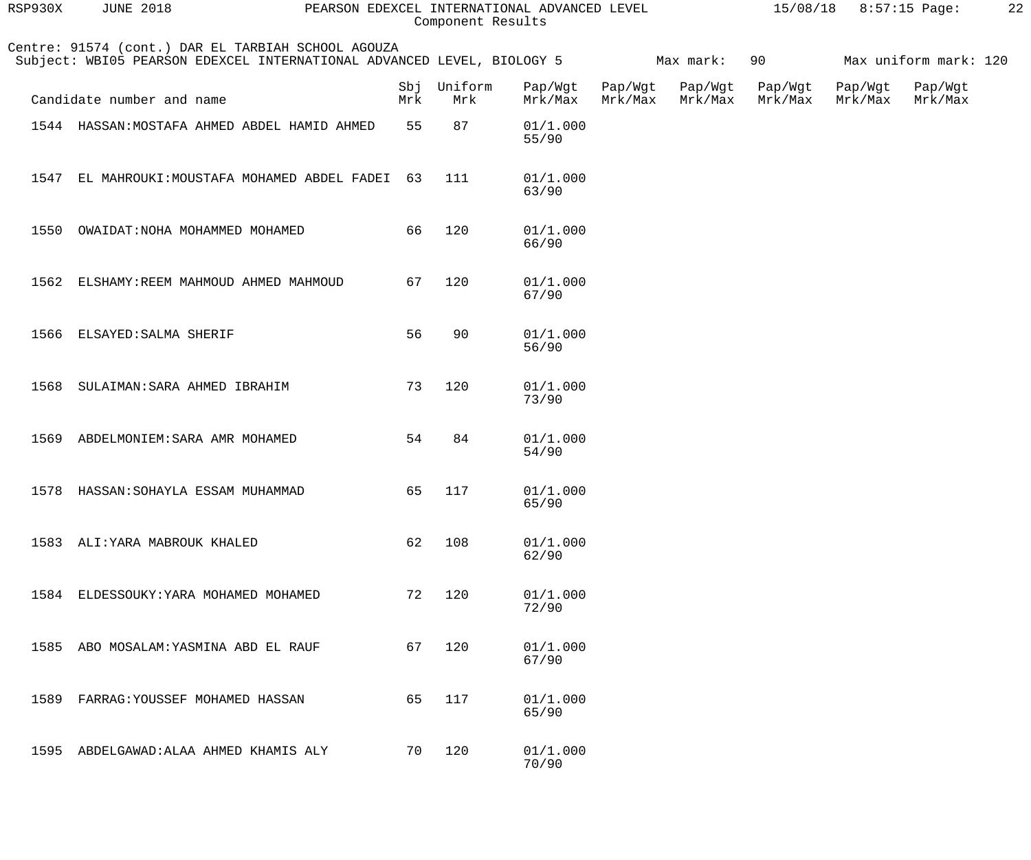| RSP930X | <b>JUNE 2018</b>                                                                                                             |            | Component Results | PEARSON EDEXCEL INTERNATIONAL ADVANCED LEVEL |                    |                    | 15/08/18           |                    | 8:57:15 Page:         | 22 |
|---------|------------------------------------------------------------------------------------------------------------------------------|------------|-------------------|----------------------------------------------|--------------------|--------------------|--------------------|--------------------|-----------------------|----|
|         | Centre: 91574 (cont.) DAR EL TARBIAH SCHOOL AGOUZA<br>Subject: WBI05 PEARSON EDEXCEL INTERNATIONAL ADVANCED LEVEL, BIOLOGY 5 |            |                   |                                              |                    | Max mark:          | 90                 |                    | Max uniform mark: 120 |    |
|         | Candidate number and name                                                                                                    | Sbj<br>Mrk | Uniform<br>Mrk    | Pap/Wgt<br>Mrk/Max                           | Pap/Wgt<br>Mrk/Max | Pap/Wgt<br>Mrk/Max | Pap/Wgt<br>Mrk/Max | Pap/Wgt<br>Mrk/Max | Pap/Wgt<br>Mrk/Max    |    |
|         | 1544 HASSAN: MOSTAFA AHMED ABDEL HAMID AHMED                                                                                 | 55         | 87                | 01/1.000<br>55/90                            |                    |                    |                    |                    |                       |    |
| 1547    | EL MAHROUKI: MOUSTAFA MOHAMED ABDEL FADEI                                                                                    | 63         | 111               | 01/1.000<br>63/90                            |                    |                    |                    |                    |                       |    |
| 1550    | OWAIDAT: NOHA MOHAMMED MOHAMED                                                                                               | 66         | 120               | 01/1.000<br>66/90                            |                    |                    |                    |                    |                       |    |
| 1562    | ELSHAMY: REEM MAHMOUD AHMED MAHMOUD                                                                                          | 67         | 120               | 01/1.000<br>67/90                            |                    |                    |                    |                    |                       |    |
| 1566    | ELSAYED: SALMA SHERIF                                                                                                        | 56         | 90                | 01/1.000<br>56/90                            |                    |                    |                    |                    |                       |    |
| 1568    | SULAIMAN: SARA AHMED IBRAHIM                                                                                                 | 73         | 120               | 01/1.000<br>73/90                            |                    |                    |                    |                    |                       |    |
| 1569    | ABDELMONIEM: SARA AMR MOHAMED                                                                                                | 54         | 84                | 01/1.000<br>54/90                            |                    |                    |                    |                    |                       |    |
|         | 1578 HASSAN: SOHAYLA ESSAM MUHAMMAD                                                                                          | 65         | 117               | 01/1.000<br>65/90                            |                    |                    |                    |                    |                       |    |
|         | 1583 ALI: YARA MABROUK KHALED                                                                                                | 62         | 108               | 01/1.000<br>62/90                            |                    |                    |                    |                    |                       |    |
|         | 1584 ELDESSOUKY: YARA MOHAMED MOHAMED                                                                                        | 72         | 120               | 01/1.000<br>72/90                            |                    |                    |                    |                    |                       |    |
| 1585    | ABO MOSALAM: YASMINA ABD EL RAUF                                                                                             | 67         | 120               | 01/1.000<br>67/90                            |                    |                    |                    |                    |                       |    |
| 1589    | FARRAG: YOUSSEF MOHAMED HASSAN                                                                                               | 65         | 117               | 01/1.000<br>65/90                            |                    |                    |                    |                    |                       |    |
| 1595    | ABDELGAWAD: ALAA AHMED KHAMIS ALY                                                                                            | 70         | 120               | 01/1.000<br>70/90                            |                    |                    |                    |                    |                       |    |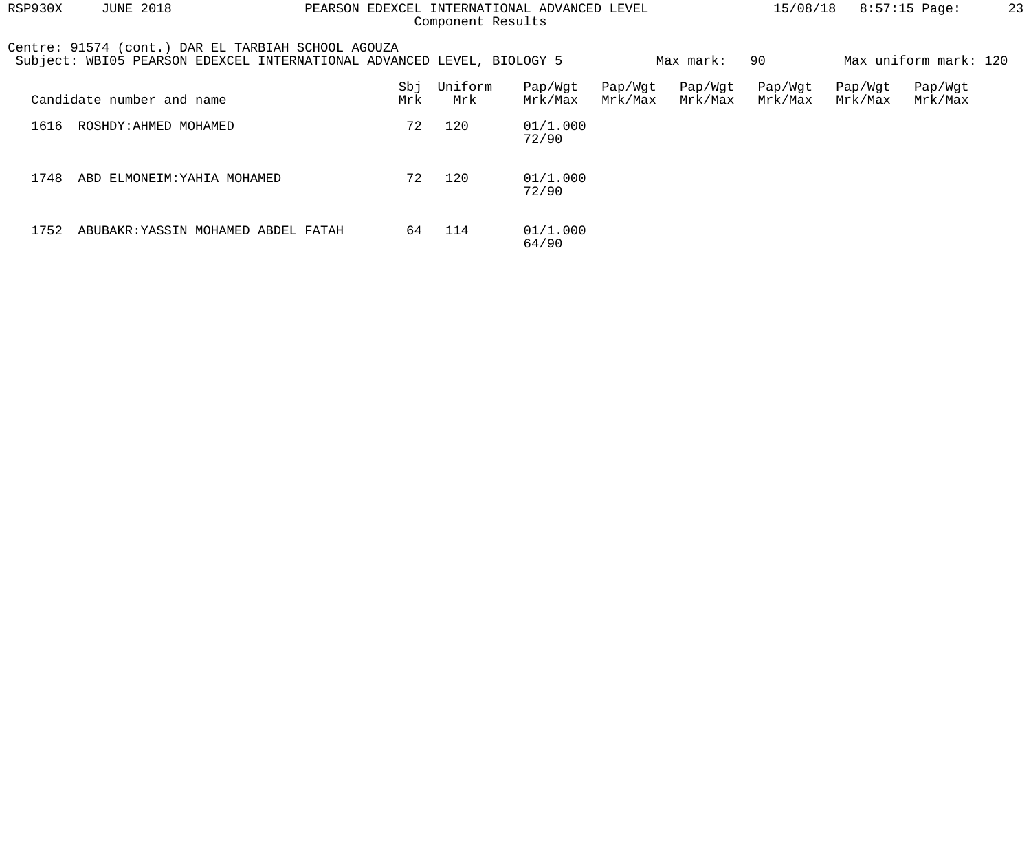| RSP930X | <b>JUNE 2018</b><br>PEARSON EDEXCEL INTERNATIONAL ADVANCED LEVEL<br>Component Results                                        |            |                |                    |                    |                    | 15/08/18           |                    | $8:57:15$ Page:       | 23 |
|---------|------------------------------------------------------------------------------------------------------------------------------|------------|----------------|--------------------|--------------------|--------------------|--------------------|--------------------|-----------------------|----|
|         | Centre: 91574 (cont.) DAR EL TARBIAH SCHOOL AGOUZA<br>Subject: WBI05 PEARSON EDEXCEL INTERNATIONAL ADVANCED LEVEL, BIOLOGY 5 |            |                |                    |                    | Max mark:          | 90                 |                    | Max uniform mark: 120 |    |
|         | Candidate number and name                                                                                                    | Sbj<br>Mrk | Uniform<br>Mrk | Pap/Wgt<br>Mrk/Max | Pap/Wgt<br>Mrk/Max | Pap/Wgt<br>Mrk/Max | Pap/Wgt<br>Mrk/Max | Pap/Wgt<br>Mrk/Max | Pap/Wgt<br>Mrk/Max    |    |
| 1616    | ROSHDY: AHMED MOHAMED                                                                                                        | 72         | 120            | 01/1.000<br>72/90  |                    |                    |                    |                    |                       |    |
| 1748    | ABD ELMONEIM: YAHIA MOHAMED                                                                                                  | 72         | 120            | 01/1.000<br>72/90  |                    |                    |                    |                    |                       |    |
| 1752    | ABUBAKR: YASSIN MOHAMED ABDEL FATAH                                                                                          | 64         | 114            | 01/1.000<br>64/90  |                    |                    |                    |                    |                       |    |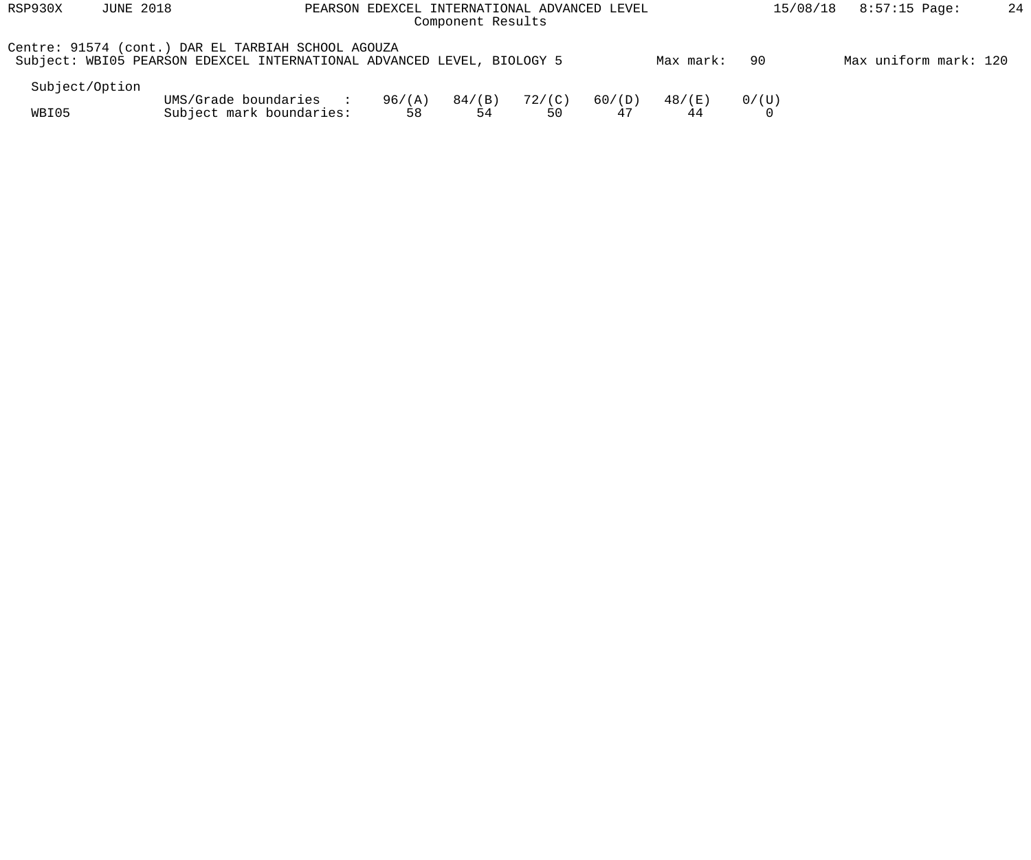| RSP930X        | <b>JUNE 2018</b> | PEARSON EDEXCEL INTERNATIONAL ADVANCED LEVEL                                                                                 |              | 15/08/18     | $8:57:15$ Page: | 24           |              |       |                       |  |
|----------------|------------------|------------------------------------------------------------------------------------------------------------------------------|--------------|--------------|-----------------|--------------|--------------|-------|-----------------------|--|
|                |                  | Centre: 91574 (cont.) DAR EL TARBIAH SCHOOL AGOUZA<br>Subject: WBI05 PEARSON EDEXCEL INTERNATIONAL ADVANCED LEVEL, BIOLOGY 5 |              |              |                 |              | Max mark:    | -90   | Max uniform mark: 120 |  |
| Subject/Option |                  |                                                                                                                              |              |              |                 |              |              |       |                       |  |
| WBI05          |                  | UMS/Grade boundaries :<br>Subject mark boundaries:                                                                           | 96/(A)<br>58 | 84/(B)<br>54 | 72/(C)<br>50    | 60/(D)<br>47 | 48/(E)<br>44 | 0/(U) |                       |  |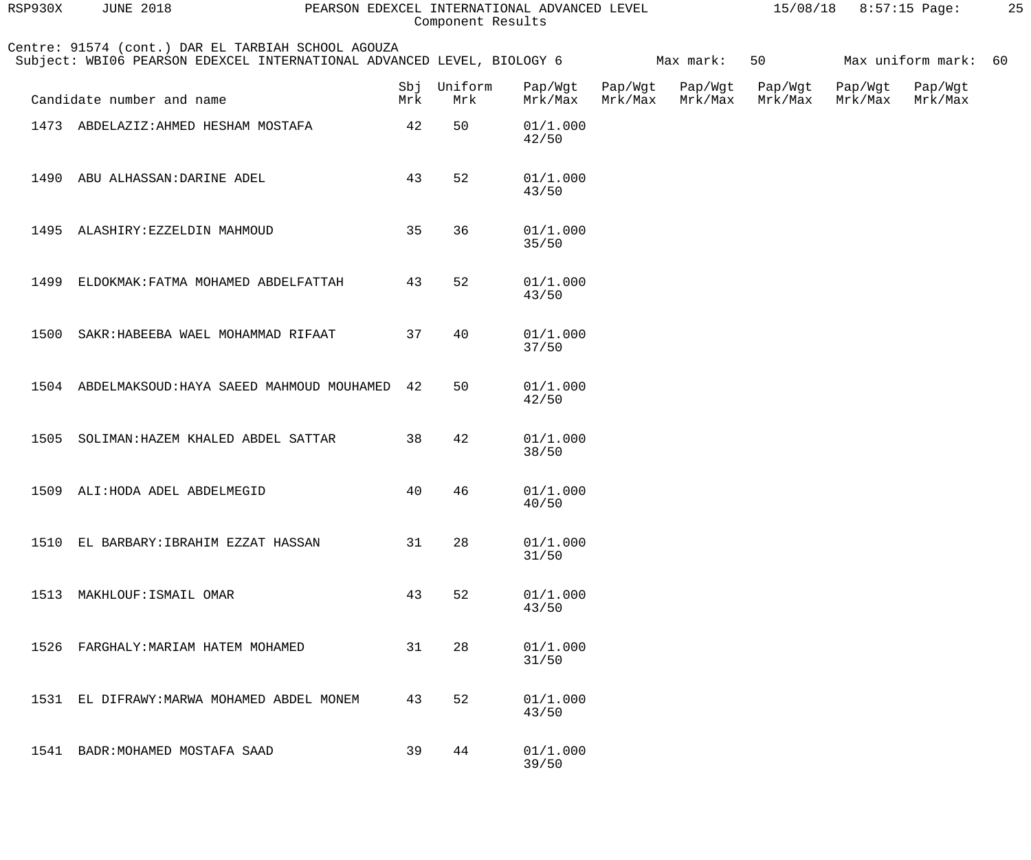| RSP930X | <b>JUNE 2018</b>                                                                                                             | PEARSON EDEXCEL INTERNATIONAL ADVANCED LEVEL |    | Component Results  |                    |                    |                    |                    | 15/08/18 8:57:15 Page: |                      | 25 |
|---------|------------------------------------------------------------------------------------------------------------------------------|----------------------------------------------|----|--------------------|--------------------|--------------------|--------------------|--------------------|------------------------|----------------------|----|
|         | Centre: 91574 (cont.) DAR EL TARBIAH SCHOOL AGOUZA<br>Subject: WBI06 PEARSON EDEXCEL INTERNATIONAL ADVANCED LEVEL, BIOLOGY 6 |                                              |    |                    |                    |                    | Max mark:          | 50                 |                        | Max uniform mark: 60 |    |
|         | Candidate number and name                                                                                                    | Mrk                                          |    | Sbj Uniform<br>Mrk | Pap/Wgt<br>Mrk/Max | Pap/Wgt<br>Mrk/Max | Pap/Wgt<br>Mrk/Max | Pap/Wgt<br>Mrk/Max | Pap/Wgt<br>Mrk/Max     | Pap/Wgt<br>Mrk/Max   |    |
|         | 1473 ABDELAZIZ: AHMED HESHAM MOSTAFA                                                                                         |                                              | 42 | 50                 | 01/1.000<br>42/50  |                    |                    |                    |                        |                      |    |
|         | 1490 ABU ALHASSAN: DARINE ADEL                                                                                               |                                              | 43 | 52                 | 01/1.000<br>43/50  |                    |                    |                    |                        |                      |    |
|         | 1495 ALASHIRY: EZZELDIN MAHMOUD                                                                                              |                                              | 35 | 36                 | 01/1.000<br>35/50  |                    |                    |                    |                        |                      |    |
| 1499    | ELDOKMAK: FATMA MOHAMED ABDELFATTAH                                                                                          |                                              | 43 | 52                 | 01/1.000<br>43/50  |                    |                    |                    |                        |                      |    |
| 1500    | SAKR: HABEEBA WAEL MOHAMMAD RIFAAT                                                                                           |                                              | 37 | 40                 | 01/1.000<br>37/50  |                    |                    |                    |                        |                      |    |
|         | 1504 ABDELMAKSOUD: HAYA SAEED MAHMOUD MOUHAMED                                                                               |                                              | 42 | 50                 | 01/1.000<br>42/50  |                    |                    |                    |                        |                      |    |
| 1505    | SOLIMAN: HAZEM KHALED ABDEL SATTAR                                                                                           |                                              | 38 | 42                 | 01/1.000<br>38/50  |                    |                    |                    |                        |                      |    |
| 1509    | ALI: HODA ADEL ABDELMEGID                                                                                                    |                                              | 40 | 46                 | 01/1.000<br>40/50  |                    |                    |                    |                        |                      |    |
| 1510    | EL BARBARY: IBRAHIM EZZAT HASSAN                                                                                             |                                              | 31 | 28                 | 01/1.000<br>31/50  |                    |                    |                    |                        |                      |    |
| 1513    | MAKHLOUF: ISMAIL OMAR                                                                                                        |                                              | 43 | 52                 | 01/1.000<br>43/50  |                    |                    |                    |                        |                      |    |
| 1526    | FARGHALY: MARIAM HATEM MOHAMED                                                                                               |                                              | 31 | 28                 | 01/1.000<br>31/50  |                    |                    |                    |                        |                      |    |
| 1531    | EL DIFRAWY: MARWA MOHAMED ABDEL MONEM                                                                                        |                                              | 43 | 52                 | 01/1.000<br>43/50  |                    |                    |                    |                        |                      |    |
| 1541    | BADR: MOHAMED MOSTAFA SAAD                                                                                                   |                                              | 39 | 44                 | 01/1.000<br>39/50  |                    |                    |                    |                        |                      |    |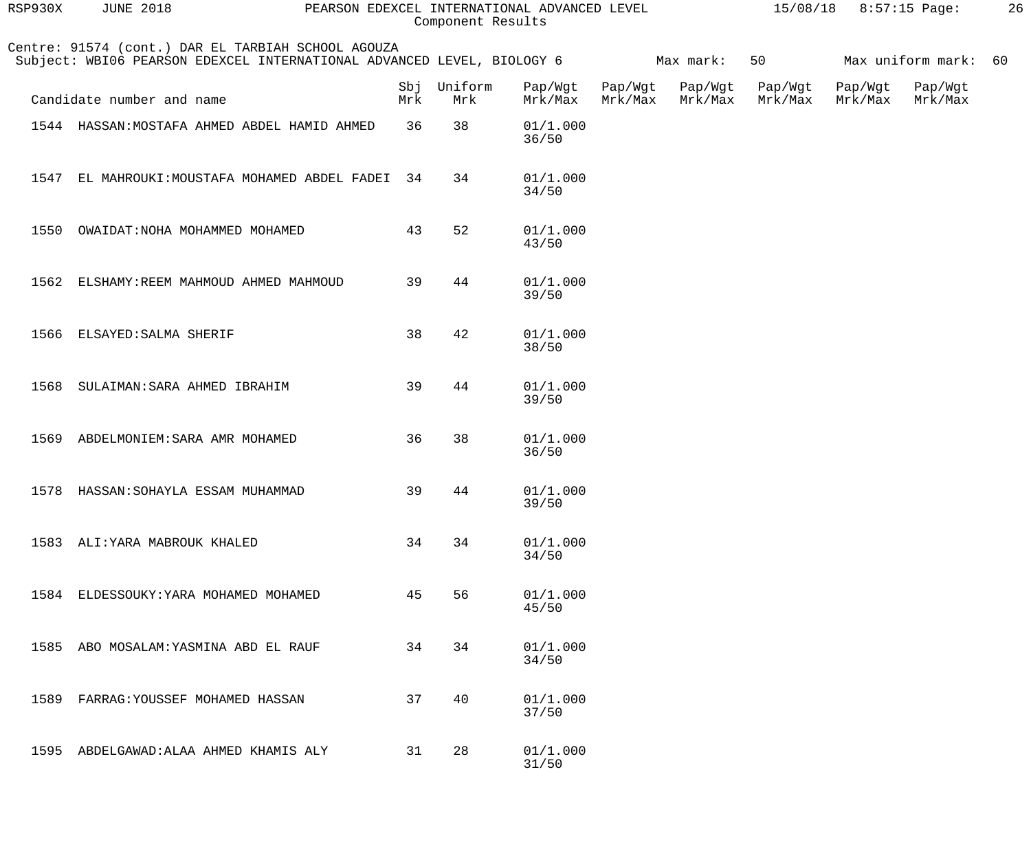| RSP930X | <b>JUNE 2018</b>                                                                                                             | PEARSON EDEXCEL INTERNATIONAL ADVANCED LEVEL | Component Results  |                    |                    |                    |                    | $15/08/18$ 8:57:15 Page: |                      | 26 |
|---------|------------------------------------------------------------------------------------------------------------------------------|----------------------------------------------|--------------------|--------------------|--------------------|--------------------|--------------------|--------------------------|----------------------|----|
|         | Centre: 91574 (cont.) DAR EL TARBIAH SCHOOL AGOUZA<br>Subject: WBI06 PEARSON EDEXCEL INTERNATIONAL ADVANCED LEVEL, BIOLOGY 6 |                                              |                    |                    |                    | Max mark:          | 50                 |                          | Max uniform mark: 60 |    |
|         | Candidate number and name                                                                                                    | Mrk                                          | Sbj Uniform<br>Mrk | Pap/Wgt<br>Mrk/Max | Pap/Wgt<br>Mrk/Max | Pap/Wgt<br>Mrk/Max | Pap/Wgt<br>Mrk/Max | Pap/Wgt<br>Mrk/Max       | Pap/Wgt<br>Mrk/Max   |    |
|         | 1544 HASSAN: MOSTAFA AHMED ABDEL HAMID AHMED                                                                                 | 36                                           | 38                 | 01/1.000<br>36/50  |                    |                    |                    |                          |                      |    |
| 1547    | EL MAHROUKI: MOUSTAFA MOHAMED ABDEL FADEI                                                                                    | 34                                           | 34                 | 01/1.000<br>34/50  |                    |                    |                    |                          |                      |    |
| 1550    | OWAIDAT: NOHA MOHAMMED MOHAMED                                                                                               | 43                                           | 52                 | 01/1.000<br>43/50  |                    |                    |                    |                          |                      |    |
|         | 1562 ELSHAMY: REEM MAHMOUD AHMED MAHMOUD                                                                                     | 39                                           | 44                 | 01/1.000<br>39/50  |                    |                    |                    |                          |                      |    |
|         | 1566 ELSAYED: SALMA SHERIF                                                                                                   | 38                                           | 42                 | 01/1.000<br>38/50  |                    |                    |                    |                          |                      |    |
| 1568    | SULAIMAN: SARA AHMED IBRAHIM                                                                                                 | 39                                           | 44                 | 01/1.000<br>39/50  |                    |                    |                    |                          |                      |    |
| 1569    | ABDELMONIEM: SARA AMR MOHAMED                                                                                                | 36                                           | 38                 | 01/1.000<br>36/50  |                    |                    |                    |                          |                      |    |
| 1578    | HASSAN: SOHAYLA ESSAM MUHAMMAD                                                                                               | 39                                           | 44                 | 01/1.000<br>39/50  |                    |                    |                    |                          |                      |    |
|         | 1583 ALI: YARA MABROUK KHALED                                                                                                | 34                                           | 34                 | 01/1.000<br>34/50  |                    |                    |                    |                          |                      |    |
| 1584    | ELDESSOUKY: YARA MOHAMED MOHAMED                                                                                             | 45                                           | 56                 | 01/1.000<br>45/50  |                    |                    |                    |                          |                      |    |
| 1585    | ABO MOSALAM: YASMINA ABD EL RAUF                                                                                             | 34                                           | 34                 | 01/1.000<br>34/50  |                    |                    |                    |                          |                      |    |
| 1589    | FARRAG: YOUSSEF MOHAMED HASSAN                                                                                               | 37                                           | 40                 | 01/1.000<br>37/50  |                    |                    |                    |                          |                      |    |
| 1595    | ABDELGAWAD: ALAA AHMED KHAMIS ALY                                                                                            | 31                                           | 28                 | 01/1.000<br>31/50  |                    |                    |                    |                          |                      |    |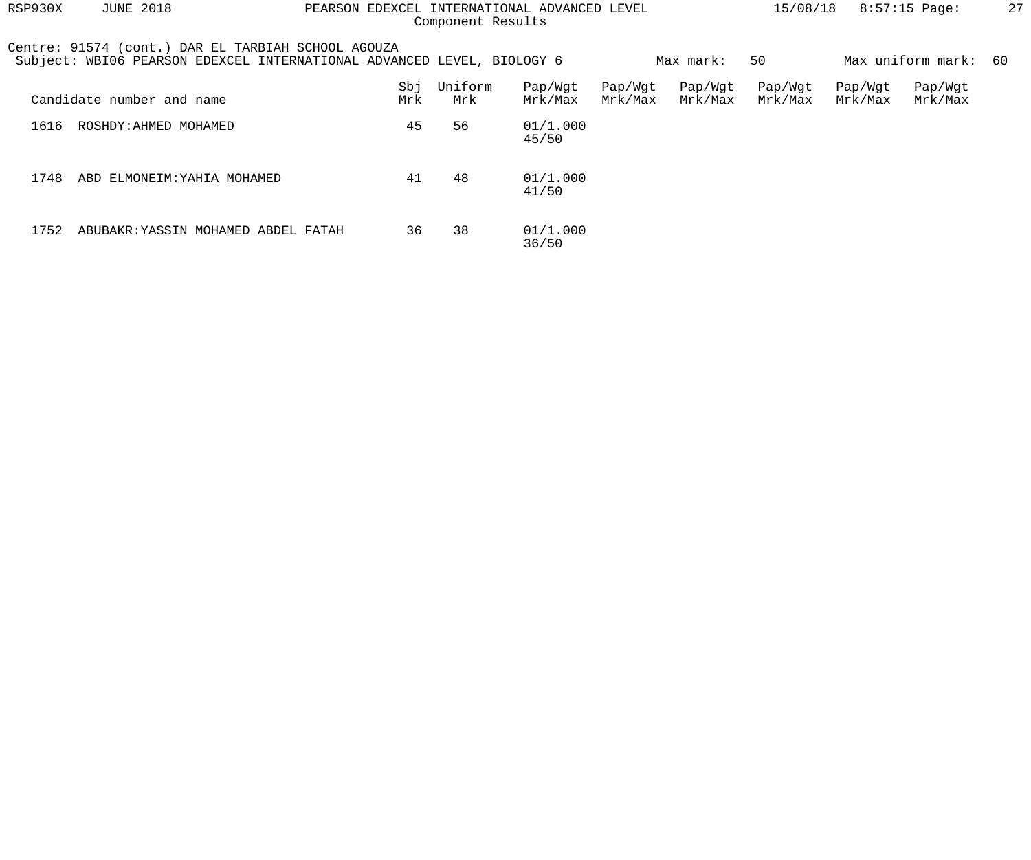| RSP930X<br><b>JUNE 2018</b><br>PEARSON EDEXCEL INTERNATIONAL ADVANCED LEVEL<br>Component Results |                                                                                                                              |  |            |                |                    |                    |                    | 15/08/18           |                    | $8:57:15$ Page:      | 27 |
|--------------------------------------------------------------------------------------------------|------------------------------------------------------------------------------------------------------------------------------|--|------------|----------------|--------------------|--------------------|--------------------|--------------------|--------------------|----------------------|----|
|                                                                                                  | Centre: 91574 (cont.) DAR EL TARBIAH SCHOOL AGOUZA<br>Subject: WBI06 PEARSON EDEXCEL INTERNATIONAL ADVANCED LEVEL, BIOLOGY 6 |  |            |                |                    |                    | Max mark:          | 50                 |                    | Max uniform mark: 60 |    |
|                                                                                                  | Candidate number and name                                                                                                    |  | Sbj<br>Mrk | Uniform<br>Mrk | Pap/Wgt<br>Mrk/Max | Pap/Wgt<br>Mrk/Max | Pap/Wgt<br>Mrk/Max | Pap/Wgt<br>Mrk/Max | Pap/Wgt<br>Mrk/Max | Pap/Wgt<br>Mrk/Max   |    |
| 1616                                                                                             | ROSHDY: AHMED MOHAMED                                                                                                        |  | 45         | 56             | 01/1.000<br>45/50  |                    |                    |                    |                    |                      |    |
| 1748                                                                                             | ABD ELMONEIM: YAHIA MOHAMED                                                                                                  |  | 41         | 48             | 01/1.000<br>41/50  |                    |                    |                    |                    |                      |    |
| 1752                                                                                             | ABUBAKR: YASSIN MOHAMED ABDEL FATAH                                                                                          |  | 36         | 38             | 01/1.000<br>36/50  |                    |                    |                    |                    |                      |    |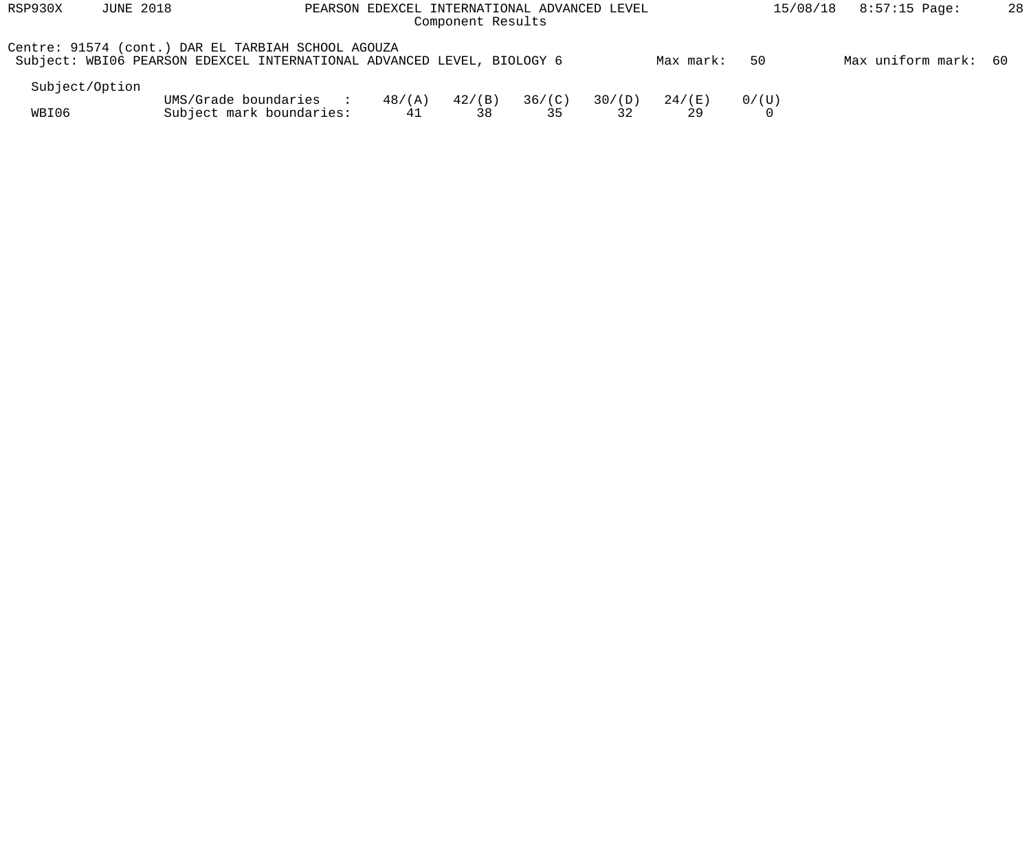| RSP930X        | <b>JUNE 2018</b> |                                                                                                                              |                       | PEARSON EDEXCEL INTERNATIONAL ADVANCED LEVEL<br>Component Results |              |              |                |       | $8:57:15$ Page:<br>15/08/18 | 28 |
|----------------|------------------|------------------------------------------------------------------------------------------------------------------------------|-----------------------|-------------------------------------------------------------------|--------------|--------------|----------------|-------|-----------------------------|----|
|                |                  | Centre: 91574 (cont.) DAR EL TARBIAH SCHOOL AGOUZA<br>Subject: WBI06 PEARSON EDEXCEL INTERNATIONAL ADVANCED LEVEL, BIOLOGY 6 |                       |                                                                   |              |              | Max mark:      | 50    | Max uniform mark: 60        |    |
| Subject/Option |                  |                                                                                                                              |                       |                                                                   |              |              |                |       |                             |    |
| WBI06          |                  | UMS/Grade boundaries :<br>Subject mark boundaries:                                                                           | $48/(\text{A})$<br>41 | $42/$ (B)<br>38                                                   | 36/(C)<br>35 | 30/(D)<br>32 | 24 / (E)<br>29 | 0/(U) |                             |    |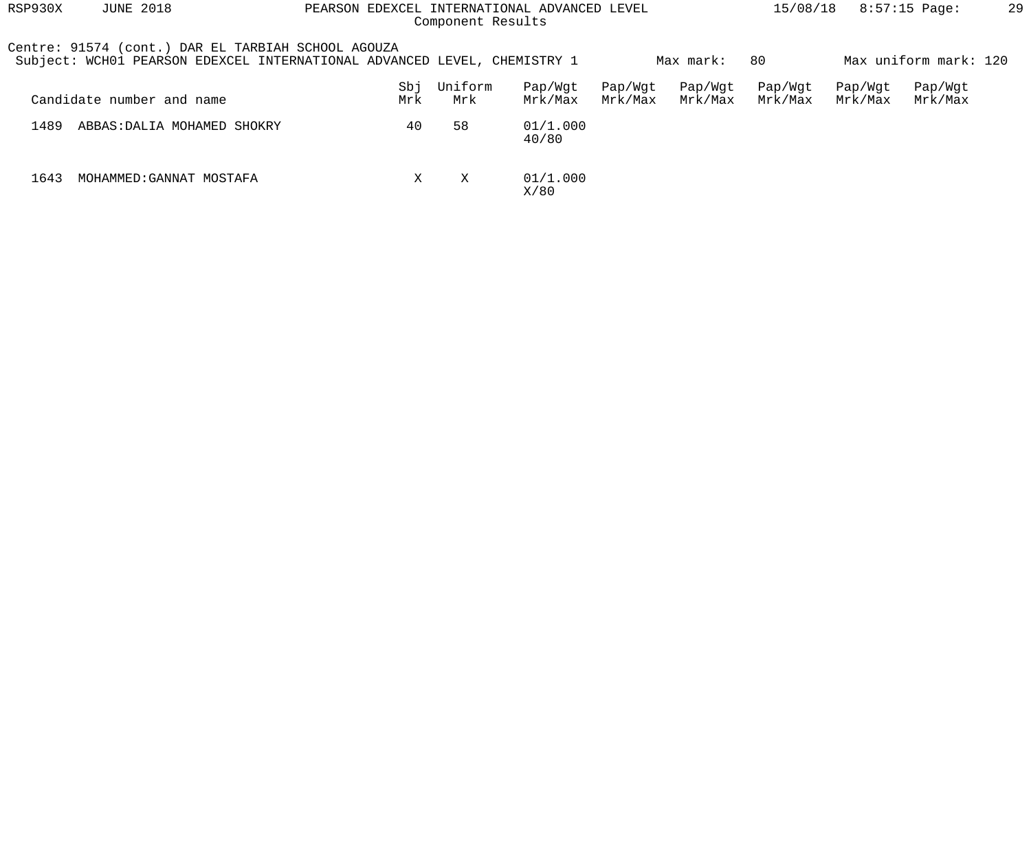| RSP930X | <b>JUNE 2018</b>                                                                                                               | PEARSON EDEXCEL INTERNATIONAL ADVANCED LEVEL | Component Results |                    |                    | 15/08/18           |                    | $8:57:15$ Page:    | 29                    |  |
|---------|--------------------------------------------------------------------------------------------------------------------------------|----------------------------------------------|-------------------|--------------------|--------------------|--------------------|--------------------|--------------------|-----------------------|--|
|         | Centre: 91574 (cont.) DAR EL TARBIAH SCHOOL AGOUZA<br>Subject: WCH01 PEARSON EDEXCEL INTERNATIONAL ADVANCED LEVEL, CHEMISTRY 1 |                                              |                   |                    |                    | Max mark:          | 80                 |                    | Max uniform mark: 120 |  |
|         | Candidate number and name                                                                                                      | Sbj<br>Mrk                                   | Uniform<br>Mrk    | Pap/Wqt<br>Mrk/Max | Pap/Wgt<br>Mrk/Max | Pap/Wgt<br>Mrk/Max | Pap/Wgt<br>Mrk/Max | Pap/Wgt<br>Mrk/Max | Pap/Wgt<br>Mrk/Max    |  |
| 1489    | ABBAS: DALIA MOHAMED SHOKRY                                                                                                    | 40                                           | 58                | 01/1.000<br>40/80  |                    |                    |                    |                    |                       |  |
| 1643    | MOHAMMED: GANNAT MOSTAFA                                                                                                       | X                                            | X                 | 01/1.000<br>X/80   |                    |                    |                    |                    |                       |  |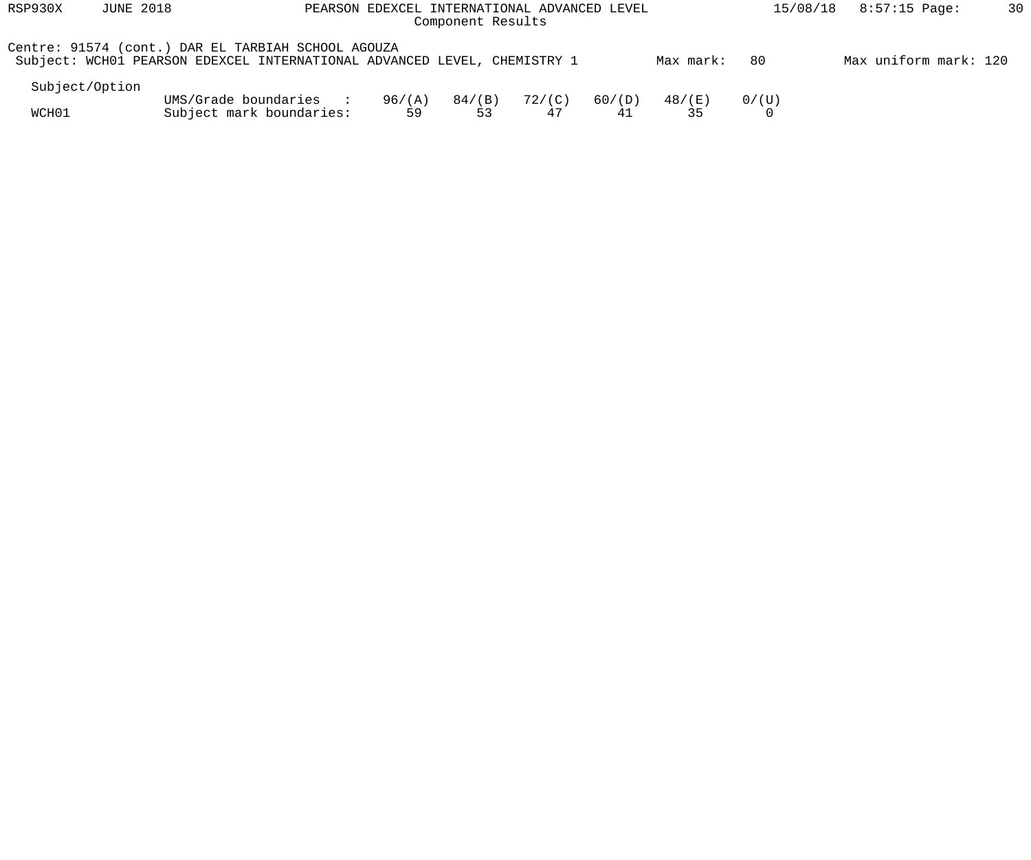| RSP930X        | <b>JUNE 2018</b><br>PEARSON EDEXCEL INTERNATIONAL ADVANCED LEVEL<br>Component Results |                                                                                                                                |              |              |                       |              |              | 15/08/18 | 8:57:15 Page:         | 30 |
|----------------|---------------------------------------------------------------------------------------|--------------------------------------------------------------------------------------------------------------------------------|--------------|--------------|-----------------------|--------------|--------------|----------|-----------------------|----|
|                |                                                                                       | Centre: 91574 (cont.) DAR EL TARBIAH SCHOOL AGOUZA<br>Subject: WCH01 PEARSON EDEXCEL INTERNATIONAL ADVANCED LEVEL, CHEMISTRY 1 |              |              |                       |              | Max mark:    | 80       | Max uniform mark: 120 |    |
| Subject/Option |                                                                                       |                                                                                                                                |              |              |                       |              |              |          |                       |    |
| WCH01          |                                                                                       | UMS/Grade boundaries<br>$\sim$ $\sim$ $\sim$<br>Subject mark boundaries:                                                       | 96/(A)<br>59 | 84/(B)<br>53 | $72/(\text{C})$<br>47 | 60/(D)<br>41 | 48/(E)<br>35 | 0/(U)    |                       |    |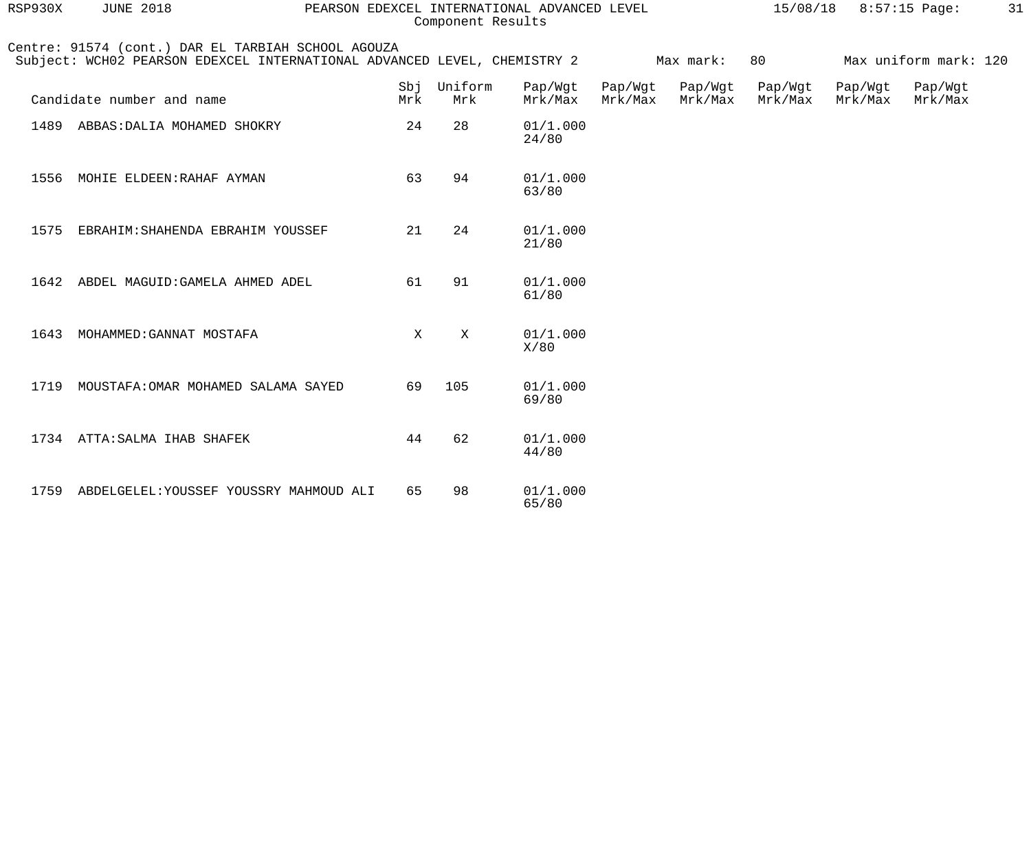| RSP930X | <b>JUNE 2018</b><br>PEARSON EDEXCEL INTERNATIONAL ADVANCED LEVEL                                                               |             |                | $15/08/18$ 8:57:15 Page: |                    | 31                 |                    |                    |                       |  |
|---------|--------------------------------------------------------------------------------------------------------------------------------|-------------|----------------|--------------------------|--------------------|--------------------|--------------------|--------------------|-----------------------|--|
|         | Centre: 91574 (cont.) DAR EL TARBIAH SCHOOL AGOUZA<br>Subject: WCH02 PEARSON EDEXCEL INTERNATIONAL ADVANCED LEVEL, CHEMISTRY 2 |             |                |                          |                    | Max mark:          | 80                 |                    | Max uniform mark: 120 |  |
|         | Candidate number and name                                                                                                      | Sbj<br>Mrk  | Uniform<br>Mrk | Pap/Wgt<br>Mrk/Max       | Pap/Wgt<br>Mrk/Max | Pap/Wgt<br>Mrk/Max | Pap/Wgt<br>Mrk/Max | Pap/Wgt<br>Mrk/Max | Pap/Wgt<br>Mrk/Max    |  |
|         | 1489 ABBAS: DALIA MOHAMED SHOKRY                                                                                               | 24          | 28             | 01/1.000<br>24/80        |                    |                    |                    |                    |                       |  |
|         | 1556 MOHIE ELDEEN: RAHAF AYMAN                                                                                                 | 63          | 94             | 01/1.000<br>63/80        |                    |                    |                    |                    |                       |  |
|         | 1575 EBRAHIM: SHAHENDA EBRAHIM YOUSSEF                                                                                         | 21          | 24             | 01/1.000<br>21/80        |                    |                    |                    |                    |                       |  |
| 1642    | ABDEL MAGUID: GAMELA AHMED ADEL                                                                                                | 61          | 91             | 01/1.000<br>61/80        |                    |                    |                    |                    |                       |  |
|         | 1643 MOHAMMED: GANNAT MOSTAFA                                                                                                  | $\mathbf X$ | $\mathbf X$    | 01/1.000<br>X/80         |                    |                    |                    |                    |                       |  |
|         | 1719 MOUSTAFA: OMAR MOHAMED SALAMA SAYED                                                                                       | 69          | 105            | 01/1.000<br>69/80        |                    |                    |                    |                    |                       |  |
|         | 1734 ATTA: SALMA IHAB SHAFEK                                                                                                   | 44          | 62             | 01/1.000<br>44/80        |                    |                    |                    |                    |                       |  |
|         | 1759 ABDELGELEL: YOUSSEF YOUSSRY MAHMOUD ALI                                                                                   | 65          | 98             | 01/1.000                 |                    |                    |                    |                    |                       |  |

65/80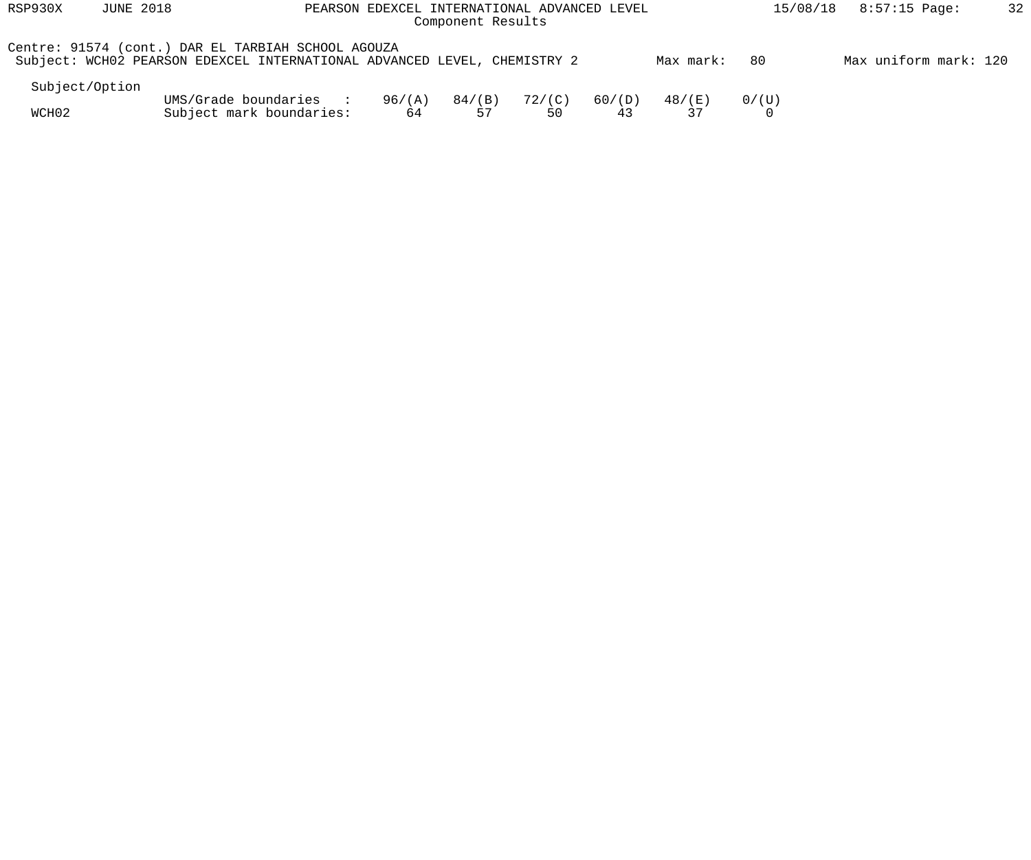| RSP930X        | <b>JUNE 2018</b><br>PEARSON EDEXCEL INTERNATIONAL ADVANCED LEVEL<br>Component Results |                                                                                                                                |              |              |                       |              |              | 15/08/18 | $8:57:15$ Page:       | 32 |
|----------------|---------------------------------------------------------------------------------------|--------------------------------------------------------------------------------------------------------------------------------|--------------|--------------|-----------------------|--------------|--------------|----------|-----------------------|----|
|                |                                                                                       | Centre: 91574 (cont.) DAR EL TARBIAH SCHOOL AGOUZA<br>Subject: WCH02 PEARSON EDEXCEL INTERNATIONAL ADVANCED LEVEL, CHEMISTRY 2 |              |              |                       |              | Max mark:    | 80       | Max uniform mark: 120 |    |
| Subject/Option |                                                                                       |                                                                                                                                |              |              |                       |              |              |          |                       |    |
| WCH02          |                                                                                       | UMS/Grade boundaries<br>$\sim$ $\sim$ $\sim$<br>Subject mark boundaries:                                                       | 96/(A)<br>64 | 84/(B)<br>57 | $72/(\text{C})$<br>50 | 60/(D)<br>43 | 48/(E)<br>37 | 0/(U)    |                       |    |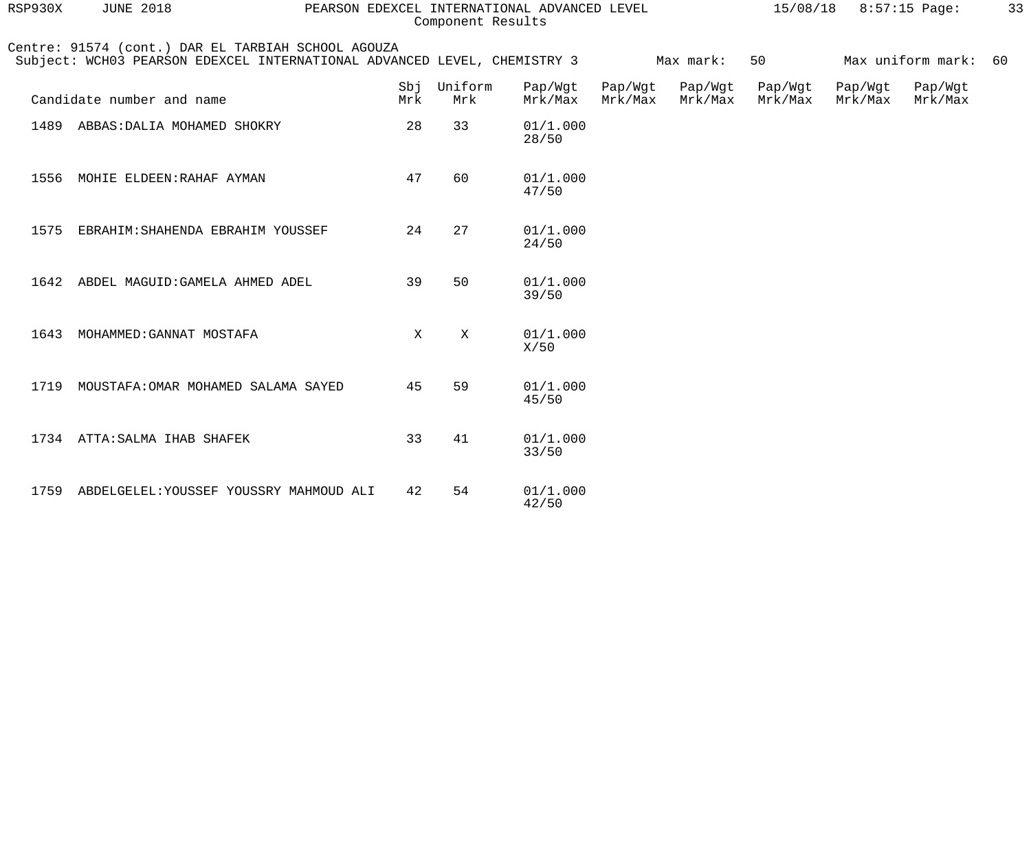| RSP930X | <b>JUNE 2018</b>                                                                                                               |            |                | 15/08/18 8:57:15 Page: |                    | 33                 |                    |                    |                      |  |
|---------|--------------------------------------------------------------------------------------------------------------------------------|------------|----------------|------------------------|--------------------|--------------------|--------------------|--------------------|----------------------|--|
|         | Centre: 91574 (cont.) DAR EL TARBIAH SCHOOL AGOUZA<br>Subject: WCH03 PEARSON EDEXCEL INTERNATIONAL ADVANCED LEVEL, CHEMISTRY 3 |            |                |                        |                    | Max mark:          | 50                 |                    | Max uniform mark: 60 |  |
|         | Candidate number and name                                                                                                      | Sbj<br>Mrk | Uniform<br>Mrk | Pap/Wgt<br>Mrk/Max     | Pap/Wgt<br>Mrk/Max | Pap/Wgt<br>Mrk/Max | Pap/Wgt<br>Mrk/Max | Pap/Wgt<br>Mrk/Max | Pap/Wgt<br>Mrk/Max   |  |
|         | 1489 ABBAS: DALIA MOHAMED SHOKRY                                                                                               | 28         | 33             | 01/1.000<br>28/50      |                    |                    |                    |                    |                      |  |
| 1556    | MOHIE ELDEEN: RAHAF AYMAN                                                                                                      | 47         | 60             | 01/1.000<br>47/50      |                    |                    |                    |                    |                      |  |
|         | 1575 EBRAHIM: SHAHENDA EBRAHIM YOUSSEF                                                                                         | 24         | 27             | 01/1.000<br>24/50      |                    |                    |                    |                    |                      |  |
|         | 1642 ABDEL MAGUID: GAMELA AHMED ADEL                                                                                           | 39         | 50             | 01/1.000<br>39/50      |                    |                    |                    |                    |                      |  |
|         | 1643 MOHAMMED: GANNAT MOSTAFA                                                                                                  | X          | X              | 01/1.000<br>X/50       |                    |                    |                    |                    |                      |  |
|         | 1719 MOUSTAFA: OMAR MOHAMED SALAMA SAYED                                                                                       | 45         | 59             | 01/1.000<br>45/50      |                    |                    |                    |                    |                      |  |
|         | 1734 ATTA: SALMA IHAB SHAFEK                                                                                                   | 33         | 41             | 01/1.000<br>33/50      |                    |                    |                    |                    |                      |  |
|         | 1759 ABDELGELEL: YOUSSEF YOUSSRY MAHMOUD ALI                                                                                   | 42         | 54             | 01/1.000<br>42/50      |                    |                    |                    |                    |                      |  |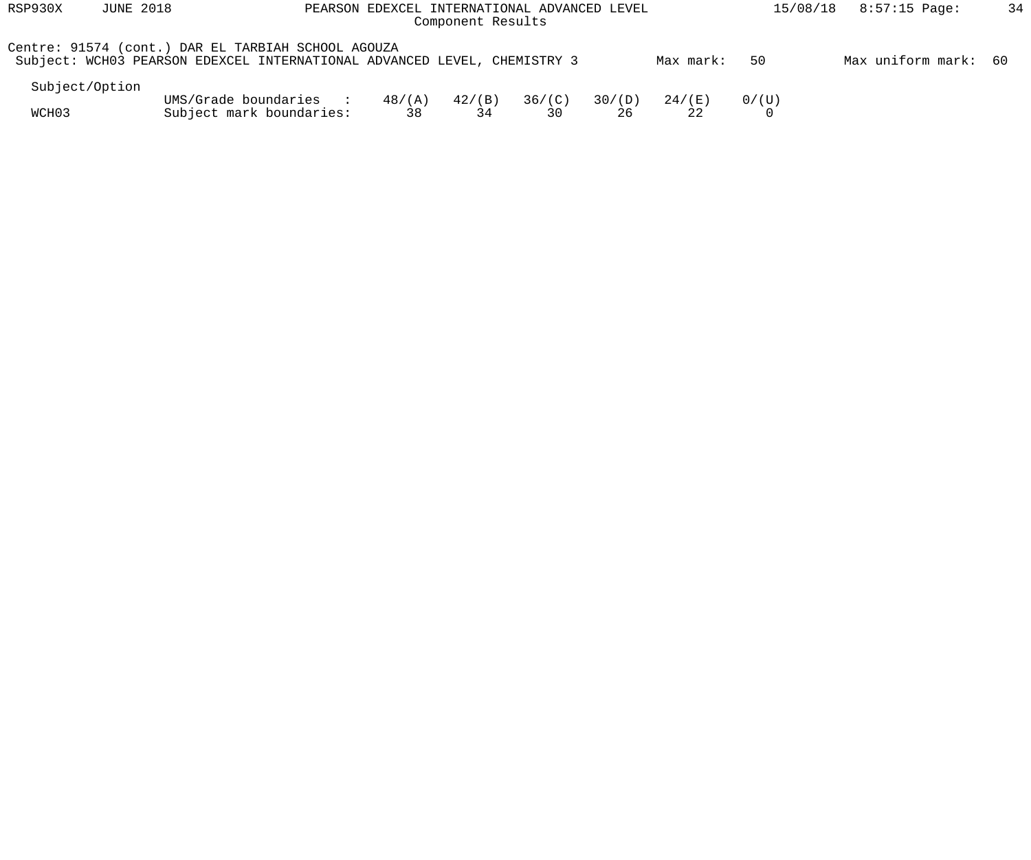| RSP930X        | <b>JUNE 2018</b><br>PEARSON EDEXCEL INTERNATIONAL ADVANCED LEVEL<br>Component Results |                                                                                                                                |                       |                 |              |              |           |       | 34<br>$8:57:15$ Page:<br>15/08/18 |  |  |  |  |
|----------------|---------------------------------------------------------------------------------------|--------------------------------------------------------------------------------------------------------------------------------|-----------------------|-----------------|--------------|--------------|-----------|-------|-----------------------------------|--|--|--|--|
|                |                                                                                       | Centre: 91574 (cont.) DAR EL TARBIAH SCHOOL AGOUZA<br>Subject: WCH03 PEARSON EDEXCEL INTERNATIONAL ADVANCED LEVEL, CHEMISTRY 3 |                       |                 |              |              | Max mark: | 50    | Max uniform mark: 60              |  |  |  |  |
| Subject/Option |                                                                                       |                                                                                                                                |                       |                 |              |              |           |       |                                   |  |  |  |  |
| WCH03          |                                                                                       | UMS/Grade boundaries<br>Subject mark boundaries:                                                                               | $48/(\text{A})$<br>38 | $42/$ (B)<br>34 | 36/(C)<br>30 | 30/(D)<br>26 | 24 / (E)  | 0/(U) |                                   |  |  |  |  |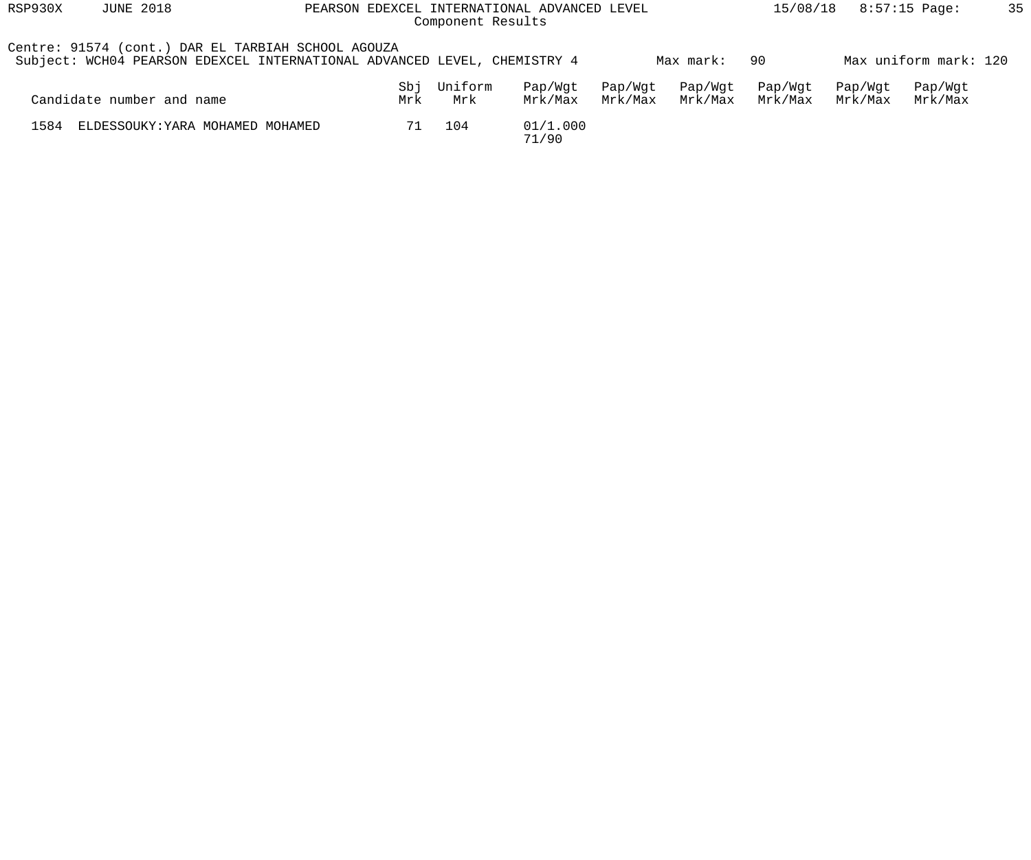| RSP930X | <b>JUNE 2018</b>                                                                                                               |            | 15/08/18       |                    | 8:57:15 Page:      | 35                 |                    |                    |                       |  |
|---------|--------------------------------------------------------------------------------------------------------------------------------|------------|----------------|--------------------|--------------------|--------------------|--------------------|--------------------|-----------------------|--|
|         | Centre: 91574 (cont.) DAR EL TARBIAH SCHOOL AGOUZA<br>Subject: WCH04 PEARSON EDEXCEL INTERNATIONAL ADVANCED LEVEL, CHEMISTRY 4 |            |                |                    |                    | Max mark:          | -90                |                    | Max uniform mark: 120 |  |
|         | Candidate number and name                                                                                                      | Sbj<br>Mrk | Uniform<br>Mrk | Pap/Wqt<br>Mrk/Max | Pap/Wgt<br>Mrk/Max | Pap/Wgt<br>Mrk/Max | Pap/Wgt<br>Mrk/Max | Pap/Wqt<br>Mrk/Max | Pap/Wgt<br>Mrk/Max    |  |
| 1584    | ELDESSOUKY: YARA MOHAMED MOHAMED                                                                                               | 71         | 104            | 01/1.000<br>71/90  |                    |                    |                    |                    |                       |  |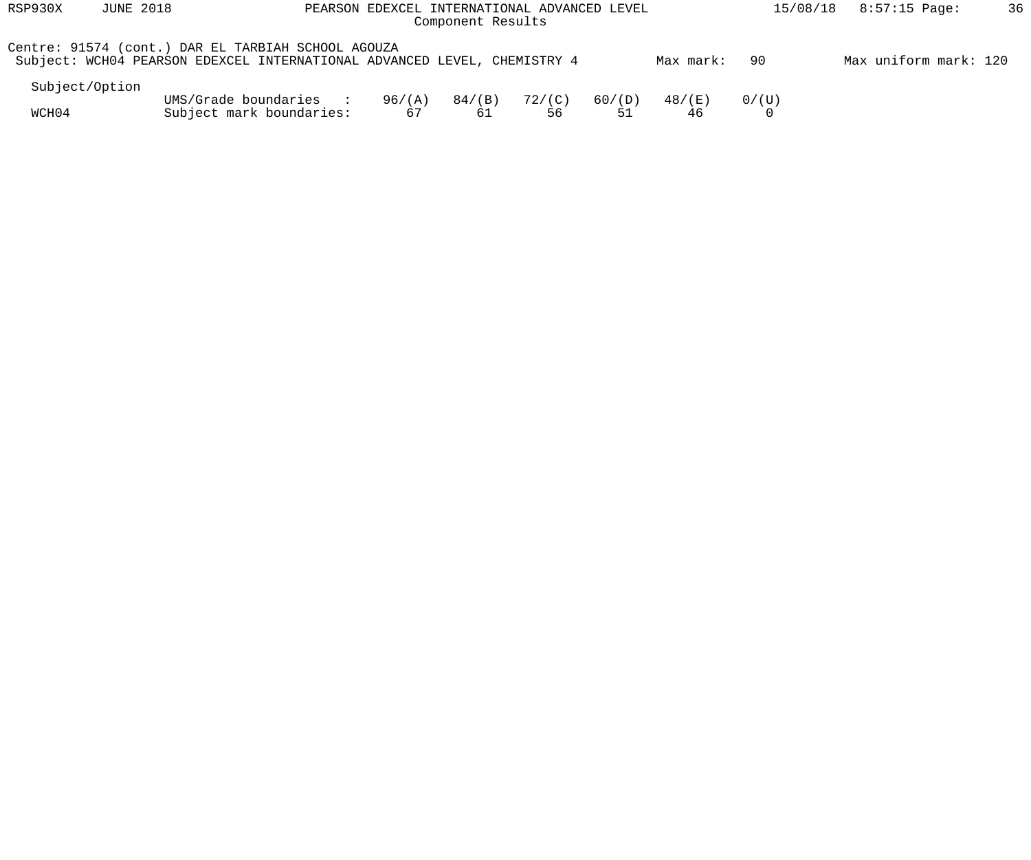| RSP930X        | <b>JUNE 2018</b> |                                                                                                                                |              | PEARSON EDEXCEL INTERNATIONAL ADVANCED LEVEL<br>Component Results |                       |        |              | 15/08/18 | $8:57:15$ Page:       | 36 |
|----------------|------------------|--------------------------------------------------------------------------------------------------------------------------------|--------------|-------------------------------------------------------------------|-----------------------|--------|--------------|----------|-----------------------|----|
|                |                  | Centre: 91574 (cont.) DAR EL TARBIAH SCHOOL AGOUZA<br>Subject: WCH04 PEARSON EDEXCEL INTERNATIONAL ADVANCED LEVEL, CHEMISTRY 4 |              |                                                                   |                       |        | Max mark:    | 90       | Max uniform mark: 120 |    |
| Subject/Option |                  |                                                                                                                                |              |                                                                   |                       |        |              |          |                       |    |
| WCH04          |                  | UMS/Grade boundaries<br>$\sim$ $\sim$ $\sim$ $\sim$<br>Subject mark boundaries:                                                | 96/(A)<br>67 | 84/(B)<br>61                                                      | $72/(\text{C})$<br>56 | 60/(D) | 48/(E)<br>46 | 0/(U)    |                       |    |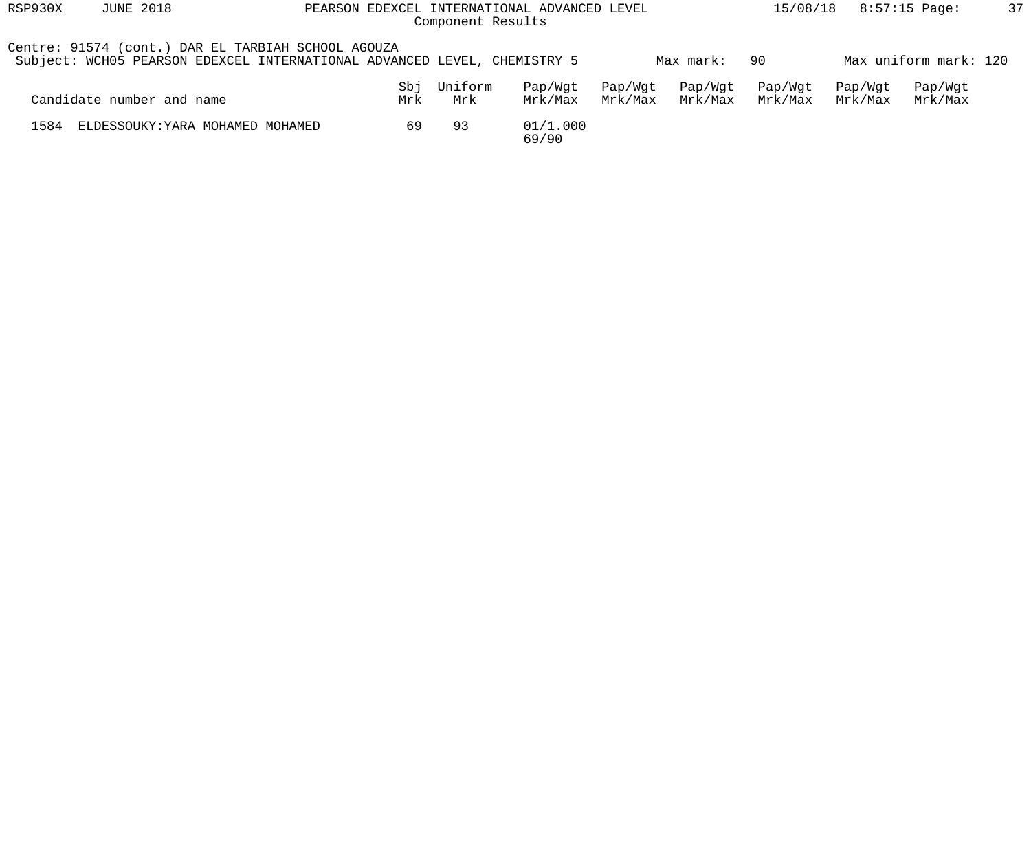| RSP930X | <b>JUNE 2018</b>                                                                                                               |            | 15/08/18       |                    | 8:57:15 Page:      | 37                 |                    |                    |                       |  |
|---------|--------------------------------------------------------------------------------------------------------------------------------|------------|----------------|--------------------|--------------------|--------------------|--------------------|--------------------|-----------------------|--|
|         | Centre: 91574 (cont.) DAR EL TARBIAH SCHOOL AGOUZA<br>Subject: WCH05 PEARSON EDEXCEL INTERNATIONAL ADVANCED LEVEL, CHEMISTRY 5 |            |                |                    |                    | Max mark:          | -90                |                    | Max uniform mark: 120 |  |
|         | Candidate number and name                                                                                                      | Sbj<br>Mrk | Uniform<br>Mrk | Pap/Wqt<br>Mrk/Max | Pap/Wgt<br>Mrk/Max | Pap/Wgt<br>Mrk/Max | Pap/Wgt<br>Mrk/Max | Pap/Wqt<br>Mrk/Max | Pap/Wgt<br>Mrk/Max    |  |
| 1584    | ELDESSOUKY: YARA MOHAMED MOHAMED                                                                                               | 69         | -93            | 01/1.000<br>69/90  |                    |                    |                    |                    |                       |  |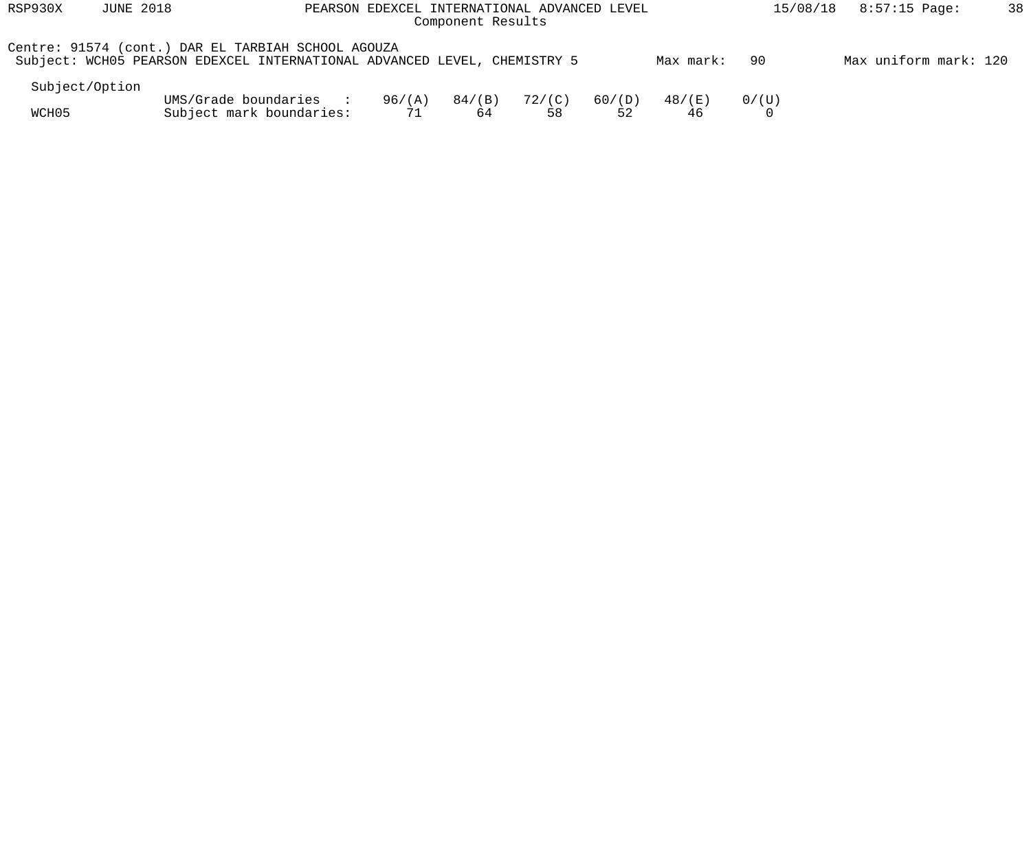| RSP930X        | <b>JUNE 2018</b> | PEARSON EDEXCEL INTERNATIONAL ADVANCED LEVEL                                                                                   |              | 15/08/18     | $8:57:15$ Page:       | 38           |              |       |                       |  |
|----------------|------------------|--------------------------------------------------------------------------------------------------------------------------------|--------------|--------------|-----------------------|--------------|--------------|-------|-----------------------|--|
|                |                  | Centre: 91574 (cont.) DAR EL TARBIAH SCHOOL AGOUZA<br>Subject: WCH05 PEARSON EDEXCEL INTERNATIONAL ADVANCED LEVEL, CHEMISTRY 5 |              |              |                       |              | Max mark:    | -90   | Max uniform mark: 120 |  |
| Subject/Option |                  |                                                                                                                                |              |              |                       |              |              |       |                       |  |
| WCH05          |                  | UMS/Grade boundaries<br>$\sim$ $\sim$ $\sim$ $\sim$<br>Subject mark boundaries:                                                | 96/(A)<br>71 | 84/(B)<br>64 | $72/(\text{C})$<br>58 | 60/(D)<br>52 | 48/(E)<br>46 | 0/(U) |                       |  |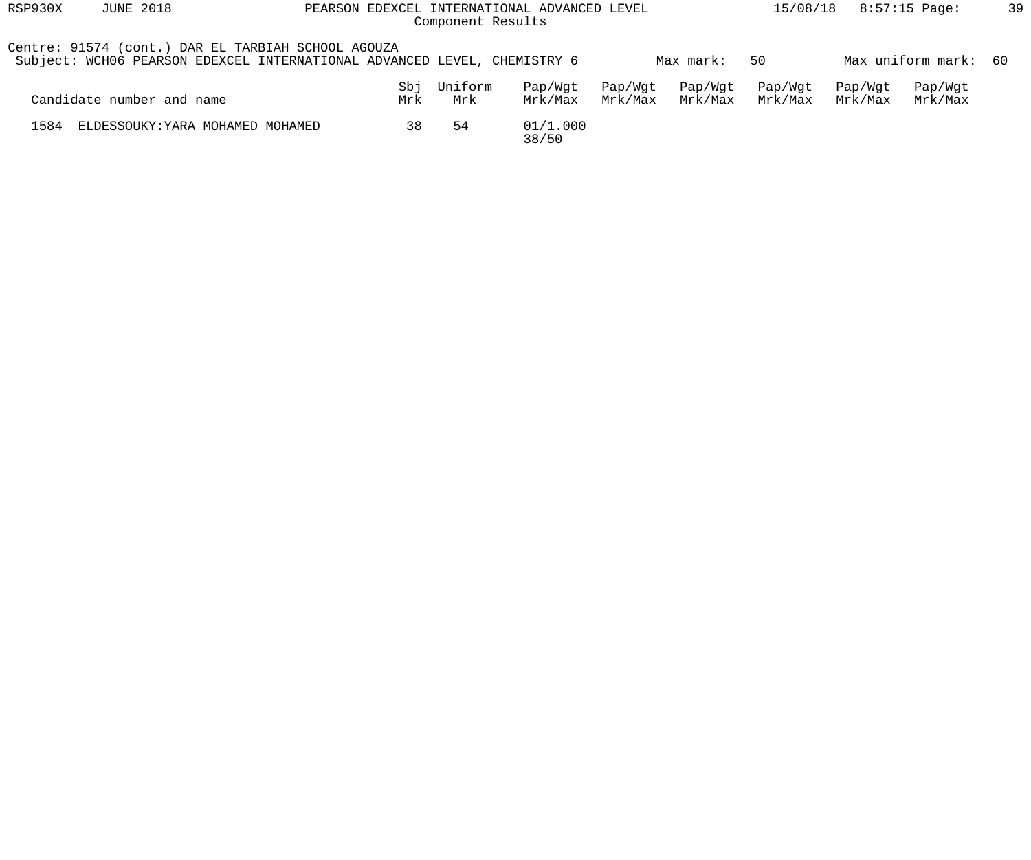| RSP930X | <b>JUNE 2018</b>                                                                                                               |            | 15/08/18       |                    | 8:57:15 Page:      | 39                 |                    |                    |                      |  |
|---------|--------------------------------------------------------------------------------------------------------------------------------|------------|----------------|--------------------|--------------------|--------------------|--------------------|--------------------|----------------------|--|
|         | Centre: 91574 (cont.) DAR EL TARBIAH SCHOOL AGOUZA<br>Subject: WCH06 PEARSON EDEXCEL INTERNATIONAL ADVANCED LEVEL, CHEMISTRY 6 |            |                |                    |                    | Max mark:          | 50                 |                    | Max uniform mark: 60 |  |
|         | Candidate number and name                                                                                                      | Sbj<br>Mrk | Uniform<br>Mrk | Pap/Wqt<br>Mrk/Max | Pap/Wgt<br>Mrk/Max | Pap/Wgt<br>Mrk/Max | Pap/Wgt<br>Mrk/Max | Pap/Wqt<br>Mrk/Max | Pap/Wgt<br>Mrk/Max   |  |
| 1584    | ELDESSOUKY: YARA MOHAMED MOHAMED                                                                                               | 38         | -54            | 01/1.000<br>38/50  |                    |                    |                    |                    |                      |  |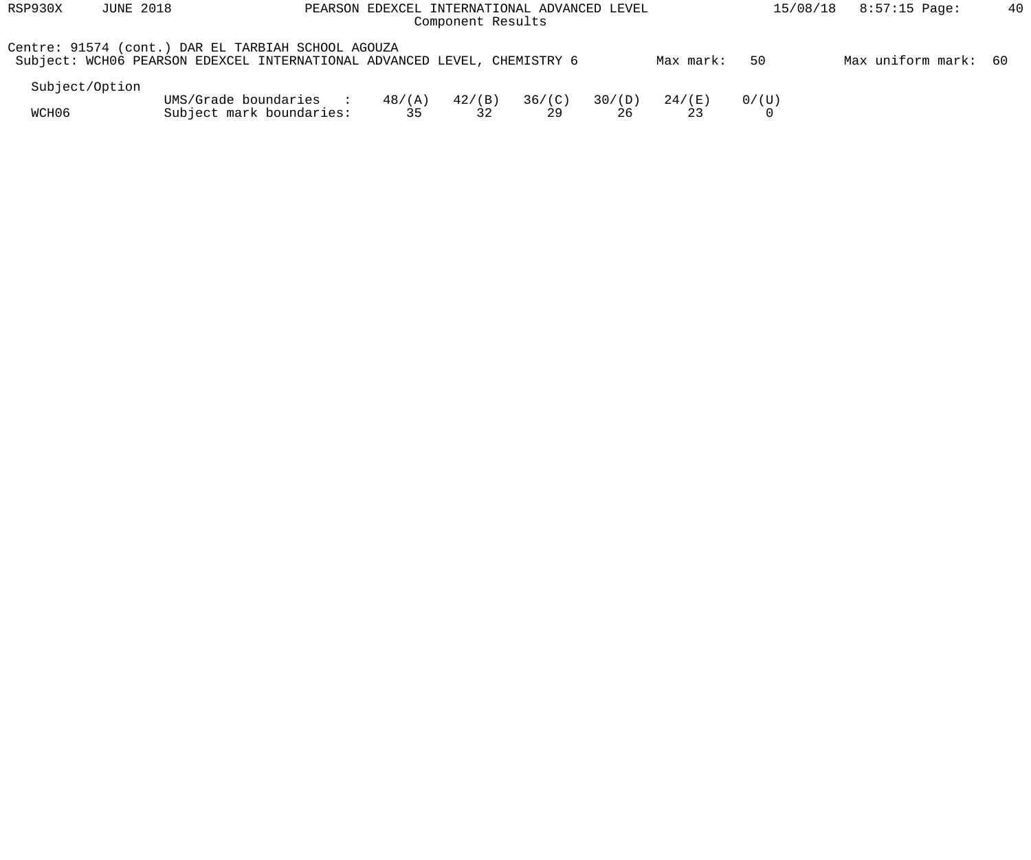| RSP930X        | <b>JUNE 2018</b><br>PEARSON EDEXCEL INTERNATIONAL ADVANCED LEVEL<br>Component Results |                                                                                                                                |                       |                 |              |              |           |       | 40<br>$8:57:15$ Page:<br>15/08/18 |  |  |  |  |
|----------------|---------------------------------------------------------------------------------------|--------------------------------------------------------------------------------------------------------------------------------|-----------------------|-----------------|--------------|--------------|-----------|-------|-----------------------------------|--|--|--|--|
|                |                                                                                       | Centre: 91574 (cont.) DAR EL TARBIAH SCHOOL AGOUZA<br>Subject: WCH06 PEARSON EDEXCEL INTERNATIONAL ADVANCED LEVEL, CHEMISTRY 6 |                       |                 |              |              | Max mark: | 50    | Max uniform mark: 60              |  |  |  |  |
| Subject/Option |                                                                                       |                                                                                                                                |                       |                 |              |              |           |       |                                   |  |  |  |  |
| WCH06          |                                                                                       | UMS/Grade boundaries<br>Subject mark boundaries:                                                                               | $48/(\text{A})$<br>35 | $42/$ (B)<br>32 | 36/(C)<br>29 | 30/(D)<br>26 | 24 / (E)  | 0/(U) |                                   |  |  |  |  |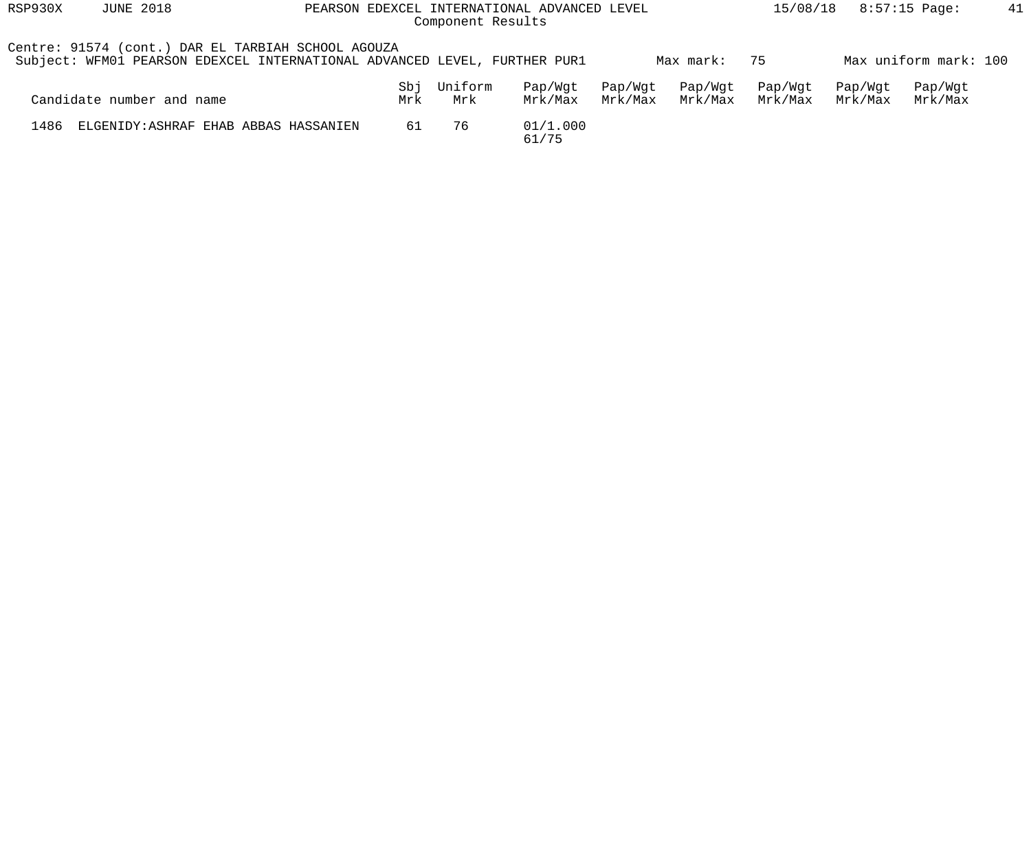| RSP930X | <b>JUNE 2018</b>                                                                                                                | PEARSON |            | Component Results | EDEXCEL INTERNATIONAL ADVANCED LEVEL |                    |                    | 15/08/18           |                    | $8:57:15$ Page:       | 41 |
|---------|---------------------------------------------------------------------------------------------------------------------------------|---------|------------|-------------------|--------------------------------------|--------------------|--------------------|--------------------|--------------------|-----------------------|----|
|         | Centre: 91574 (cont.) DAR EL TARBIAH SCHOOL AGOUZA<br>Subject: WFM01 PEARSON EDEXCEL INTERNATIONAL ADVANCED LEVEL, FURTHER PUR1 |         |            |                   |                                      |                    | Max mark:          | 75                 |                    | Max uniform mark: 100 |    |
|         | Candidate number and name                                                                                                       |         | Sbj<br>Mrk | Uniform<br>Mrk    | Pap/Wqt<br>Mrk/Max                   | Pap/Wgt<br>Mrk/Max | Pap/Wgt<br>Mrk/Max | Pap/Wgt<br>Mrk/Max | Pap/Wqt<br>Mrk/Max | Pap/Wgt<br>Mrk/Max    |    |
| 1486    | ELGENIDY: ASHRAF EHAB ABBAS HASSANIEN                                                                                           |         | 61         | 76                | 01/1.000<br>61/75                    |                    |                    |                    |                    |                       |    |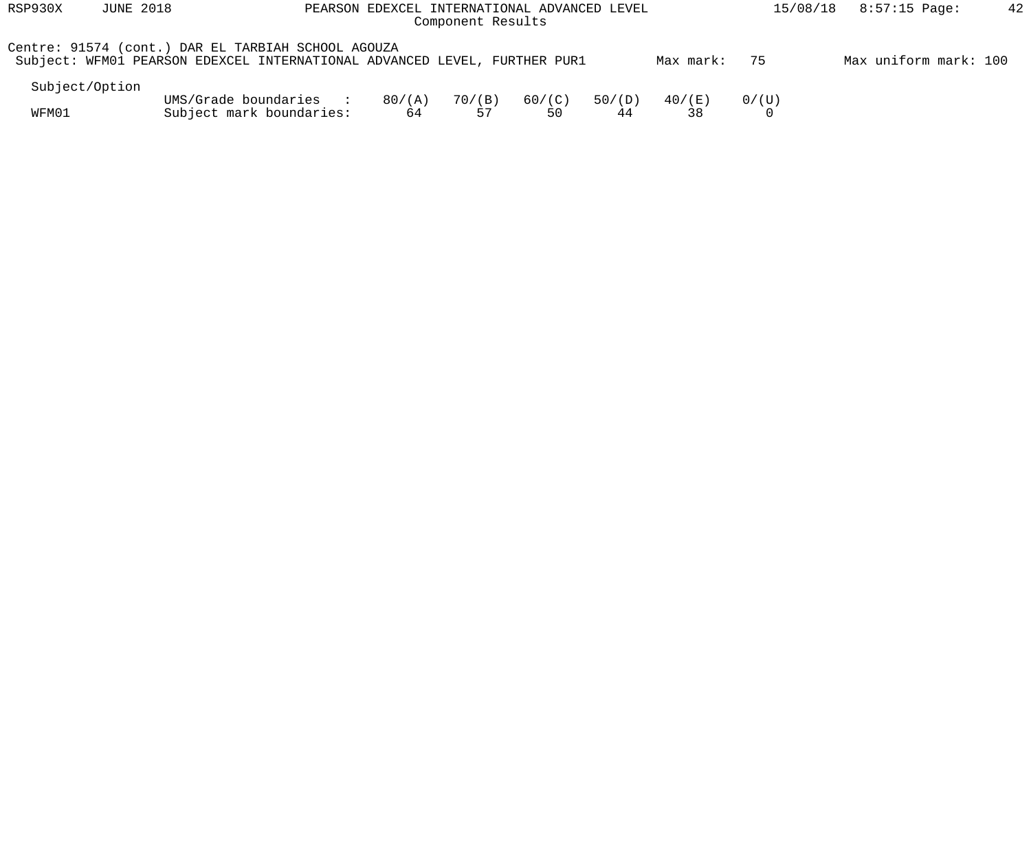| RSP930X | <b>JUNE 2018</b> |                                                                                                                                 | PEARSON EDEXCEL INTERNATIONAL ADVANCED LEVEL<br>Component Results |              | 15/08/18     | 8:57:15 Page: | 42           |       |                       |  |
|---------|------------------|---------------------------------------------------------------------------------------------------------------------------------|-------------------------------------------------------------------|--------------|--------------|---------------|--------------|-------|-----------------------|--|
|         |                  | Centre: 91574 (cont.) DAR EL TARBIAH SCHOOL AGOUZA<br>Subject: WFM01 PEARSON EDEXCEL INTERNATIONAL ADVANCED LEVEL, FURTHER PUR1 |                                                                   |              |              |               | Max mark:    | 75    | Max uniform mark: 100 |  |
|         | Subject/Option   |                                                                                                                                 |                                                                   |              |              |               |              |       |                       |  |
| WFM01   |                  | UMS/Grade boundaries<br><b>Contract Contract Street</b><br>Subject mark boundaries:                                             | 80/(A)<br>64                                                      | 70/(B)<br>57 | 60/(C)<br>50 | 50/(D)<br>44  | 40/(E)<br>38 | 0/(U) |                       |  |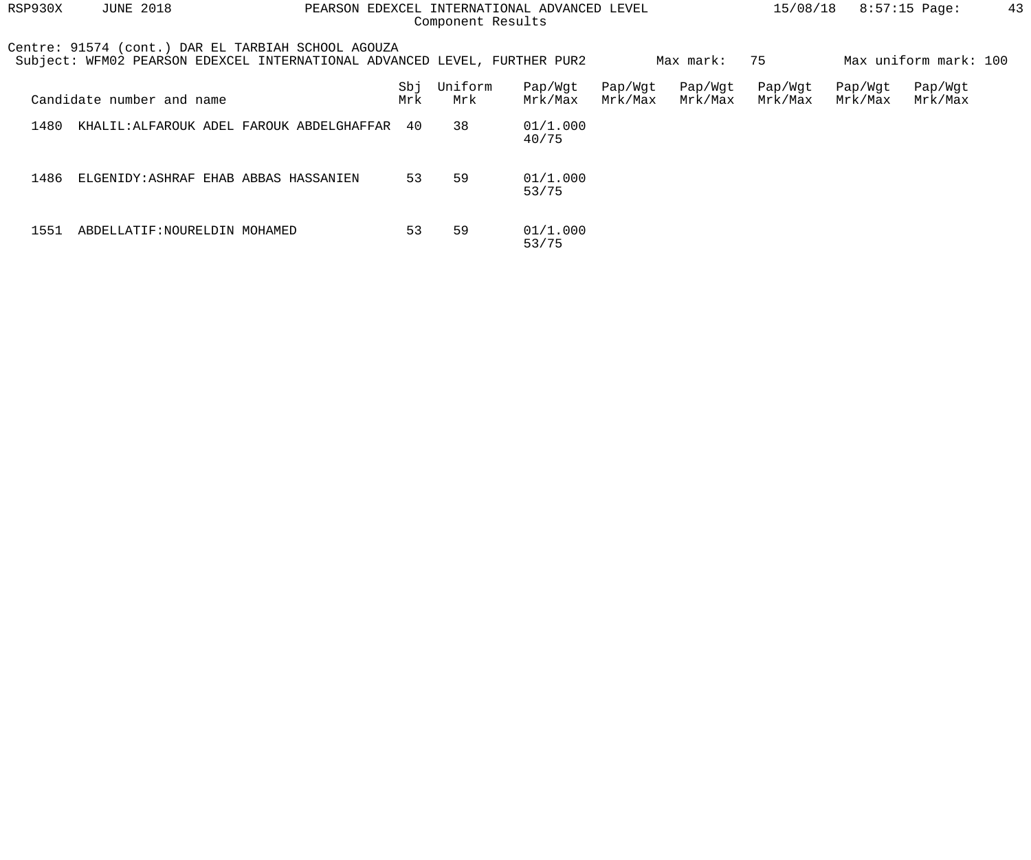| RSP930X | <b>JUNE 2018</b><br>EDEXCEL INTERNATIONAL ADVANCED LEVEL<br>PEARSON<br>Component Results                                        |  |            |                |                    |                    |                    | 15/08/18           |                    | $8:57:15$ Page:       | 43 |
|---------|---------------------------------------------------------------------------------------------------------------------------------|--|------------|----------------|--------------------|--------------------|--------------------|--------------------|--------------------|-----------------------|----|
|         | Centre: 91574 (cont.) DAR EL TARBIAH SCHOOL AGOUZA<br>Subject: WFM02 PEARSON EDEXCEL INTERNATIONAL ADVANCED LEVEL, FURTHER PUR2 |  |            |                |                    |                    | Max mark:          | 75                 |                    | Max uniform mark: 100 |    |
|         | Candidate number and name                                                                                                       |  | Sbj<br>Mrk | Uniform<br>Mrk | Pap/Wgt<br>Mrk/Max | Pap/Wgt<br>Mrk/Max | Pap/Wgt<br>Mrk/Max | Pap/Wgt<br>Mrk/Max | Pap/Wgt<br>Mrk/Max | Pap/Wgt<br>Mrk/Max    |    |
| 1480    | KHALIL: ALFAROUK ADEL FAROUK ABDELGHAFFAR                                                                                       |  | 40         | 38             | 01/1.000<br>40/75  |                    |                    |                    |                    |                       |    |
| 1486    | ELGENIDY: ASHRAF EHAB ABBAS HASSANIEN                                                                                           |  | 53         | 59             | 01/1.000<br>53/75  |                    |                    |                    |                    |                       |    |
| 1551    | ABDELLATIF: NOURELDIN MOHAMED                                                                                                   |  | 53         | 59             | 01/1.000<br>53/75  |                    |                    |                    |                    |                       |    |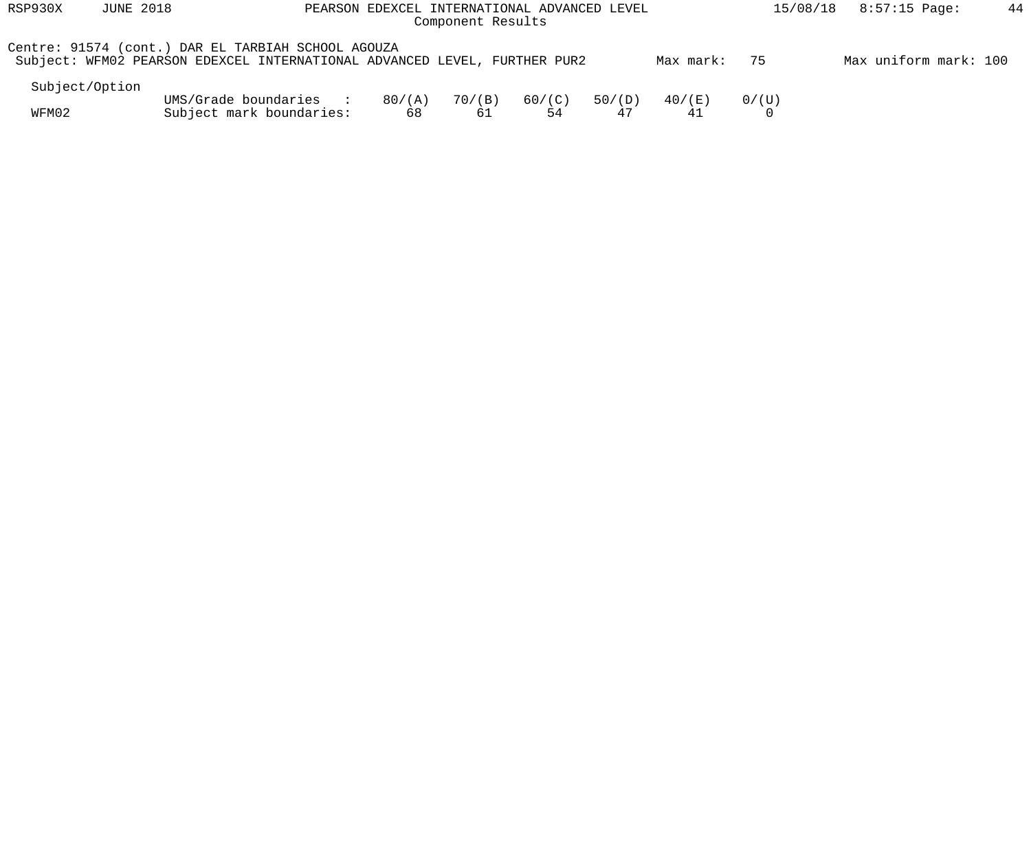| RSP930X        | <b>JUNE 2018</b> |                                                                                                                                 | PEARSON EDEXCEL INTERNATIONAL ADVANCED LEVEL<br>Component Results |              | 15/08/18     | 8:57:15 Page: | 44           |       |                       |  |
|----------------|------------------|---------------------------------------------------------------------------------------------------------------------------------|-------------------------------------------------------------------|--------------|--------------|---------------|--------------|-------|-----------------------|--|
|                |                  | Centre: 91574 (cont.) DAR EL TARBIAH SCHOOL AGOUZA<br>Subject: WFM02 PEARSON EDEXCEL INTERNATIONAL ADVANCED LEVEL, FURTHER PUR2 |                                                                   |              |              |               | Max mark:    | 75    | Max uniform mark: 100 |  |
| Subject/Option |                  |                                                                                                                                 |                                                                   |              |              |               |              |       |                       |  |
| WFM02          |                  | UMS/Grade boundaries<br><b>Contract Contract Street</b><br>Subject mark boundaries:                                             | 80/(A)<br>68                                                      | 70/(B)<br>61 | 60/(C)<br>54 | 50/(D)<br>47  | 40/(E)<br>41 | 0/(U) |                       |  |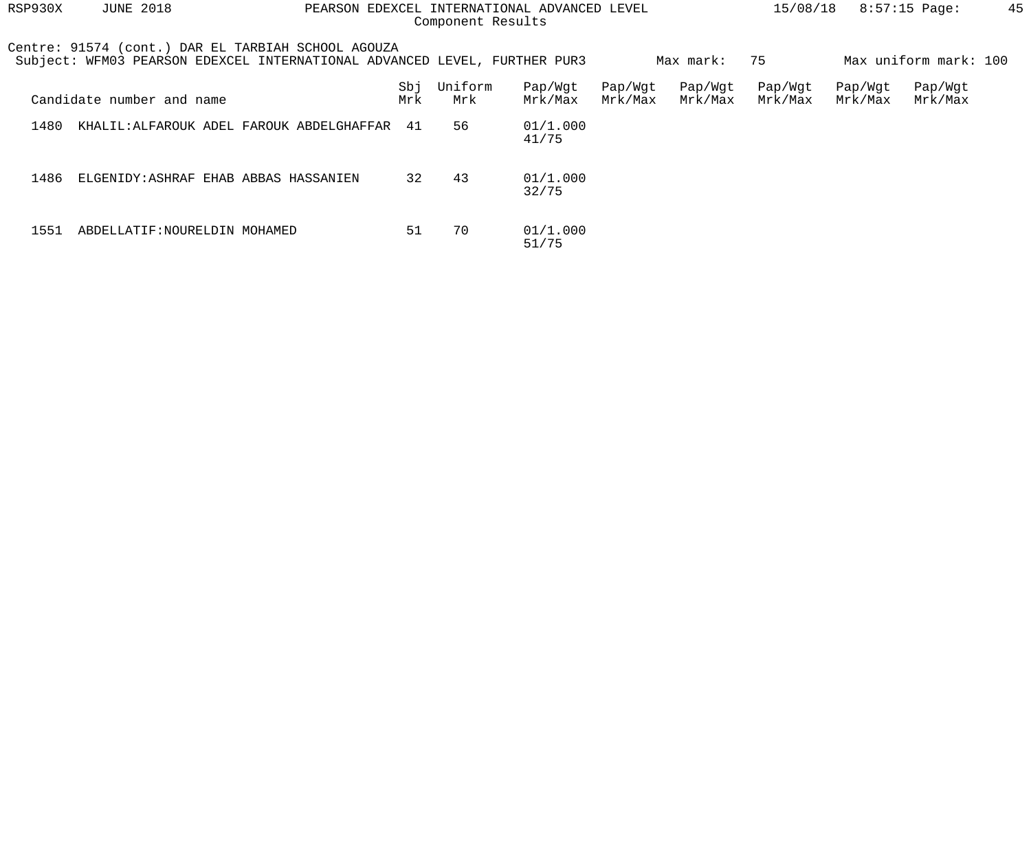| RSP930X | <b>JUNE 2018</b><br>PEARSON EDEXCEL INTERNATIONAL ADVANCED LEVEL<br>Component Results                                           |  |            |                |                    |                    |                    | 15/08/18           |                    | $8:57:15$ Page:       | 45 |
|---------|---------------------------------------------------------------------------------------------------------------------------------|--|------------|----------------|--------------------|--------------------|--------------------|--------------------|--------------------|-----------------------|----|
|         | Centre: 91574 (cont.) DAR EL TARBIAH SCHOOL AGOUZA<br>Subject: WFM03 PEARSON EDEXCEL INTERNATIONAL ADVANCED LEVEL, FURTHER PUR3 |  |            |                |                    |                    | Max mark:          | 75                 |                    | Max uniform mark: 100 |    |
|         | Candidate number and name                                                                                                       |  | Sbj<br>Mrk | Uniform<br>Mrk | Pap/Wgt<br>Mrk/Max | Pap/Wgt<br>Mrk/Max | Pap/Wgt<br>Mrk/Max | Pap/Wgt<br>Mrk/Max | Pap/Wgt<br>Mrk/Max | Pap/Wgt<br>Mrk/Max    |    |
| 1480    | KHALIL:ALFAROUK ADEL FAROUK ABDELGHAFFAR                                                                                        |  | 41         | 56             | 01/1.000<br>41/75  |                    |                    |                    |                    |                       |    |
| 1486    | ELGENIDY: ASHRAF EHAB ABBAS HASSANIEN                                                                                           |  | 32         | 43             | 01/1.000<br>32/75  |                    |                    |                    |                    |                       |    |
| 1551    | ABDELLATIF: NOURELDIN MOHAMED                                                                                                   |  | 51         | 70             | 01/1.000<br>51/75  |                    |                    |                    |                    |                       |    |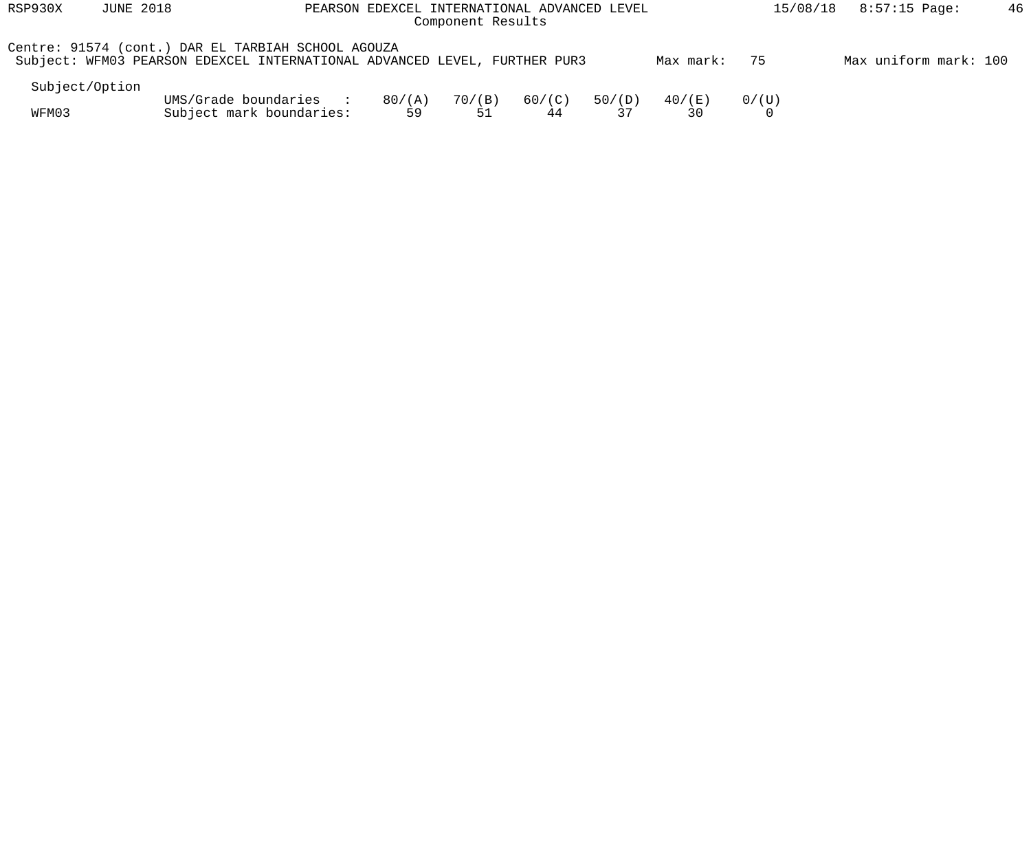| RSP930X        | <b>JUNE 2018</b> | PEARSON EDEXCEL INTERNATIONAL ADVANCED LEVEL                                                                                    |              | 15/08/18     | 8:57:15 Page: | 46           |              |            |                       |  |
|----------------|------------------|---------------------------------------------------------------------------------------------------------------------------------|--------------|--------------|---------------|--------------|--------------|------------|-----------------------|--|
|                |                  | Centre: 91574 (cont.) DAR EL TARBIAH SCHOOL AGOUZA<br>Subject: WFM03 PEARSON EDEXCEL INTERNATIONAL ADVANCED LEVEL, FURTHER PUR3 |              |              |               |              | Max mark:    | 75         | Max uniform mark: 100 |  |
| Subject/Option |                  |                                                                                                                                 |              |              |               |              |              |            |                       |  |
| WFM03          |                  | UMS/Grade boundaries<br><b>Contract Contract Street</b><br>Subject mark boundaries:                                             | 80/(A)<br>59 | 70/(B)<br>51 | 60/(C)<br>44  | 50/(D)<br>37 | 40/(E)<br>30 | $0/$ ( U ) |                       |  |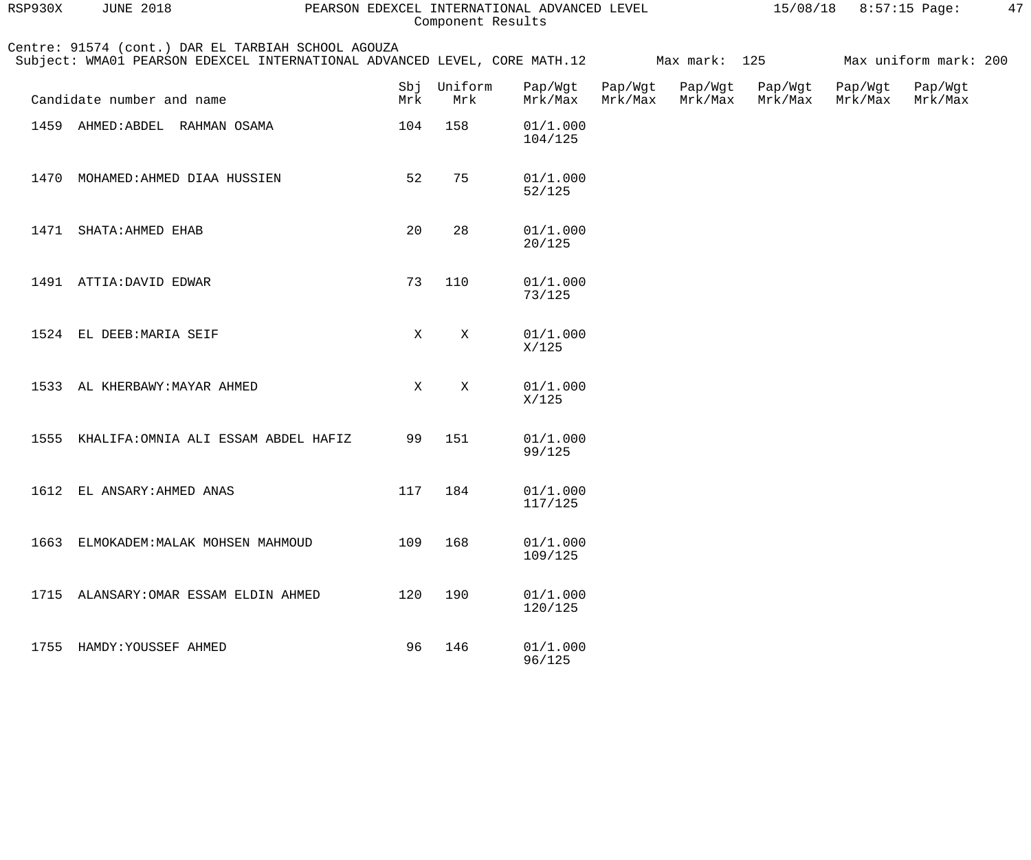| RSP930X | <b>JUNE 2018</b>                                                                                                                | PEARSON EDEXCEL INTERNATIONAL ADVANCED LEVEL |                |                     | $15/08/18$ 8:57:15 Page: |                    | 47                 |                    |                       |  |
|---------|---------------------------------------------------------------------------------------------------------------------------------|----------------------------------------------|----------------|---------------------|--------------------------|--------------------|--------------------|--------------------|-----------------------|--|
|         | Centre: 91574 (cont.) DAR EL TARBIAH SCHOOL AGOUZA<br>Subject: WMA01 PEARSON EDEXCEL INTERNATIONAL ADVANCED LEVEL, CORE MATH.12 |                                              |                |                     |                          | Max mark: 125      |                    |                    | Max uniform mark: 200 |  |
|         | Candidate number and name                                                                                                       | Sbj<br>Mrk                                   | Uniform<br>Mrk | Pap/Wgt<br>Mrk/Max  | Pap/Wgt<br>Mrk/Max       | Pap/Wgt<br>Mrk/Max | Pap/Wgt<br>Mrk/Max | Pap/Wgt<br>Mrk/Max | Pap/Wgt<br>Mrk/Max    |  |
| 1459    | AHMED: ABDEL RAHMAN OSAMA                                                                                                       | 104                                          | 158            | 01/1.000<br>104/125 |                          |                    |                    |                    |                       |  |
| 1470    | MOHAMED: AHMED DIAA HUSSIEN                                                                                                     | 52                                           | 75             | 01/1.000<br>52/125  |                          |                    |                    |                    |                       |  |
|         | 1471 SHATA: AHMED EHAB                                                                                                          | 20                                           | 28             | 01/1.000<br>20/125  |                          |                    |                    |                    |                       |  |
|         | 1491 ATTIA: DAVID EDWAR                                                                                                         | 73                                           | 110            | 01/1.000<br>73/125  |                          |                    |                    |                    |                       |  |
|         | 1524 EL DEEB: MARIA SEIF                                                                                                        | X                                            | $\mathbf{X}$   | 01/1.000<br>X/125   |                          |                    |                    |                    |                       |  |
| 1533    | AL KHERBAWY: MAYAR AHMED                                                                                                        | X                                            | $\mathbf{X}$   | 01/1.000<br>X/125   |                          |                    |                    |                    |                       |  |
| 1555    | KHALIFA: OMNIA ALI ESSAM ABDEL HAFIZ                                                                                            | 99                                           | 151            | 01/1.000<br>99/125  |                          |                    |                    |                    |                       |  |
|         | 1612 EL ANSARY: AHMED ANAS                                                                                                      | 117                                          | 184            | 01/1.000<br>117/125 |                          |                    |                    |                    |                       |  |
|         | 1663 ELMOKADEM: MALAK MOHSEN MAHMOUD                                                                                            | 109                                          | 168            | 01/1.000<br>109/125 |                          |                    |                    |                    |                       |  |
|         | 1715 ALANSARY: OMAR ESSAM ELDIN AHMED                                                                                           | 120                                          | 190            | 01/1.000<br>120/125 |                          |                    |                    |                    |                       |  |
|         | 1755 HAMDY: YOUSSEF AHMED                                                                                                       | 96                                           | 146            | 01/1.000<br>96/125  |                          |                    |                    |                    |                       |  |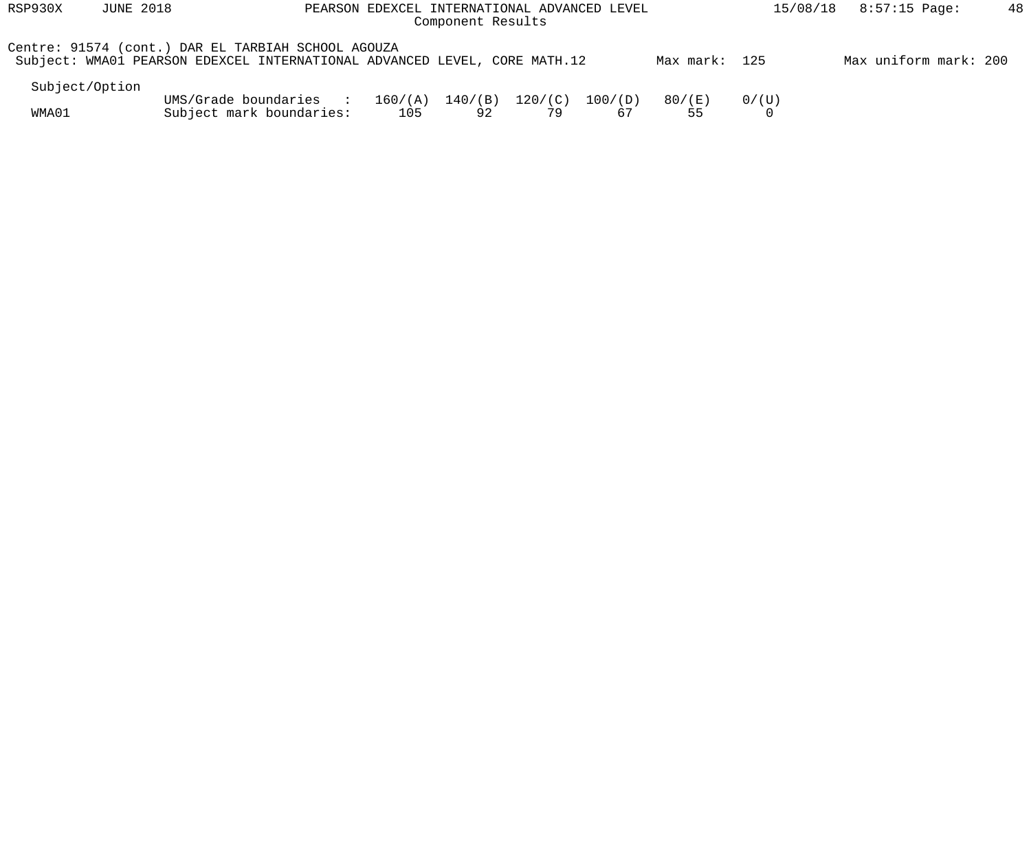| RSP930X        | <b>JUNE 2018</b><br>PEARSON EDEXCEL INTERNATIONAL ADVANCED LEVEL<br>Component Results                                           |                                                    |     |                           |               |               |               |                        | 8:57:15 Page:<br>15/08/18 | 48 |
|----------------|---------------------------------------------------------------------------------------------------------------------------------|----------------------------------------------------|-----|---------------------------|---------------|---------------|---------------|------------------------|---------------------------|----|
|                | Centre: 91574 (cont.) DAR EL TARBIAH SCHOOL AGOUZA<br>Subject: WMA01 PEARSON EDEXCEL INTERNATIONAL ADVANCED LEVEL, CORE MATH.12 |                                                    |     |                           |               |               | Max mark: 125 |                        | Max uniform mark: 200     |    |
| Subject/Option |                                                                                                                                 |                                                    |     |                           |               |               |               |                        |                           |    |
| WMA01          |                                                                                                                                 | UMS/Grade boundaries :<br>Subject mark boundaries: | 105 | $160/(A)$ $140/(B)$<br>92 | 120/(C)<br>79 | 100/(D)<br>67 | 80/(E)<br>55  | $0/$ ( U )<br>$\Omega$ |                           |    |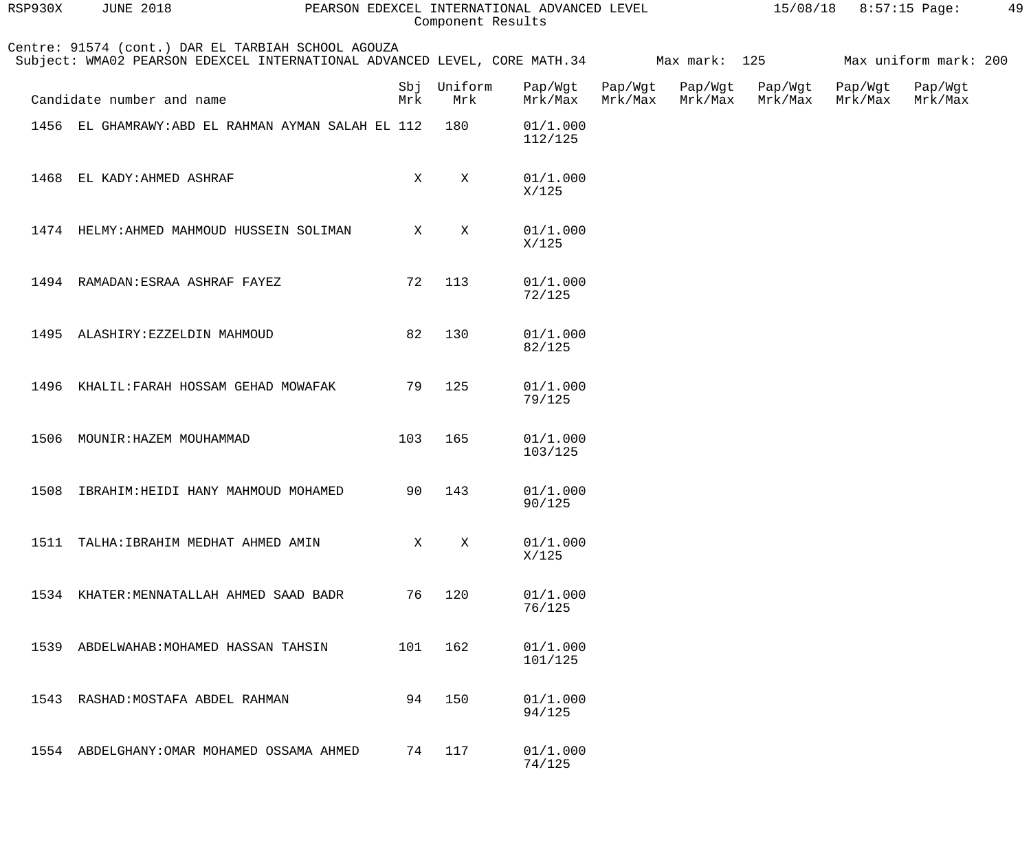| RSP930X | <b>JUNE 2018</b>                                                                                                                              | PEARSON EDEXCEL INTERNATIONAL ADVANCED LEVEL | Component Results  |                     |         |                                    |         | $15/08/18$ 8:57:15 Page: |                                    | 49 |
|---------|-----------------------------------------------------------------------------------------------------------------------------------------------|----------------------------------------------|--------------------|---------------------|---------|------------------------------------|---------|--------------------------|------------------------------------|----|
|         | Centre: 91574 (cont.) DAR EL TARBIAH SCHOOL AGOUZA<br>Subject: WMA02 PEARSON EDEXCEL INTERNATIONAL ADVANCED LEVEL, CORE MATH.34 Max mark: 125 |                                              |                    |                     |         |                                    |         |                          | Max uniform mark: 200              |    |
|         | Candidate number and name                                                                                                                     | Mrk                                          | Sbj Uniform<br>Mrk | Pap/Wgt<br>Mrk/Max  | Mrk/Max | Pap/Wgt Pap/Wgt Pap/Wgt<br>Mrk/Max | Mrk/Max |                          | Pap/Wgt Pap/Wgt<br>Mrk/Max Mrk/Max |    |
|         | 1456 EL GHAMRAWY: ABD EL RAHMAN AYMAN SALAH EL 112                                                                                            |                                              | 180                | 01/1.000<br>112/125 |         |                                    |         |                          |                                    |    |
| 1468    | EL KADY: AHMED ASHRAF                                                                                                                         | X                                            | X                  | 01/1.000<br>X/125   |         |                                    |         |                          |                                    |    |
|         | 1474 HELMY: AHMED MAHMOUD HUSSEIN SOLIMAN                                                                                                     | $\mathbf{X}$                                 | X                  | 01/1.000<br>X/125   |         |                                    |         |                          |                                    |    |
|         | 1494 RAMADAN: ESRAA ASHRAF FAYEZ                                                                                                              | 72                                           | 113                | 01/1.000<br>72/125  |         |                                    |         |                          |                                    |    |
|         | 1495 ALASHIRY: EZZELDIN MAHMOUD                                                                                                               | 82                                           | 130                | 01/1.000<br>82/125  |         |                                    |         |                          |                                    |    |
|         | 1496 KHALIL: FARAH HOSSAM GEHAD MOWAFAK                                                                                                       | 79                                           | 125                | 01/1.000<br>79/125  |         |                                    |         |                          |                                    |    |
| 1506    | MOUNIR: HAZEM MOUHAMMAD                                                                                                                       | 103                                          | 165                | 01/1.000<br>103/125 |         |                                    |         |                          |                                    |    |
|         | 1508 IBRAHIM: HEIDI HANY MAHMOUD MOHAMED                                                                                                      |                                              | 90 143             | 01/1.000<br>90/125  |         |                                    |         |                          |                                    |    |
| 1511    | TALHA: IBRAHIM MEDHAT AHMED AMIN                                                                                                              |                                              | X<br>X             | 01/1.000<br>X/125   |         |                                    |         |                          |                                    |    |
|         | 1534 KHATER: MENNATALLAH AHMED SAAD BADR                                                                                                      | 76                                           | 120                | 01/1.000<br>76/125  |         |                                    |         |                          |                                    |    |
| 1539    | ABDELWAHAB: MOHAMED HASSAN TAHSIN                                                                                                             | 101                                          | 162                | 01/1.000<br>101/125 |         |                                    |         |                          |                                    |    |
| 1543    | RASHAD: MOSTAFA ABDEL RAHMAN                                                                                                                  | 94                                           | 150                | 01/1.000<br>94/125  |         |                                    |         |                          |                                    |    |
|         | 1554 ABDELGHANY: OMAR MOHAMED OSSAMA AHMED                                                                                                    | 74                                           | 117                | 01/1.000<br>74/125  |         |                                    |         |                          |                                    |    |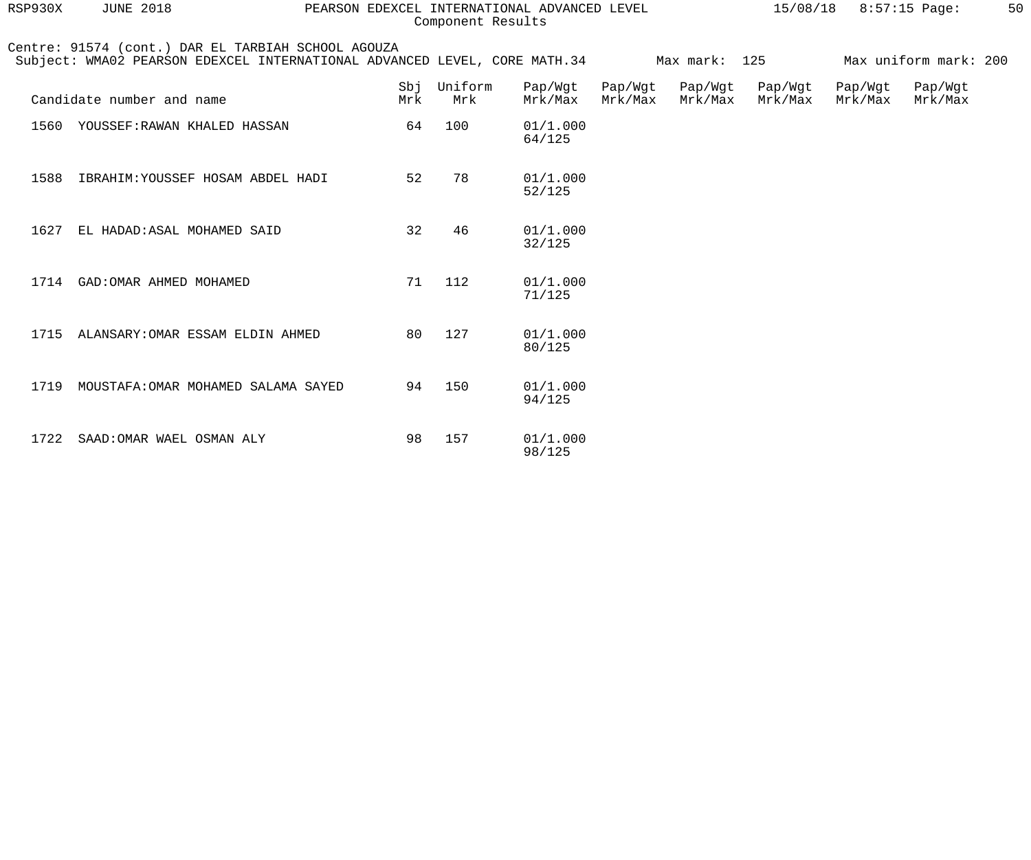| RSP930X | <b>JUNE 2018</b>                                                                                                                              | PEARSON EDEXCEL INTERNATIONAL ADVANCED LEVEL |                | Component Results  |                    |                    | 15/08/18           |                    | $8:57:15$ Page:       | 50 |
|---------|-----------------------------------------------------------------------------------------------------------------------------------------------|----------------------------------------------|----------------|--------------------|--------------------|--------------------|--------------------|--------------------|-----------------------|----|
|         | Centre: 91574 (cont.) DAR EL TARBIAH SCHOOL AGOUZA<br>Subject: WMA02 PEARSON EDEXCEL INTERNATIONAL ADVANCED LEVEL, CORE MATH.34 Max mark: 125 |                                              |                |                    |                    |                    |                    |                    | Max uniform mark: 200 |    |
|         | Candidate number and name                                                                                                                     | Sbj<br>Mrk                                   | Uniform<br>Mrk | Pap/Wgt<br>Mrk/Max | Pap/Wgt<br>Mrk/Max | Pap/Wgt<br>Mrk/Max | Pap/Wgt<br>Mrk/Max | Pap/Wgt<br>Mrk/Max | Pap/Wgt<br>Mrk/Max    |    |
|         | 1560 YOUSSEF: RAWAN KHALED HASSAN                                                                                                             | 64                                           | 100            | 01/1.000<br>64/125 |                    |                    |                    |                    |                       |    |
|         | 1588 IBRAHIM: YOUSSEF HOSAM ABDEL HADI                                                                                                        | 52                                           | 78             | 01/1.000<br>52/125 |                    |                    |                    |                    |                       |    |
| 1627    | EL HADAD: ASAL MOHAMED SAID                                                                                                                   | 32                                           | 46             | 01/1.000<br>32/125 |                    |                    |                    |                    |                       |    |
| 1714    | GAD: OMAR AHMED MOHAMED                                                                                                                       | 71                                           | 112            | 01/1.000<br>71/125 |                    |                    |                    |                    |                       |    |
| 1715    | ALANSARY: OMAR ESSAM ELDIN AHMED                                                                                                              | 80                                           | 127            | 01/1.000<br>80/125 |                    |                    |                    |                    |                       |    |
| 1719    | MOUSTAFA: OMAR MOHAMED SALAMA SAYED                                                                                                           | 94                                           | 150            | 01/1.000<br>94/125 |                    |                    |                    |                    |                       |    |
| 1722    | SAAD: OMAR WAEL OSMAN ALY                                                                                                                     | 98                                           | 157            | 01/1.000<br>98/125 |                    |                    |                    |                    |                       |    |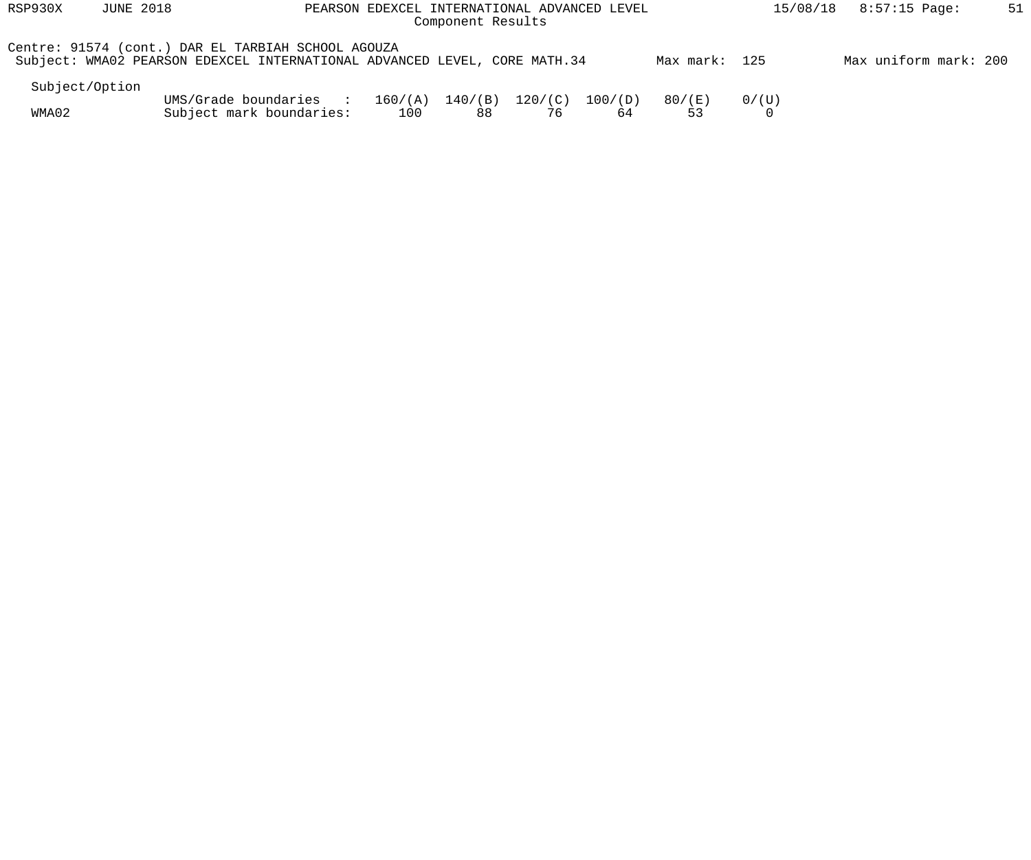| RSP930X        | <b>JUNE 2018</b> |                                                                                                                                 | PEARSON EDEXCEL INTERNATIONAL ADVANCED LEVEL | Component Results |               |               |               | 15/08/18 | 8:57:15 Page:         | 51 |
|----------------|------------------|---------------------------------------------------------------------------------------------------------------------------------|----------------------------------------------|-------------------|---------------|---------------|---------------|----------|-----------------------|----|
|                |                  | Centre: 91574 (cont.) DAR EL TARBIAH SCHOOL AGOUZA<br>Subject: WMA02 PEARSON EDEXCEL INTERNATIONAL ADVANCED LEVEL, CORE MATH.34 |                                              |                   |               |               | Max mark: 125 |          | Max uniform mark: 200 |    |
| Subject/Option |                  |                                                                                                                                 |                                              |                   |               |               |               |          |                       |    |
| WMA02          |                  | UMS/Grade boundaries :<br>Subject mark boundaries:                                                                              | 160/(A)<br>100                               | 140/(B)<br>88     | 120/(C)<br>76 | 100/(D)<br>64 | 80/(E)<br>53  | 0/(U)    |                       |    |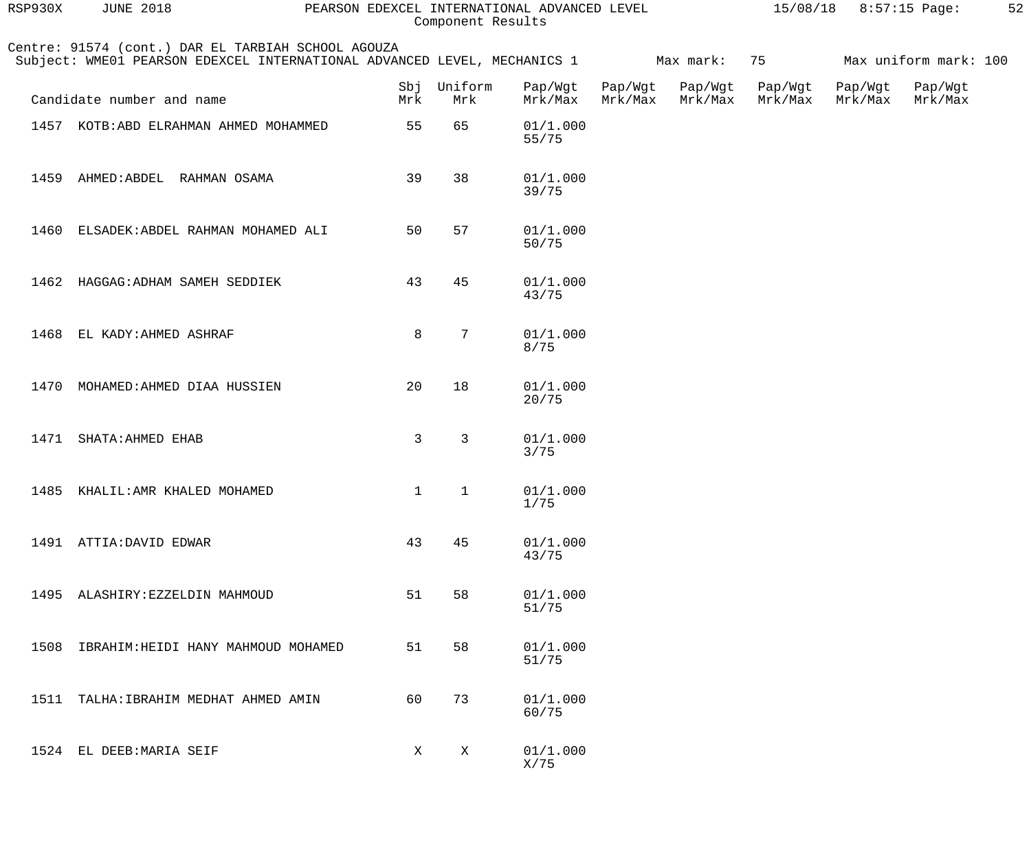| RSP930X | <b>JUNE 2018</b>                                                                                                               |              |                    | PEARSON EDEXCEL INTERNATIONAL ADVANCED LEVEL<br>Component Results |                    |                    |                    | 15/08/18 8:57:15 Page: |                       | 52 |
|---------|--------------------------------------------------------------------------------------------------------------------------------|--------------|--------------------|-------------------------------------------------------------------|--------------------|--------------------|--------------------|------------------------|-----------------------|----|
|         | Centre: 91574 (cont.) DAR EL TARBIAH SCHOOL AGOUZA<br>Subject: WME01 PEARSON EDEXCEL INTERNATIONAL ADVANCED LEVEL, MECHANICS 1 |              |                    |                                                                   |                    | Max mark:          | 75                 |                        | Max uniform mark: 100 |    |
|         | Candidate number and name                                                                                                      | Mrk          | Sbj Uniform<br>Mrk | Pap/Wgt<br>Mrk/Max                                                | Pap/Wgt<br>Mrk/Max | Pap/Wgt<br>Mrk/Max | Pap/Wgt<br>Mrk/Max | Pap/Wgt<br>Mrk/Max     | Pap/Wgt<br>Mrk/Max    |    |
|         | 1457 KOTB: ABD ELRAHMAN AHMED MOHAMMED                                                                                         | 55           | 65                 | 01/1.000<br>55/75                                                 |                    |                    |                    |                        |                       |    |
|         | 1459 AHMED: ABDEL RAHMAN OSAMA                                                                                                 | 39           | 38                 | 01/1.000<br>39/75                                                 |                    |                    |                    |                        |                       |    |
|         | 1460 ELSADEK: ABDEL RAHMAN MOHAMED ALI                                                                                         | 50           | 57                 | 01/1.000<br>50/75                                                 |                    |                    |                    |                        |                       |    |
|         | 1462 HAGGAG: ADHAM SAMEH SEDDIEK                                                                                               | 43           | 45                 | 01/1.000<br>43/75                                                 |                    |                    |                    |                        |                       |    |
|         | 1468 EL KADY: AHMED ASHRAF                                                                                                     | 8            | $7\phantom{.}$     | 01/1.000<br>8/75                                                  |                    |                    |                    |                        |                       |    |
|         | 1470 MOHAMED: AHMED DIAA HUSSIEN                                                                                               | 20           | 18                 | 01/1.000<br>20/75                                                 |                    |                    |                    |                        |                       |    |
|         | 1471 SHATA: AHMED EHAB                                                                                                         | $\mathbf{3}$ | $\mathsf{3}$       | 01/1.000<br>$3/75$                                                |                    |                    |                    |                        |                       |    |
| 1485    | KHALIL: AMR KHALED MOHAMED                                                                                                     | $\mathbf{1}$ | $\mathbf{1}$       | 01/1.000<br>1/75                                                  |                    |                    |                    |                        |                       |    |
|         | 1491 ATTIA: DAVID EDWAR                                                                                                        | 43           | 45                 | 01/1.000<br>43/75                                                 |                    |                    |                    |                        |                       |    |
| 1495    | ALASHIRY: EZZELDIN MAHMOUD                                                                                                     | 51           | 58                 | 01/1.000<br>51/75                                                 |                    |                    |                    |                        |                       |    |
| 1508    | IBRAHIM: HEIDI HANY MAHMOUD MOHAMED                                                                                            | 51           | 58                 | 01/1.000<br>51/75                                                 |                    |                    |                    |                        |                       |    |
| 1511    | TALHA: IBRAHIM MEDHAT AHMED AMIN                                                                                               | 60           | 73                 | 01/1.000<br>60/75                                                 |                    |                    |                    |                        |                       |    |
|         | 1524 EL DEEB: MARIA SEIF                                                                                                       | X            | $\mathbf{X}$       | 01/1.000<br>X/75                                                  |                    |                    |                    |                        |                       |    |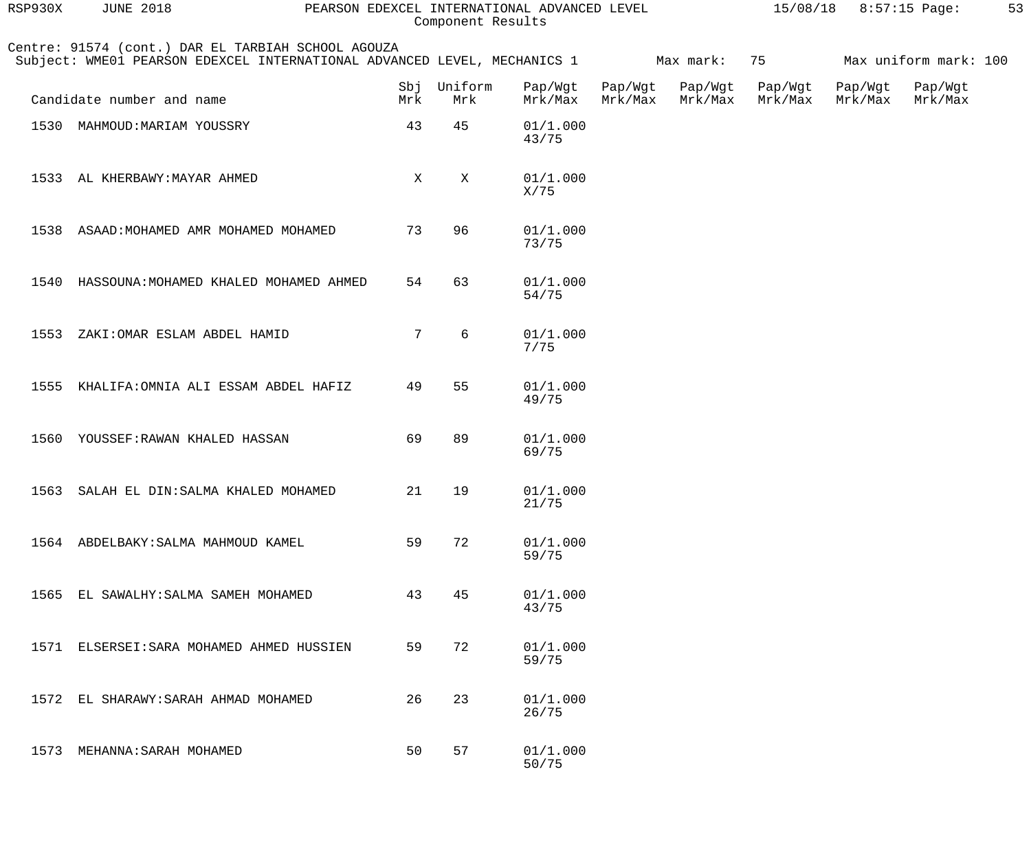| RSP930X | <b>JUNE 2018</b>                                                                                                               |     | Component Results  | PEARSON EDEXCEL INTERNATIONAL ADVANCED LEVEL |                    |                    | 15/08/18           |                    | 8:57:15 Page:         | 53 |
|---------|--------------------------------------------------------------------------------------------------------------------------------|-----|--------------------|----------------------------------------------|--------------------|--------------------|--------------------|--------------------|-----------------------|----|
|         | Centre: 91574 (cont.) DAR EL TARBIAH SCHOOL AGOUZA<br>Subject: WME01 PEARSON EDEXCEL INTERNATIONAL ADVANCED LEVEL, MECHANICS 1 |     |                    |                                              |                    | Max mark:          | 75                 |                    | Max uniform mark: 100 |    |
|         | Candidate number and name                                                                                                      | Mrk | Sbj Uniform<br>Mrk | Pap/Wgt<br>Mrk/Max                           | Pap/Wgt<br>Mrk/Max | Pap/Wgt<br>Mrk/Max | Pap/Wgt<br>Mrk/Max | Pap/Wgt<br>Mrk/Max | Pap/Wgt<br>Mrk/Max    |    |
|         | 1530 MAHMOUD: MARIAM YOUSSRY                                                                                                   | 43  | 45                 | 01/1.000<br>43/75                            |                    |                    |                    |                    |                       |    |
|         | 1533 AL KHERBAWY: MAYAR AHMED                                                                                                  | X   | Χ                  | 01/1.000<br>X/75                             |                    |                    |                    |                    |                       |    |
| 1538    | ASAAD: MOHAMED AMR MOHAMED MOHAMED                                                                                             | 73  | 96                 | 01/1.000<br>73/75                            |                    |                    |                    |                    |                       |    |
| 1540    | HASSOUNA: MOHAMED KHALED MOHAMED AHMED                                                                                         | 54  | 63                 | 01/1.000<br>54/75                            |                    |                    |                    |                    |                       |    |
| 1553    | ZAKI: OMAR ESLAM ABDEL HAMID                                                                                                   | 7   | 6                  | 01/1.000<br>7/75                             |                    |                    |                    |                    |                       |    |
| 1555    | KHALIFA: OMNIA ALI ESSAM ABDEL HAFIZ                                                                                           | 49  | 55                 | 01/1.000<br>49/75                            |                    |                    |                    |                    |                       |    |
|         | 1560 YOUSSEF: RAWAN KHALED HASSAN                                                                                              | 69  | 89                 | 01/1.000<br>69/75                            |                    |                    |                    |                    |                       |    |
|         | 1563 SALAH EL DIN: SALMA KHALED MOHAMED                                                                                        | 21  | 19                 | 01/1.000<br>21/75                            |                    |                    |                    |                    |                       |    |
|         | 1564 ABDELBAKY: SALMA MAHMOUD KAMEL                                                                                            | 59  | 72                 | 01/1.000<br>59/75                            |                    |                    |                    |                    |                       |    |
| 1565    | EL SAWALHY: SALMA SAMEH MOHAMED                                                                                                | 43  | 45                 | 01/1.000<br>43/75                            |                    |                    |                    |                    |                       |    |
|         | 1571 ELSERSEI: SARA MOHAMED AHMED HUSSIEN                                                                                      | 59  | 72                 | 01/1.000<br>59/75                            |                    |                    |                    |                    |                       |    |
| 1572    | EL SHARAWY: SARAH AHMAD MOHAMED                                                                                                | 26  | 23                 | 01/1.000<br>26/75                            |                    |                    |                    |                    |                       |    |
| 1573    | MEHANNA: SARAH MOHAMED                                                                                                         | 50  | 57                 | 01/1.000<br>50/75                            |                    |                    |                    |                    |                       |    |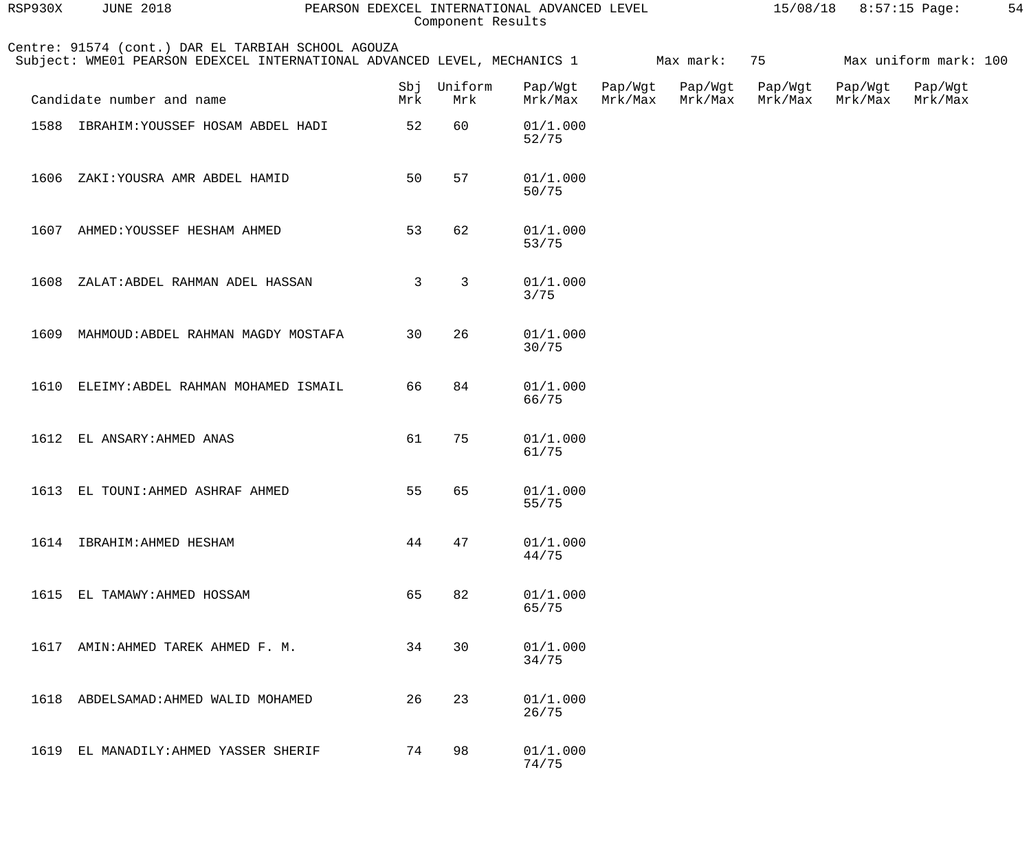| RSP930X | <b>JUNE 2018</b>                                                                                                               |              | Component Results | PEARSON EDEXCEL INTERNATIONAL ADVANCED LEVEL |                    |                    |                    | 15/08/18 8:57:15 Page: |                       | 54 |
|---------|--------------------------------------------------------------------------------------------------------------------------------|--------------|-------------------|----------------------------------------------|--------------------|--------------------|--------------------|------------------------|-----------------------|----|
|         | Centre: 91574 (cont.) DAR EL TARBIAH SCHOOL AGOUZA<br>Subject: WME01 PEARSON EDEXCEL INTERNATIONAL ADVANCED LEVEL, MECHANICS 1 |              |                   |                                              |                    | Max mark:          | 75                 |                        | Max uniform mark: 100 |    |
|         | Candidate number and name                                                                                                      | Sbj<br>Mrk   | Uniform<br>Mrk    | Pap/Wgt<br>Mrk/Max                           | Pap/Wgt<br>Mrk/Max | Pap/Wgt<br>Mrk/Max | Pap/Wgt<br>Mrk/Max | Pap/Wgt<br>Mrk/Max     | Pap/Wgt<br>Mrk/Max    |    |
|         | 1588 IBRAHIM: YOUSSEF HOSAM ABDEL HADI                                                                                         | 52           | 60                | 01/1.000<br>52/75                            |                    |                    |                    |                        |                       |    |
| 1606    | ZAKI: YOUSRA AMR ABDEL HAMID                                                                                                   | 50           | 57                | 01/1.000<br>50/75                            |                    |                    |                    |                        |                       |    |
|         | 1607 AHMED: YOUSSEF HESHAM AHMED                                                                                               | 53           | 62                | 01/1.000<br>53/75                            |                    |                    |                    |                        |                       |    |
| 1608    | ZALAT: ABDEL RAHMAN ADEL HASSAN                                                                                                | $\mathsf{3}$ | $\mathsf{3}$      | 01/1.000<br>$3/75$                           |                    |                    |                    |                        |                       |    |
| 1609    | MAHMOUD: ABDEL RAHMAN MAGDY MOSTAFA                                                                                            | 30           | 26                | 01/1.000<br>30/75                            |                    |                    |                    |                        |                       |    |
| 1610    | ELEIMY: ABDEL RAHMAN MOHAMED ISMAIL                                                                                            | 66           | 84                | 01/1.000<br>66/75                            |                    |                    |                    |                        |                       |    |
| 1612    | EL ANSARY: AHMED ANAS                                                                                                          | 61           | 75                | 01/1.000<br>61/75                            |                    |                    |                    |                        |                       |    |
| 1613    | EL TOUNI: AHMED ASHRAF AHMED                                                                                                   | 55           | 65                | 01/1.000<br>55/75                            |                    |                    |                    |                        |                       |    |
| 1614    | IBRAHIM: AHMED HESHAM                                                                                                          | 44           | 47                | 01/1.000<br>44/75                            |                    |                    |                    |                        |                       |    |
| 1615    | EL TAMAWY: AHMED HOSSAM                                                                                                        | 65           | 82                | 01/1.000<br>65/75                            |                    |                    |                    |                        |                       |    |
| 1617    | AMIN: AHMED TAREK AHMED F. M.                                                                                                  | 34           | 30                | 01/1.000<br>34/75                            |                    |                    |                    |                        |                       |    |
| 1618    | ABDELSAMAD: AHMED WALID MOHAMED                                                                                                | 26           | 23                | 01/1.000<br>26/75                            |                    |                    |                    |                        |                       |    |
| 1619    | EL MANADILY: AHMED YASSER SHERIF                                                                                               | 74           | 98                | 01/1.000<br>74/75                            |                    |                    |                    |                        |                       |    |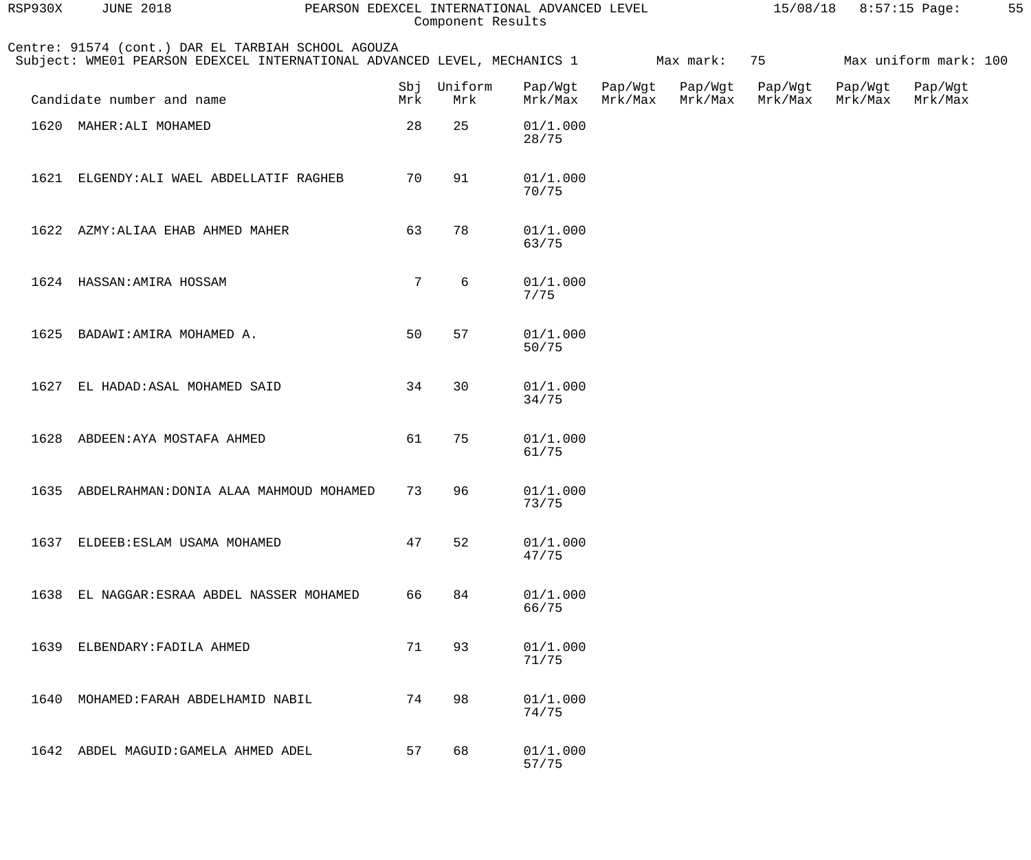| RSP930X | <b>JUNE 2018</b>                                                                                                               |                 | Component Results | PEARSON EDEXCEL INTERNATIONAL ADVANCED LEVEL |                    |                    |                    | $15/08/18$ 8:57:15 Page: |                       | 55 |
|---------|--------------------------------------------------------------------------------------------------------------------------------|-----------------|-------------------|----------------------------------------------|--------------------|--------------------|--------------------|--------------------------|-----------------------|----|
|         | Centre: 91574 (cont.) DAR EL TARBIAH SCHOOL AGOUZA<br>Subject: WME01 PEARSON EDEXCEL INTERNATIONAL ADVANCED LEVEL, MECHANICS 1 |                 |                   |                                              |                    | Max mark:          | 75                 |                          | Max uniform mark: 100 |    |
|         | Candidate number and name                                                                                                      | Sbj<br>Mrk      | Uniform<br>Mrk    | Pap/Wgt<br>Mrk/Max                           | Pap/Wgt<br>Mrk/Max | Pap/Wgt<br>Mrk/Max | Pap/Wgt<br>Mrk/Max | Pap/Wgt<br>Mrk/Max       | Pap/Wgt<br>Mrk/Max    |    |
|         | 1620 MAHER: ALI MOHAMED                                                                                                        | 28              | 25                | 01/1.000<br>28/75                            |                    |                    |                    |                          |                       |    |
|         | 1621 ELGENDY: ALI WAEL ABDELLATIF RAGHEB                                                                                       | 70              | 91                | 01/1.000<br>70/75                            |                    |                    |                    |                          |                       |    |
|         | 1622 AZMY: ALIAA EHAB AHMED MAHER                                                                                              | 63              | 78                | 01/1.000<br>63/75                            |                    |                    |                    |                          |                       |    |
|         | 1624 HASSAN: AMIRA HOSSAM                                                                                                      | $7\phantom{.0}$ | 6                 | 01/1.000<br>7/75                             |                    |                    |                    |                          |                       |    |
| 1625    | BADAWI: AMIRA MOHAMED A.                                                                                                       | 50              | 57                | 01/1.000<br>50/75                            |                    |                    |                    |                          |                       |    |
| 1627    | EL HADAD: ASAL MOHAMED SAID                                                                                                    | 34              | 30                | 01/1.000<br>34/75                            |                    |                    |                    |                          |                       |    |
|         | 1628 ABDEEN: AYA MOSTAFA AHMED                                                                                                 | 61              | 75                | 01/1.000<br>61/75                            |                    |                    |                    |                          |                       |    |
|         | 1635 ABDELRAHMAN: DONIA ALAA MAHMOUD MOHAMED                                                                                   | 73              | 96                | 01/1.000<br>73/75                            |                    |                    |                    |                          |                       |    |
|         | 1637 ELDEEB: ESLAM USAMA MOHAMED                                                                                               | 47              | 52                | 01/1.000<br>47/75                            |                    |                    |                    |                          |                       |    |
|         | 1638 EL NAGGAR: ESRAA ABDEL NASSER MOHAMED                                                                                     | 66              | 84                | 01/1.000<br>66/75                            |                    |                    |                    |                          |                       |    |
|         | 1639 ELBENDARY: FADILA AHMED                                                                                                   | 71              | 93                | 01/1.000<br>71/75                            |                    |                    |                    |                          |                       |    |
| 1640    | MOHAMED: FARAH ABDELHAMID NABIL                                                                                                | 74              | 98                | 01/1.000<br>74/75                            |                    |                    |                    |                          |                       |    |
|         | 1642 ABDEL MAGUID: GAMELA AHMED ADEL                                                                                           | 57              | 68                | 01/1.000<br>57/75                            |                    |                    |                    |                          |                       |    |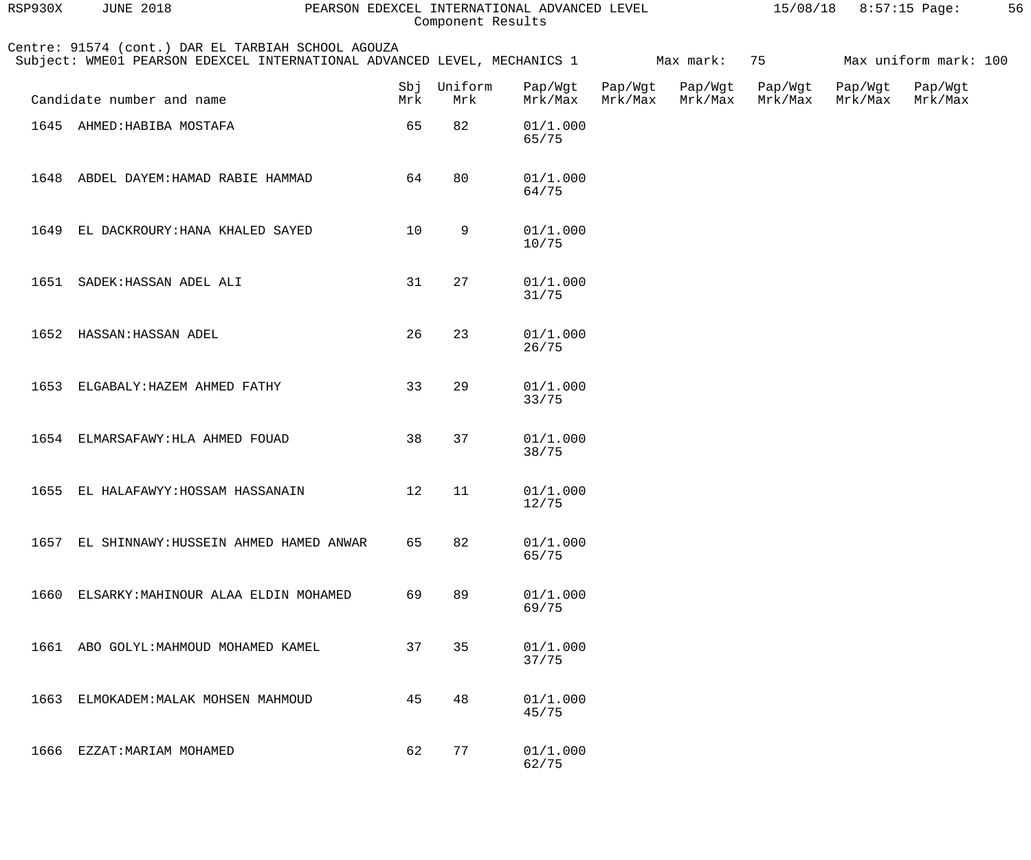| RSP930X | <b>JUNE 2018</b>                                                                                                               | PEARSON EDEXCEL INTERNATIONAL ADVANCED LEVEL |                | Component Results  |                    |                    |                    | $15/08/18$ 8:57:15 Page: |                            | 56 |
|---------|--------------------------------------------------------------------------------------------------------------------------------|----------------------------------------------|----------------|--------------------|--------------------|--------------------|--------------------|--------------------------|----------------------------|----|
|         | Centre: 91574 (cont.) DAR EL TARBIAH SCHOOL AGOUZA<br>Subject: WME01 PEARSON EDEXCEL INTERNATIONAL ADVANCED LEVEL, MECHANICS 1 |                                              |                |                    |                    | Max mark:          | 75                 |                          | Max uniform mark: 100      |    |
|         | Candidate number and name                                                                                                      | Sbj<br>Mrk                                   | Uniform<br>Mrk | Pap/Wgt<br>Mrk/Max | Pap/Wgt<br>Mrk/Max | Pap/Wgt<br>Mrk/Max | Pap/Wgt<br>Mrk/Max | Mrk/Max                  | Pap/Wgt Pap/Wgt<br>Mrk/Max |    |
|         | 1645 AHMED: HABIBA MOSTAFA                                                                                                     | 65                                           | 82             | 01/1.000<br>65/75  |                    |                    |                    |                          |                            |    |
| 1648    | ABDEL DAYEM: HAMAD RABIE HAMMAD                                                                                                | 64                                           | 80             | 01/1.000<br>64/75  |                    |                    |                    |                          |                            |    |
| 1649    | EL DACKROURY: HANA KHALED SAYED                                                                                                | 10                                           | 9              | 01/1.000<br>10/75  |                    |                    |                    |                          |                            |    |
| 1651    | SADEK: HASSAN ADEL ALI                                                                                                         | 31                                           | 27             | 01/1.000<br>31/75  |                    |                    |                    |                          |                            |    |
| 1652    | HASSAN: HASSAN ADEL                                                                                                            | 26                                           | 23             | 01/1.000<br>26/75  |                    |                    |                    |                          |                            |    |
| 1653    | ELGABALY: HAZEM AHMED FATHY                                                                                                    | 33                                           | 29             | 01/1.000<br>33/75  |                    |                    |                    |                          |                            |    |
| 1654    | ELMARSAFAWY: HLA AHMED FOUAD                                                                                                   | 38                                           | 37             | 01/1.000<br>38/75  |                    |                    |                    |                          |                            |    |
|         | 1655 EL HALAFAWYY: HOSSAM HASSANAIN                                                                                            |                                              | 12 11          | 01/1.000<br>12/75  |                    |                    |                    |                          |                            |    |
| 1657    | EL SHINNAWY: HUSSEIN AHMED HAMED ANWAR                                                                                         | 65                                           | 82             | 01/1.000<br>65/75  |                    |                    |                    |                          |                            |    |
| 1660    | ELSARKY: MAHINOUR ALAA ELDIN MOHAMED                                                                                           | 69                                           | 89             | 01/1.000<br>69/75  |                    |                    |                    |                          |                            |    |
| 1661    | ABO GOLYL: MAHMOUD MOHAMED KAMEL                                                                                               | 37                                           | 35             | 01/1.000<br>37/75  |                    |                    |                    |                          |                            |    |
| 1663    | ELMOKADEM: MALAK MOHSEN MAHMOUD                                                                                                | 45                                           | 48             | 01/1.000<br>45/75  |                    |                    |                    |                          |                            |    |
| 1666    | EZZAT: MARIAM MOHAMED                                                                                                          | 62                                           | 77             | 01/1.000<br>62/75  |                    |                    |                    |                          |                            |    |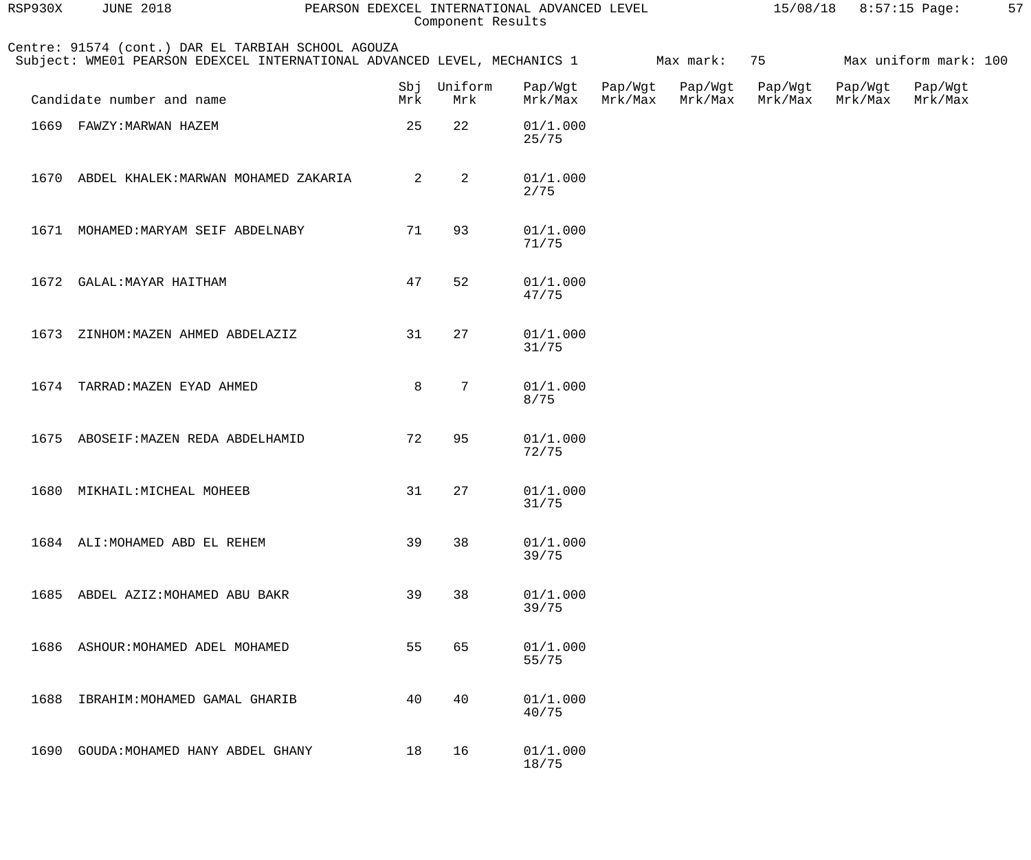| RSP930X | <b>JUNE 2018</b>                                                                                                                         | PEARSON EDEXCEL INTERNATIONAL ADVANCED LEVEL |                    | Component Results  |         |                            |                    | $15/08/18$ 8:57:15 Page: |                            | 57 |
|---------|------------------------------------------------------------------------------------------------------------------------------------------|----------------------------------------------|--------------------|--------------------|---------|----------------------------|--------------------|--------------------------|----------------------------|----|
|         | Centre: 91574 (cont.) DAR EL TARBIAH SCHOOL AGOUZA<br>Subject: WME01 PEARSON EDEXCEL INTERNATIONAL ADVANCED LEVEL, MECHANICS 1 Max mark: |                                              |                    |                    |         |                            | 75 — 100           |                          | Max uniform mark: 100      |    |
|         | Candidate number and name                                                                                                                | Mrk                                          | Sbj Uniform<br>Mrk | Pap/Wgt<br>Mrk/Max | Mrk/Max | Pap/Wgt Pap/Wgt<br>Mrk/Max | Pap/Wgt<br>Mrk/Max | Mrk/Max                  | Pap/Wgt Pap/Wgt<br>Mrk/Max |    |
|         | 1669 FAWZY: MARWAN HAZEM                                                                                                                 | 25                                           | 22                 | 01/1.000<br>25/75  |         |                            |                    |                          |                            |    |
| 1670    | ABDEL KHALEK: MARWAN MOHAMED ZAKARIA                                                                                                     | 2                                            | $\overline{a}$     | 01/1.000<br>2/75   |         |                            |                    |                          |                            |    |
| 1671    | MOHAMED: MARYAM SEIF ABDELNABY                                                                                                           | 71                                           | 93                 | 01/1.000<br>71/75  |         |                            |                    |                          |                            |    |
| 1672    | GALAL: MAYAR HAITHAM                                                                                                                     | 47                                           | 52                 | 01/1.000<br>47/75  |         |                            |                    |                          |                            |    |
| 1673    | ZINHOM: MAZEN AHMED ABDELAZIZ                                                                                                            | 31                                           | 27                 | 01/1.000<br>31/75  |         |                            |                    |                          |                            |    |
| 1674    | TARRAD: MAZEN EYAD AHMED                                                                                                                 | 8                                            | 7                  | 01/1.000<br>8/75   |         |                            |                    |                          |                            |    |
|         | 1675 ABOSEIF: MAZEN REDA ABDELHAMID                                                                                                      | 72                                           | 95                 | 01/1.000<br>72/75  |         |                            |                    |                          |                            |    |
|         | 1680 MIKHAIL: MICHEAL MOHEEB                                                                                                             |                                              | 31 27              | 01/1.000<br>31/75  |         |                            |                    |                          |                            |    |
|         | 1684 ALI: MOHAMED ABD EL REHEM                                                                                                           | 39                                           | 38                 | 01/1.000<br>39/75  |         |                            |                    |                          |                            |    |
| 1685    | ABDEL AZIZ: MOHAMED ABU BAKR                                                                                                             | 39                                           | 38                 | 01/1.000<br>39/75  |         |                            |                    |                          |                            |    |
| 1686    | ASHOUR: MOHAMED ADEL MOHAMED                                                                                                             | 55                                           | 65                 | 01/1.000<br>55/75  |         |                            |                    |                          |                            |    |
| 1688    | IBRAHIM: MOHAMED GAMAL GHARIB                                                                                                            | 40                                           | 40                 | 01/1.000<br>40/75  |         |                            |                    |                          |                            |    |
| 1690    | GOUDA: MOHAMED HANY ABDEL GHANY                                                                                                          | 18                                           | 16                 | 01/1.000<br>18/75  |         |                            |                    |                          |                            |    |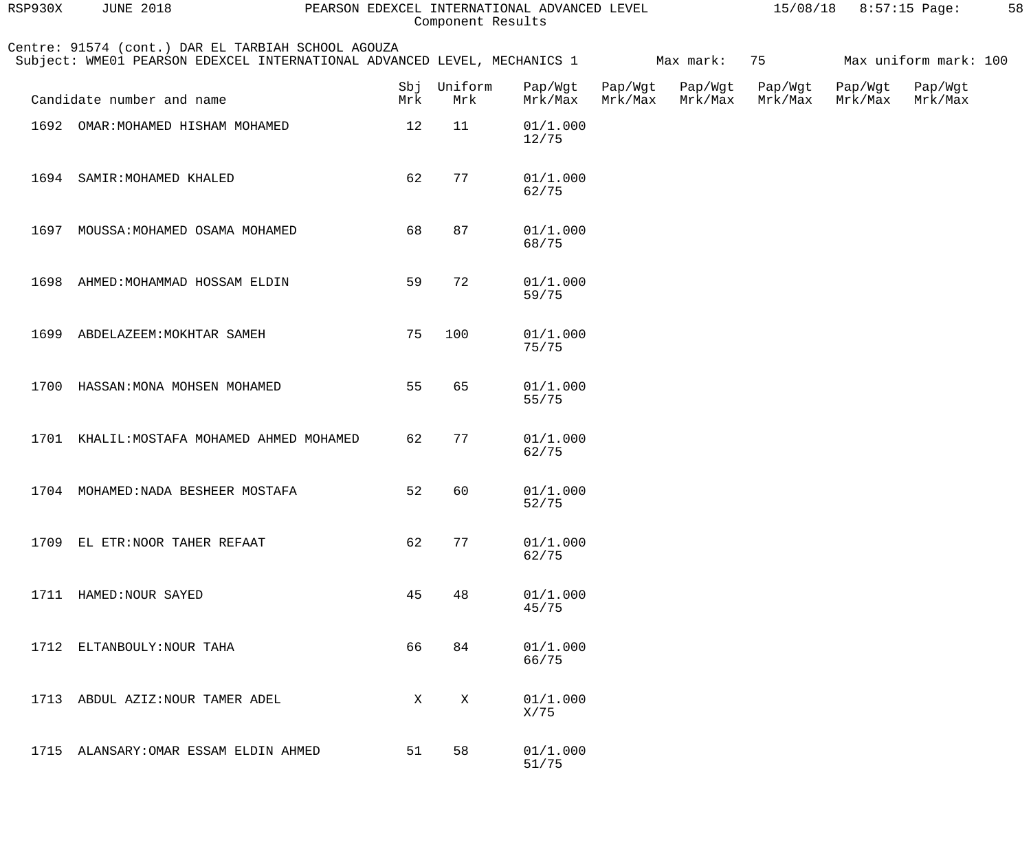| RSP930X | <b>JUNE 2018</b>                                                                                                               | PEARSON EDEXCEL INTERNATIONAL ADVANCED LEVEL | Component Results |                    |                    |                    | 15/08/18           |                    | 8:57:15 Page:         | 58 |
|---------|--------------------------------------------------------------------------------------------------------------------------------|----------------------------------------------|-------------------|--------------------|--------------------|--------------------|--------------------|--------------------|-----------------------|----|
|         | Centre: 91574 (cont.) DAR EL TARBIAH SCHOOL AGOUZA<br>Subject: WME01 PEARSON EDEXCEL INTERNATIONAL ADVANCED LEVEL, MECHANICS 1 |                                              |                   |                    |                    | Max mark:          | 75                 |                    | Max uniform mark: 100 |    |
|         | Candidate number and name                                                                                                      | Sbj<br>Mrk                                   | Uniform<br>Mrk    | Pap/Wgt<br>Mrk/Max | Pap/Wgt<br>Mrk/Max | Pap/Wgt<br>Mrk/Max | Pap/Wgt<br>Mrk/Max | Pap/Wgt<br>Mrk/Max | Pap/Wgt<br>Mrk/Max    |    |
| 1692    | OMAR: MOHAMED HISHAM MOHAMED                                                                                                   | 12                                           | 11                | 01/1.000<br>12/75  |                    |                    |                    |                    |                       |    |
|         | 1694 SAMIR: MOHAMED KHALED                                                                                                     | 62                                           | 77                | 01/1.000<br>62/75  |                    |                    |                    |                    |                       |    |
| 1697    | MOUSSA: MOHAMED OSAMA MOHAMED                                                                                                  | 68                                           | 87                | 01/1.000<br>68/75  |                    |                    |                    |                    |                       |    |
|         | 1698 AHMED: MOHAMMAD HOSSAM ELDIN                                                                                              | 59                                           | 72                | 01/1.000<br>59/75  |                    |                    |                    |                    |                       |    |
|         | 1699 ABDELAZEEM: MOKHTAR SAMEH                                                                                                 | 75                                           | 100               | 01/1.000<br>75/75  |                    |                    |                    |                    |                       |    |
| 1700    | HASSAN: MONA MOHSEN MOHAMED                                                                                                    | 55                                           | 65                | 01/1.000<br>55/75  |                    |                    |                    |                    |                       |    |
|         | 1701 KHALIL: MOSTAFA MOHAMED AHMED MOHAMED                                                                                     | 62                                           | 77                | 01/1.000<br>62/75  |                    |                    |                    |                    |                       |    |
|         | 1704 MOHAMED: NADA BESHEER MOSTAFA                                                                                             | 52                                           | 60                | 01/1.000<br>52/75  |                    |                    |                    |                    |                       |    |
|         | 1709 EL ETR: NOOR TAHER REFAAT                                                                                                 | 62                                           | 77                | 01/1.000<br>62/75  |                    |                    |                    |                    |                       |    |
|         | 1711 HAMED: NOUR SAYED                                                                                                         | 45                                           | 48                | 01/1.000<br>45/75  |                    |                    |                    |                    |                       |    |
| 1712    | ELTANBOULY: NOUR TAHA                                                                                                          | 66                                           | 84                | 01/1.000<br>66/75  |                    |                    |                    |                    |                       |    |
| 1713    | ABDUL AZIZ: NOUR TAMER ADEL                                                                                                    | X                                            | $\mathbf X$       | 01/1.000<br>X/75   |                    |                    |                    |                    |                       |    |
|         | 1715 ALANSARY: OMAR ESSAM ELDIN AHMED                                                                                          | 51                                           | 58                | 01/1.000<br>51/75  |                    |                    |                    |                    |                       |    |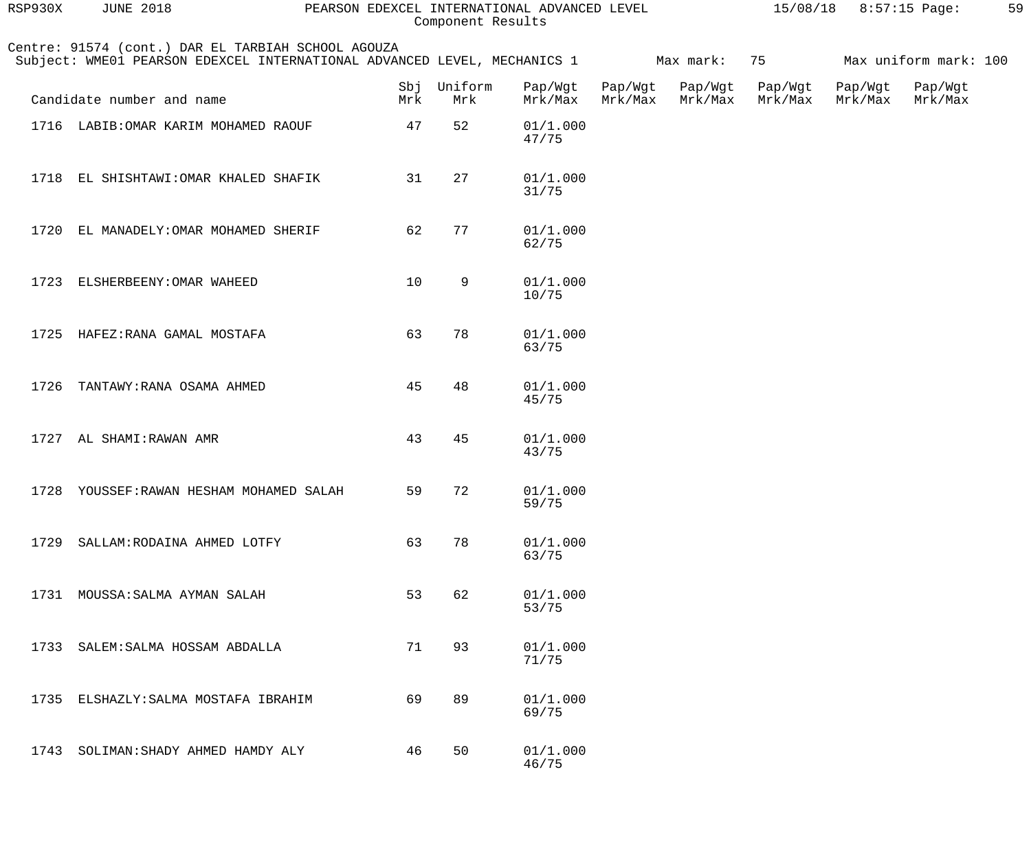| RSP930X | <b>JUNE 2018</b>                                                                                                               |     |                    | PEARSON EDEXCEL INTERNATIONAL ADVANCED LEVEL<br>Component Results |                    |                    |                    | 15/08/18 8:57:15 Page: |                       | 59 |
|---------|--------------------------------------------------------------------------------------------------------------------------------|-----|--------------------|-------------------------------------------------------------------|--------------------|--------------------|--------------------|------------------------|-----------------------|----|
|         | Centre: 91574 (cont.) DAR EL TARBIAH SCHOOL AGOUZA<br>Subject: WME01 PEARSON EDEXCEL INTERNATIONAL ADVANCED LEVEL, MECHANICS 1 |     |                    |                                                                   |                    | Max mark:          | 75                 |                        | Max uniform mark: 100 |    |
|         | Candidate number and name                                                                                                      | Mrk | Sbj Uniform<br>Mrk | Pap/Wgt<br>Mrk/Max                                                | Pap/Wgt<br>Mrk/Max | Pap/Wgt<br>Mrk/Max | Pap/Wgt<br>Mrk/Max | Pap/Wgt<br>Mrk/Max     | Pap/Wgt<br>Mrk/Max    |    |
|         | 1716 LABIB: OMAR KARIM MOHAMED RAOUF                                                                                           | 47  | 52                 | 01/1.000<br>47/75                                                 |                    |                    |                    |                        |                       |    |
|         | 1718 EL SHISHTAWI: OMAR KHALED SHAFIK                                                                                          | 31  | 27                 | 01/1.000<br>31/75                                                 |                    |                    |                    |                        |                       |    |
|         | 1720 EL MANADELY: OMAR MOHAMED SHERIF                                                                                          | 62  | 77                 | 01/1.000<br>62/75                                                 |                    |                    |                    |                        |                       |    |
|         | 1723 ELSHERBEENY: OMAR WAHEED                                                                                                  | 10  | 9                  | 01/1.000<br>10/75                                                 |                    |                    |                    |                        |                       |    |
|         | 1725 HAFEZ: RANA GAMAL MOSTAFA                                                                                                 | 63  | 78                 | 01/1.000<br>63/75                                                 |                    |                    |                    |                        |                       |    |
| 1726    | TANTAWY: RANA OSAMA AHMED                                                                                                      | 45  | 48                 | 01/1.000<br>45/75                                                 |                    |                    |                    |                        |                       |    |
|         | 1727 AL SHAMI: RAWAN AMR                                                                                                       | 43  | 45                 | 01/1.000<br>43/75                                                 |                    |                    |                    |                        |                       |    |
| 1728    | YOUSSEF:RAWAN HESHAM MOHAMED SALAH                                                                                             | 59  | 72                 | 01/1.000<br>59/75                                                 |                    |                    |                    |                        |                       |    |
| 1729    | SALLAM: RODAINA AHMED LOTFY                                                                                                    | 63  | 78                 | 01/1.000<br>63/75                                                 |                    |                    |                    |                        |                       |    |
| 1731    | MOUSSA: SALMA AYMAN SALAH                                                                                                      | 53  | 62                 | 01/1.000<br>53/75                                                 |                    |                    |                    |                        |                       |    |
| 1733    | SALEM: SALMA HOSSAM ABDALLA                                                                                                    | 71  | 93                 | 01/1.000<br>71/75                                                 |                    |                    |                    |                        |                       |    |
| 1735    | ELSHAZLY: SALMA MOSTAFA IBRAHIM                                                                                                | 69  | 89                 | 01/1.000<br>69/75                                                 |                    |                    |                    |                        |                       |    |
| 1743    | SOLIMAN: SHADY AHMED HAMDY ALY                                                                                                 | 46  | 50                 | 01/1.000<br>46/75                                                 |                    |                    |                    |                        |                       |    |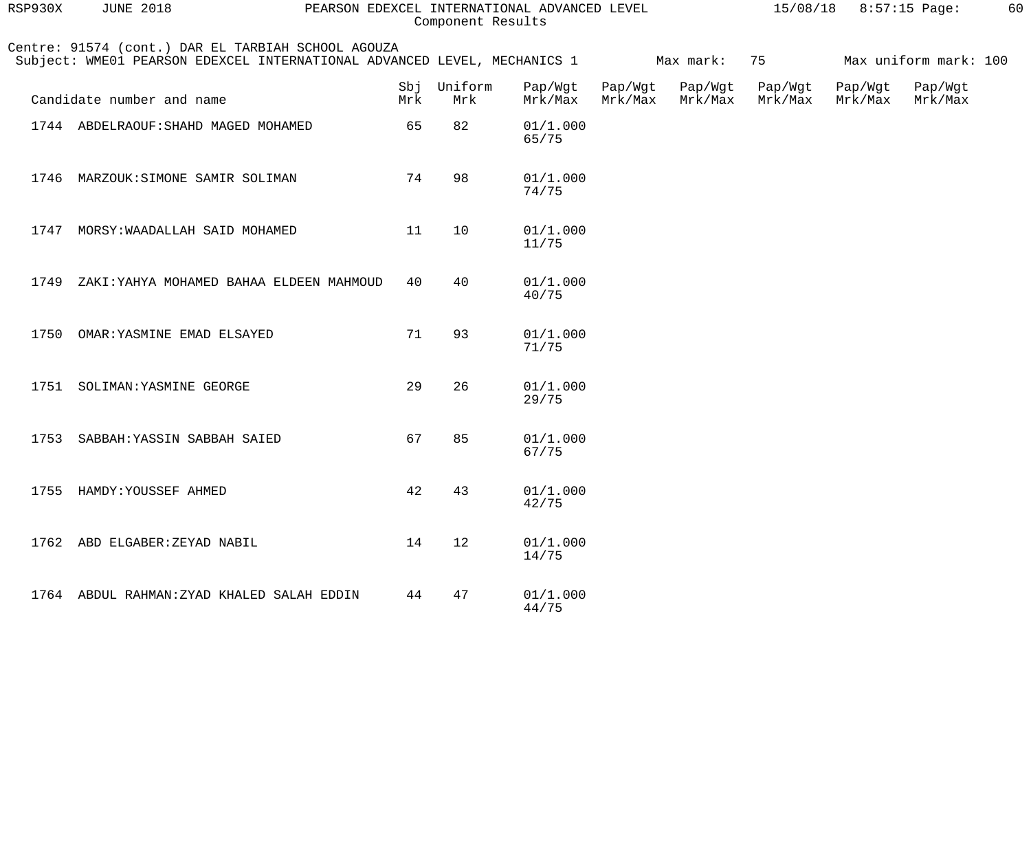| RSP930X | <b>JUNE 2018</b>                                                                                                               | PEARSON EDEXCEL INTERNATIONAL ADVANCED LEVEL |                | Component Results  |                    |                    |                    | $15/08/18$ 8:57:15 Page: |                       | 60 |
|---------|--------------------------------------------------------------------------------------------------------------------------------|----------------------------------------------|----------------|--------------------|--------------------|--------------------|--------------------|--------------------------|-----------------------|----|
|         | Centre: 91574 (cont.) DAR EL TARBIAH SCHOOL AGOUZA<br>Subject: WME01 PEARSON EDEXCEL INTERNATIONAL ADVANCED LEVEL, MECHANICS 1 |                                              |                |                    |                    | Max mark:          | 75                 |                          | Max uniform mark: 100 |    |
|         | Candidate number and name                                                                                                      | Sbj<br>Mrk                                   | Uniform<br>Mrk | Pap/Wgt<br>Mrk/Max | Pap/Wgt<br>Mrk/Max | Pap/Wgt<br>Mrk/Max | Pap/Wgt<br>Mrk/Max | Pap/Wgt<br>Mrk/Max       | Pap/Wgt<br>Mrk/Max    |    |
|         | 1744 ABDELRAOUF: SHAHD MAGED MOHAMED                                                                                           | 65                                           | 82             | 01/1.000<br>65/75  |                    |                    |                    |                          |                       |    |
| 1746    | MARZOUK: SIMONE SAMIR SOLIMAN                                                                                                  | 74                                           | 98             | 01/1.000<br>74/75  |                    |                    |                    |                          |                       |    |
| 1747    | MORSY: WAADALLAH SAID MOHAMED                                                                                                  | 11                                           | 10             | 01/1.000<br>11/75  |                    |                    |                    |                          |                       |    |
| 1749    | ZAKI: YAHYA MOHAMED BAHAA ELDEEN MAHMOUD                                                                                       | 40                                           | 40             | 01/1.000<br>40/75  |                    |                    |                    |                          |                       |    |
| 1750    | OMAR: YASMINE EMAD ELSAYED                                                                                                     | 71                                           | 93             | 01/1.000<br>71/75  |                    |                    |                    |                          |                       |    |
| 1751    | SOLIMAN: YASMINE GEORGE                                                                                                        | 29                                           | 26             | 01/1.000<br>29/75  |                    |                    |                    |                          |                       |    |
| 1753    | SABBAH: YASSIN SABBAH SAIED                                                                                                    | 67                                           | 85             | 01/1.000<br>67/75  |                    |                    |                    |                          |                       |    |
|         | 1755 HAMDY: YOUSSEF AHMED                                                                                                      | 42                                           | 43             | 01/1.000<br>42/75  |                    |                    |                    |                          |                       |    |
|         | 1762 ABD ELGABER: ZEYAD NABIL                                                                                                  | 14                                           | 12             | 01/1.000<br>14/75  |                    |                    |                    |                          |                       |    |
|         | 1764 ABDUL RAHMAN: ZYAD KHALED SALAH EDDIN                                                                                     | 44                                           | 47             | 01/1.000<br>44/75  |                    |                    |                    |                          |                       |    |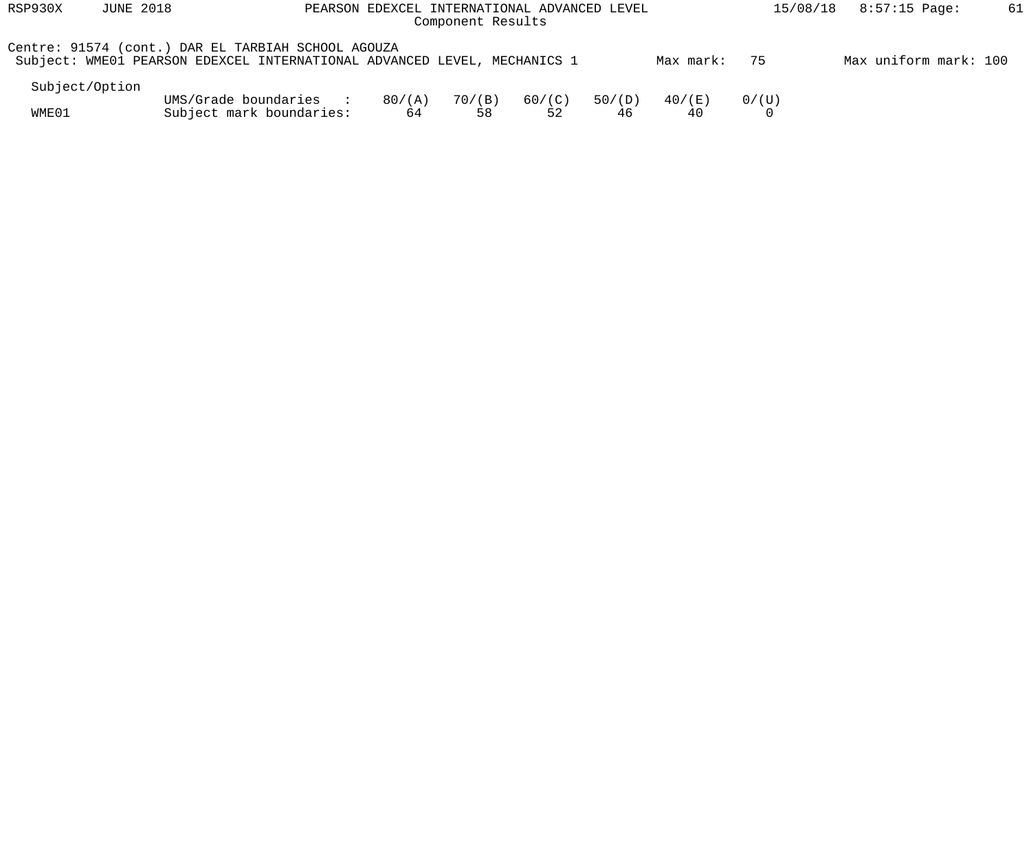| RSP930X        | <b>JUNE 2018</b> | PEARSON EDEXCEL INTERNATIONAL ADVANCED LEVEL                                                                                   | $8:57:15$ Page:<br>15/08/18 |              |              |              |              |                   |                       |  |
|----------------|------------------|--------------------------------------------------------------------------------------------------------------------------------|-----------------------------|--------------|--------------|--------------|--------------|-------------------|-----------------------|--|
|                |                  | Centre: 91574 (cont.) DAR EL TARBIAH SCHOOL AGOUZA<br>Subject: WME01 PEARSON EDEXCEL INTERNATIONAL ADVANCED LEVEL, MECHANICS 1 |                             |              |              |              | Max mark:    | 75                | Max uniform mark: 100 |  |
| Subject/Option |                  |                                                                                                                                |                             |              |              |              |              |                   |                       |  |
| WME01          |                  | UMS/Grade boundaries :<br>Subject mark boundaries:                                                                             | 80/(A)<br>64                | 70/(B)<br>58 | 60/(C)<br>52 | 50/(D)<br>46 | 40/(E)<br>40 | 0/(U)<br>$\Omega$ |                       |  |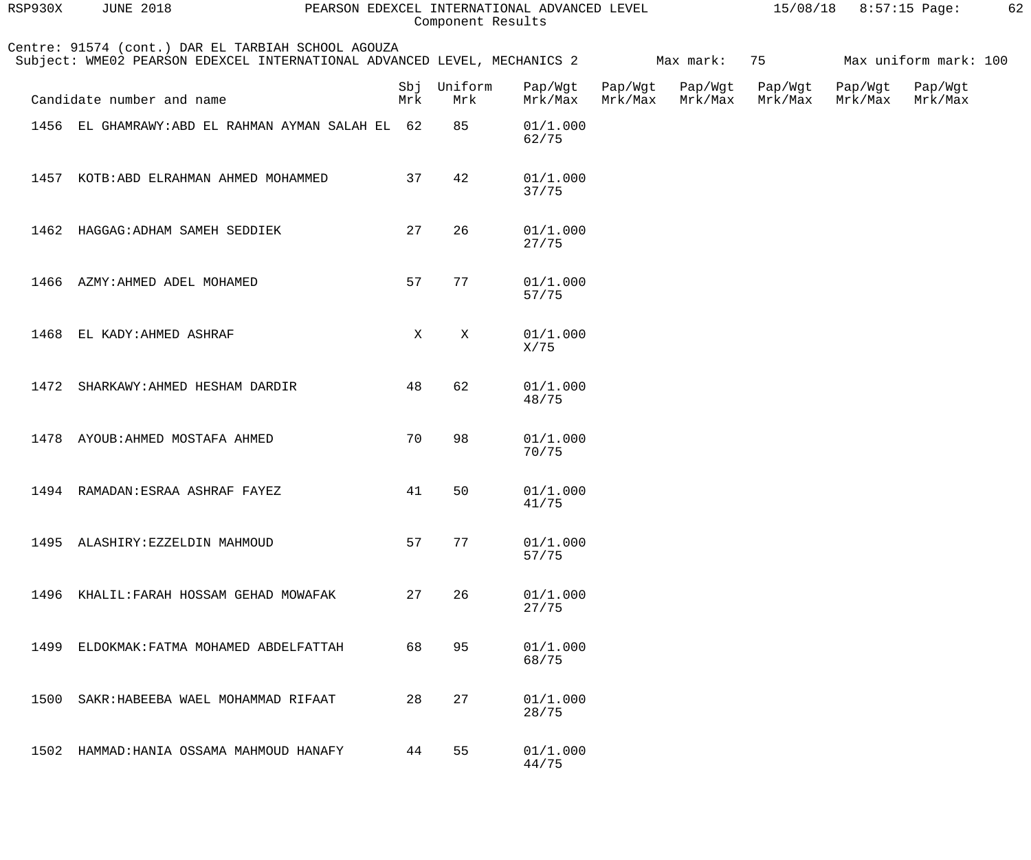| RSP930X | <b>JUNE 2018</b>                                                                                                               | PEARSON EDEXCEL INTERNATIONAL ADVANCED LEVEL | Component Results |                    | 15/08/18<br>$8:57:15$ Page: |                    |                    | 62                 |                       |  |
|---------|--------------------------------------------------------------------------------------------------------------------------------|----------------------------------------------|-------------------|--------------------|-----------------------------|--------------------|--------------------|--------------------|-----------------------|--|
|         | Centre: 91574 (cont.) DAR EL TARBIAH SCHOOL AGOUZA<br>Subject: WME02 PEARSON EDEXCEL INTERNATIONAL ADVANCED LEVEL, MECHANICS 2 |                                              |                   |                    |                             | Max mark:          | 75                 |                    | Max uniform mark: 100 |  |
|         | Candidate number and name                                                                                                      | Sbj<br>Mrk                                   | Uniform<br>Mrk    | Pap/Wgt<br>Mrk/Max | Pap/Wgt<br>Mrk/Max          | Pap/Wgt<br>Mrk/Max | Pap/Wgt<br>Mrk/Max | Pap/Wgt<br>Mrk/Max | Pap/Wgt<br>Mrk/Max    |  |
|         | 1456 EL GHAMRAWY: ABD EL RAHMAN AYMAN SALAH EL 62                                                                              |                                              | 85                | 01/1.000<br>62/75  |                             |                    |                    |                    |                       |  |
| 1457    | KOTB: ABD ELRAHMAN AHMED MOHAMMED                                                                                              | 37                                           | 42                | 01/1.000<br>37/75  |                             |                    |                    |                    |                       |  |
| 1462    | HAGGAG: ADHAM SAMEH SEDDIEK                                                                                                    | 27                                           | 26                | 01/1.000<br>27/75  |                             |                    |                    |                    |                       |  |
| 1466    | AZMY: AHMED ADEL MOHAMED                                                                                                       | 57                                           | 77                | 01/1.000<br>57/75  |                             |                    |                    |                    |                       |  |
| 1468    | EL KADY: AHMED ASHRAF                                                                                                          | X                                            | X                 | 01/1.000<br>X/75   |                             |                    |                    |                    |                       |  |
| 1472    | SHARKAWY: AHMED HESHAM DARDIR                                                                                                  | 48                                           | 62                | 01/1.000<br>48/75  |                             |                    |                    |                    |                       |  |
| 1478    | AYOUB: AHMED MOSTAFA AHMED                                                                                                     | 70                                           | 98                | 01/1.000<br>70/75  |                             |                    |                    |                    |                       |  |
|         | 1494 RAMADAN: ESRAA ASHRAF FAYEZ                                                                                               |                                              | 41 50             | 01/1.000<br>41/75  |                             |                    |                    |                    |                       |  |
|         | 1495 ALASHIRY: EZZELDIN MAHMOUD                                                                                                | 57                                           | 77                | 01/1.000<br>57/75  |                             |                    |                    |                    |                       |  |
|         | 1496 KHALIL: FARAH HOSSAM GEHAD MOWAFAK                                                                                        | 27                                           | 26                | 01/1.000<br>27/75  |                             |                    |                    |                    |                       |  |
| 1499    | ELDOKMAK: FATMA MOHAMED ABDELFATTAH                                                                                            | 68                                           | 95                | 01/1.000<br>68/75  |                             |                    |                    |                    |                       |  |
| 1500    | SAKR: HABEEBA WAEL MOHAMMAD RIFAAT                                                                                             | 28                                           | 27                | 01/1.000<br>28/75  |                             |                    |                    |                    |                       |  |
|         | 1502 HAMMAD: HANIA OSSAMA MAHMOUD HANAFY                                                                                       | 44                                           | 55                | 01/1.000<br>44/75  |                             |                    |                    |                    |                       |  |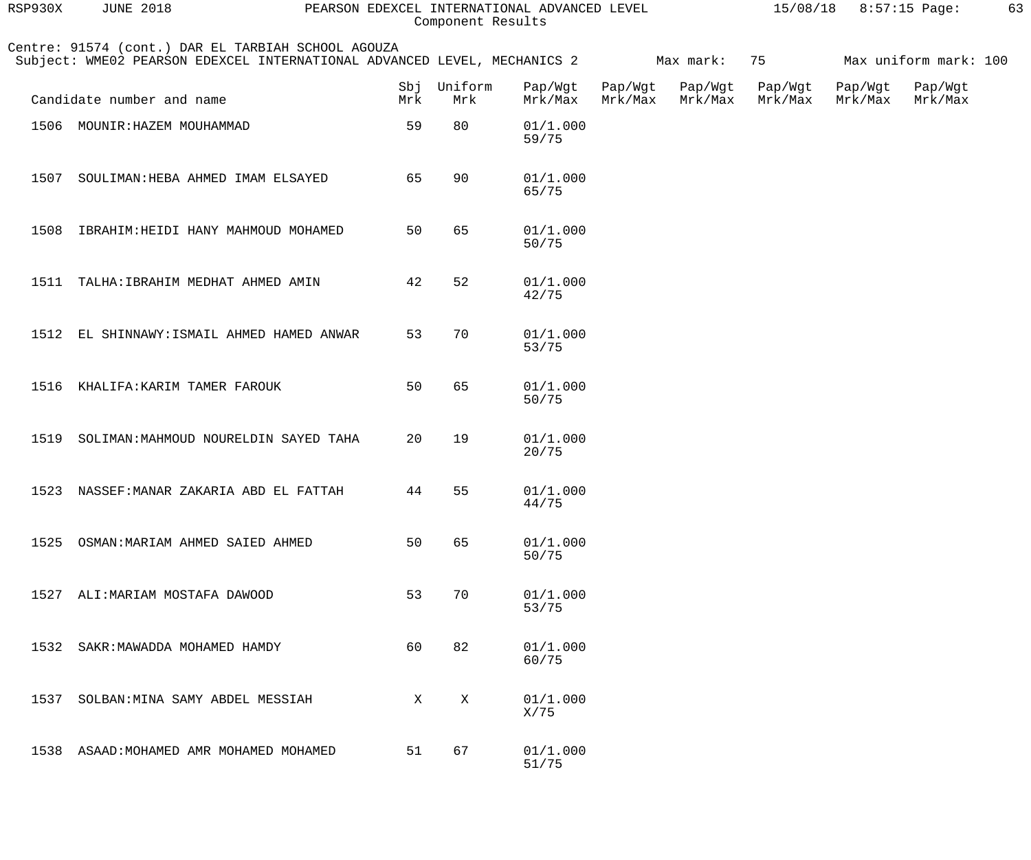| RSP930X | <b>JUNE 2018</b><br>PEARSON EDEXCEL INTERNATIONAL ADVANCED LEVEL                                                               |              | 15/08/18<br>8:57:15 Page: |                    |                    |                    |                    |                    |                       |  |
|---------|--------------------------------------------------------------------------------------------------------------------------------|--------------|---------------------------|--------------------|--------------------|--------------------|--------------------|--------------------|-----------------------|--|
|         | Centre: 91574 (cont.) DAR EL TARBIAH SCHOOL AGOUZA<br>Subject: WME02 PEARSON EDEXCEL INTERNATIONAL ADVANCED LEVEL, MECHANICS 2 |              |                           |                    |                    | Max mark:          | 75                 |                    | Max uniform mark: 100 |  |
|         | Candidate number and name                                                                                                      | Sbj<br>Mrk   | Uniform<br>Mrk            | Pap/Wgt<br>Mrk/Max | Pap/Wgt<br>Mrk/Max | Pap/Wgt<br>Mrk/Max | Pap/Wgt<br>Mrk/Max | Pap/Wgt<br>Mrk/Max | Pap/Wgt<br>Mrk/Max    |  |
|         | 1506 MOUNIR: HAZEM MOUHAMMAD                                                                                                   | 59           | 80                        | 01/1.000<br>59/75  |                    |                    |                    |                    |                       |  |
| 1507    | SOULIMAN: HEBA AHMED IMAM ELSAYED                                                                                              | 65           | 90                        | 01/1.000<br>65/75  |                    |                    |                    |                    |                       |  |
| 1508    | IBRAHIM: HEIDI HANY MAHMOUD MOHAMED                                                                                            | 50           | 65                        | 01/1.000<br>50/75  |                    |                    |                    |                    |                       |  |
|         | 1511 TALHA: IBRAHIM MEDHAT AHMED AMIN                                                                                          | 42           | 52                        | 01/1.000<br>42/75  |                    |                    |                    |                    |                       |  |
|         | 1512 EL SHINNAWY: ISMAIL AHMED HAMED ANWAR                                                                                     | 53           | 70                        | 01/1.000<br>53/75  |                    |                    |                    |                    |                       |  |
|         | 1516 KHALIFA: KARIM TAMER FAROUK                                                                                               | 50           | 65                        | 01/1.000<br>50/75  |                    |                    |                    |                    |                       |  |
| 1519    | SOLIMAN: MAHMOUD NOURELDIN SAYED TAHA                                                                                          | 20           | 19                        | 01/1.000<br>20/75  |                    |                    |                    |                    |                       |  |
|         | 1523 NASSEF: MANAR ZAKARIA ABD EL FATTAH                                                                                       |              | 44 55                     | 01/1.000<br>44/75  |                    |                    |                    |                    |                       |  |
|         | 1525 OSMAN: MARIAM AHMED SAIED AHMED                                                                                           | 50           | 65                        | 01/1.000<br>50/75  |                    |                    |                    |                    |                       |  |
|         | 1527 ALI: MARIAM MOSTAFA DAWOOD                                                                                                | 53           | 70                        | 01/1.000<br>53/75  |                    |                    |                    |                    |                       |  |
|         | 1532 SAKR: MAWADDA MOHAMED HAMDY                                                                                               | 60           | 82                        | 01/1.000<br>60/75  |                    |                    |                    |                    |                       |  |
|         | 1537 SOLBAN: MINA SAMY ABDEL MESSIAH                                                                                           | $\mathbf{X}$ | X                         | 01/1.000<br>X/75   |                    |                    |                    |                    |                       |  |
|         | 1538 ASAAD: MOHAMED AMR MOHAMED MOHAMED                                                                                        | 51           | 67                        | 01/1.000<br>51/75  |                    |                    |                    |                    |                       |  |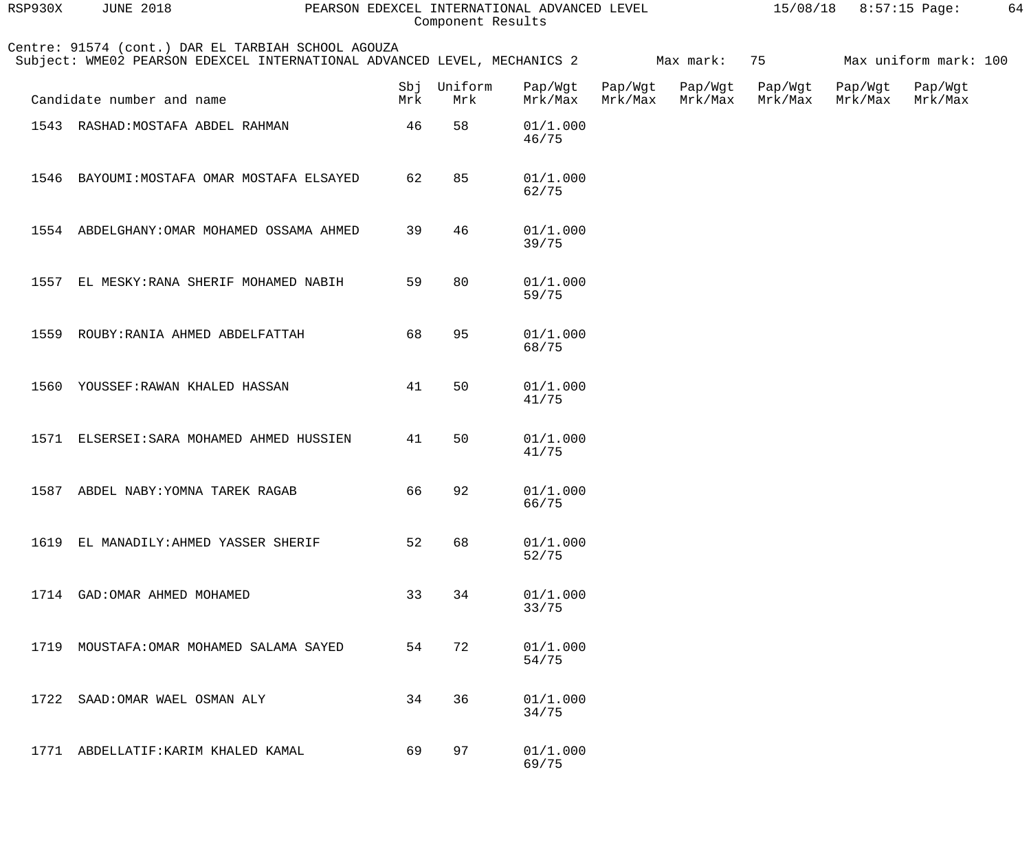| RSP930X | <b>JUNE 2018</b>                                                                                                               | PEARSON EDEXCEL INTERNATIONAL ADVANCED LEVEL<br>Component Results |                |                    |                    |                    |                    | 15/08/18 8:57:15 Page:<br>64 |                       |  |  |
|---------|--------------------------------------------------------------------------------------------------------------------------------|-------------------------------------------------------------------|----------------|--------------------|--------------------|--------------------|--------------------|------------------------------|-----------------------|--|--|
|         | Centre: 91574 (cont.) DAR EL TARBIAH SCHOOL AGOUZA<br>Subject: WME02 PEARSON EDEXCEL INTERNATIONAL ADVANCED LEVEL, MECHANICS 2 |                                                                   |                |                    |                    | Max mark:          | 75                 |                              | Max uniform mark: 100 |  |  |
|         | Candidate number and name                                                                                                      | Sbj<br>Mrk                                                        | Uniform<br>Mrk | Pap/Wgt<br>Mrk/Max | Pap/Wgt<br>Mrk/Max | Pap/Wgt<br>Mrk/Max | Pap/Wgt<br>Mrk/Max | Pap/Wgt<br>Mrk/Max           | Pap/Wgt<br>Mrk/Max    |  |  |
|         | 1543 RASHAD: MOSTAFA ABDEL RAHMAN                                                                                              | 46                                                                | 58             | 01/1.000<br>46/75  |                    |                    |                    |                              |                       |  |  |
| 1546    | BAYOUMI: MOSTAFA OMAR MOSTAFA ELSAYED                                                                                          | 62                                                                | 85             | 01/1.000<br>62/75  |                    |                    |                    |                              |                       |  |  |
|         | 1554 ABDELGHANY: OMAR MOHAMED OSSAMA AHMED                                                                                     | 39                                                                | 46             | 01/1.000<br>39/75  |                    |                    |                    |                              |                       |  |  |
| 1557    | EL MESKY: RANA SHERIF MOHAMED NABIH                                                                                            | 59                                                                | 80             | 01/1.000<br>59/75  |                    |                    |                    |                              |                       |  |  |
| 1559    | ROUBY: RANIA AHMED ABDELFATTAH                                                                                                 | 68                                                                | 95             | 01/1.000<br>68/75  |                    |                    |                    |                              |                       |  |  |
| 1560    | YOUSSEF: RAWAN KHALED HASSAN                                                                                                   | 41                                                                | 50             | 01/1.000<br>41/75  |                    |                    |                    |                              |                       |  |  |
|         | 1571 ELSERSEI: SARA MOHAMED AHMED HUSSIEN                                                                                      | 41                                                                | 50             | 01/1.000<br>41/75  |                    |                    |                    |                              |                       |  |  |
|         | 1587 ABDEL NABY: YOMNA TAREK RAGAB                                                                                             | 66                                                                | 92             | 01/1.000<br>66/75  |                    |                    |                    |                              |                       |  |  |
| 1619    | EL MANADILY: AHMED YASSER SHERIF                                                                                               | 52                                                                | 68             | 01/1.000<br>52/75  |                    |                    |                    |                              |                       |  |  |
| 1714    | GAD: OMAR AHMED MOHAMED                                                                                                        | 33                                                                | 34             | 01/1.000<br>33/75  |                    |                    |                    |                              |                       |  |  |
| 1719    | MOUSTAFA: OMAR MOHAMED SALAMA SAYED                                                                                            | 54                                                                | 72             | 01/1.000<br>54/75  |                    |                    |                    |                              |                       |  |  |
| 1722    | SAAD: OMAR WAEL OSMAN ALY                                                                                                      | 34                                                                | 36             | 01/1.000<br>34/75  |                    |                    |                    |                              |                       |  |  |
|         | 1771 ABDELLATIF: KARIM KHALED KAMAL                                                                                            | 69                                                                | 97             | 01/1.000<br>69/75  |                    |                    |                    |                              |                       |  |  |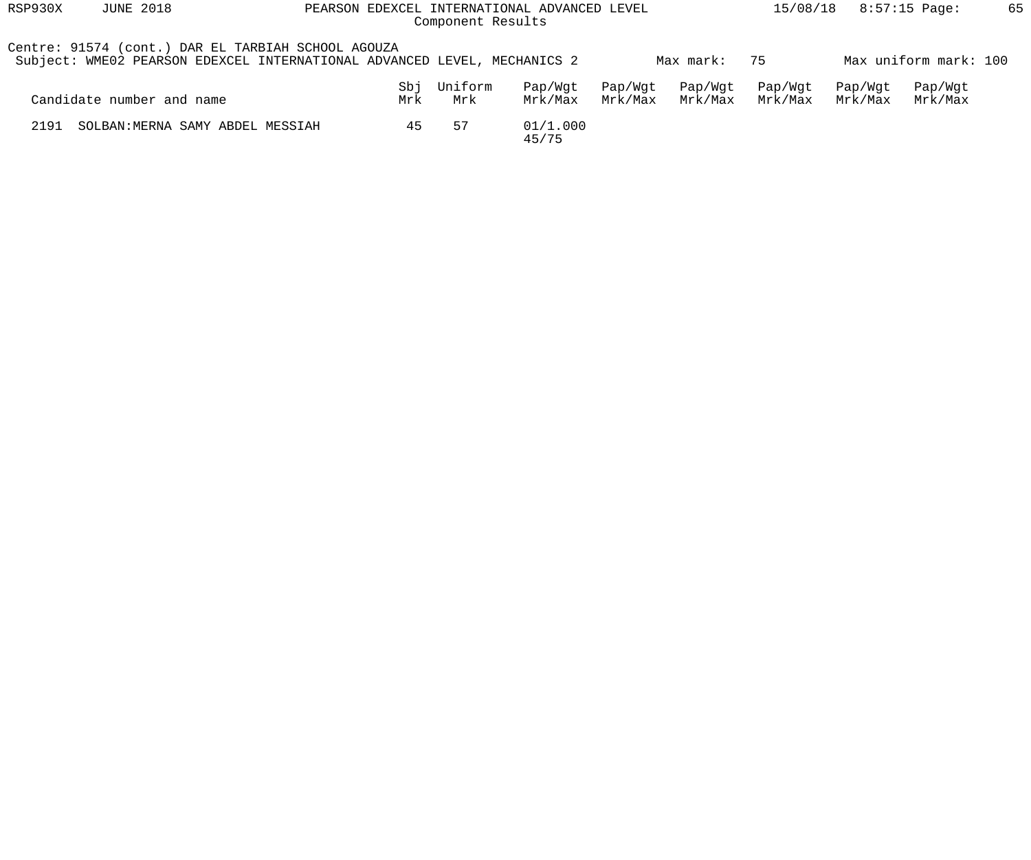| RSP930X | <b>JUNE 2018</b>                                                                                                               | PEARSON EDEXCEL INTERNATIONAL ADVANCED LEVEL<br>Component Results |                |                    |                    |                    |                    |                    |                       | 65 |
|---------|--------------------------------------------------------------------------------------------------------------------------------|-------------------------------------------------------------------|----------------|--------------------|--------------------|--------------------|--------------------|--------------------|-----------------------|----|
|         | Centre: 91574 (cont.) DAR EL TARBIAH SCHOOL AGOUZA<br>Subject: WME02 PEARSON EDEXCEL INTERNATIONAL ADVANCED LEVEL, MECHANICS 2 |                                                                   |                |                    |                    | Max mark:          | 75                 |                    | Max uniform mark: 100 |    |
|         | Candidate number and name                                                                                                      | Sbj<br>Mrk                                                        | Uniform<br>Mrk | Pap/Wqt<br>Mrk/Max | Pap/Wgt<br>Mrk/Max | Pap/Wgt<br>Mrk/Max | Pap/Wgt<br>Mrk/Max | Pap/Wqt<br>Mrk/Max | Pap/Wgt<br>Mrk/Max    |    |
| 2191    | SOLBAN: MERNA SAMY ABDEL MESSIAH                                                                                               | 45                                                                | 57             | 01/1.000<br>45/75  |                    |                    |                    |                    |                       |    |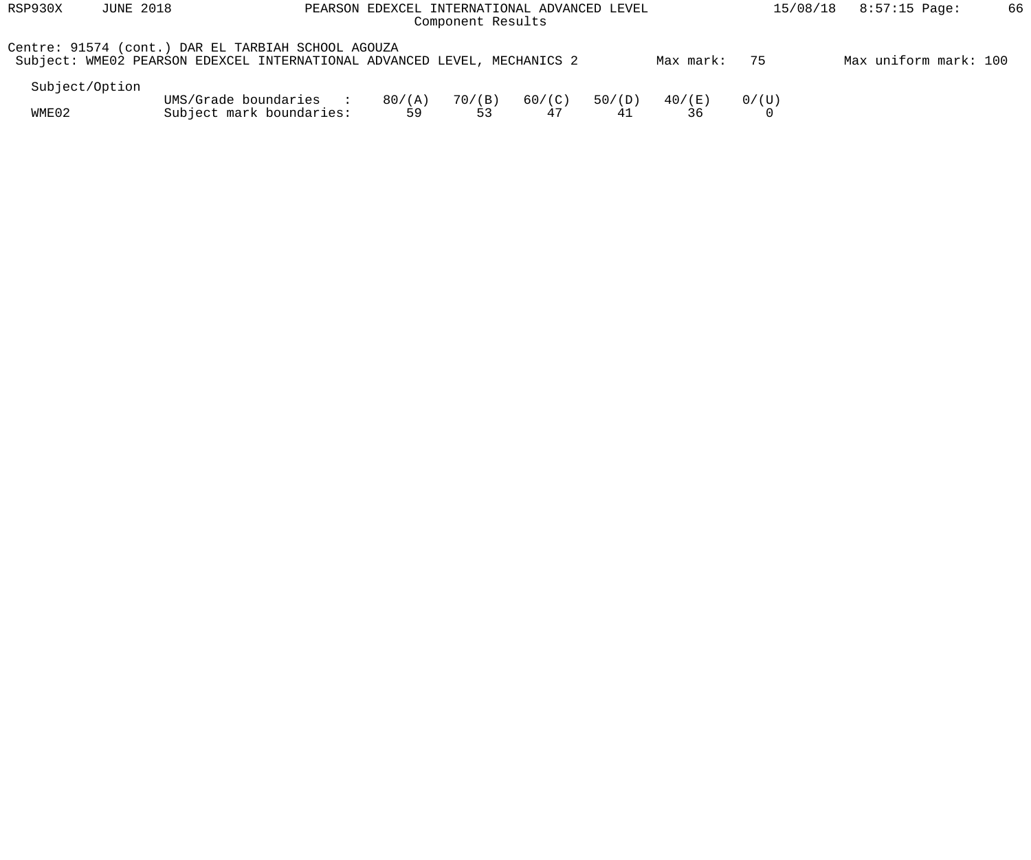| RSP930X | <b>JUNE 2018</b> | PEARSON EDEXCEL INTERNATIONAL ADVANCED LEVEL                                                                                   | 15/08/18     | $8:57:15$ Page: | 66           |              |              |       |                       |  |
|---------|------------------|--------------------------------------------------------------------------------------------------------------------------------|--------------|-----------------|--------------|--------------|--------------|-------|-----------------------|--|
|         |                  | Centre: 91574 (cont.) DAR EL TARBIAH SCHOOL AGOUZA<br>Subject: WME02 PEARSON EDEXCEL INTERNATIONAL ADVANCED LEVEL, MECHANICS 2 |              |                 |              |              | Max mark:    | 75    | Max uniform mark: 100 |  |
|         | Subject/Option   |                                                                                                                                |              |                 |              |              |              |       |                       |  |
| WME02   |                  | UMS/Grade boundaries<br><b>Contract Contract Street</b><br>Subject mark boundaries:                                            | 80/(A)<br>59 | 70/(B)<br>53    | 60/(C)<br>47 | 50/(D)<br>41 | 40/(E)<br>36 | 0/(U) |                       |  |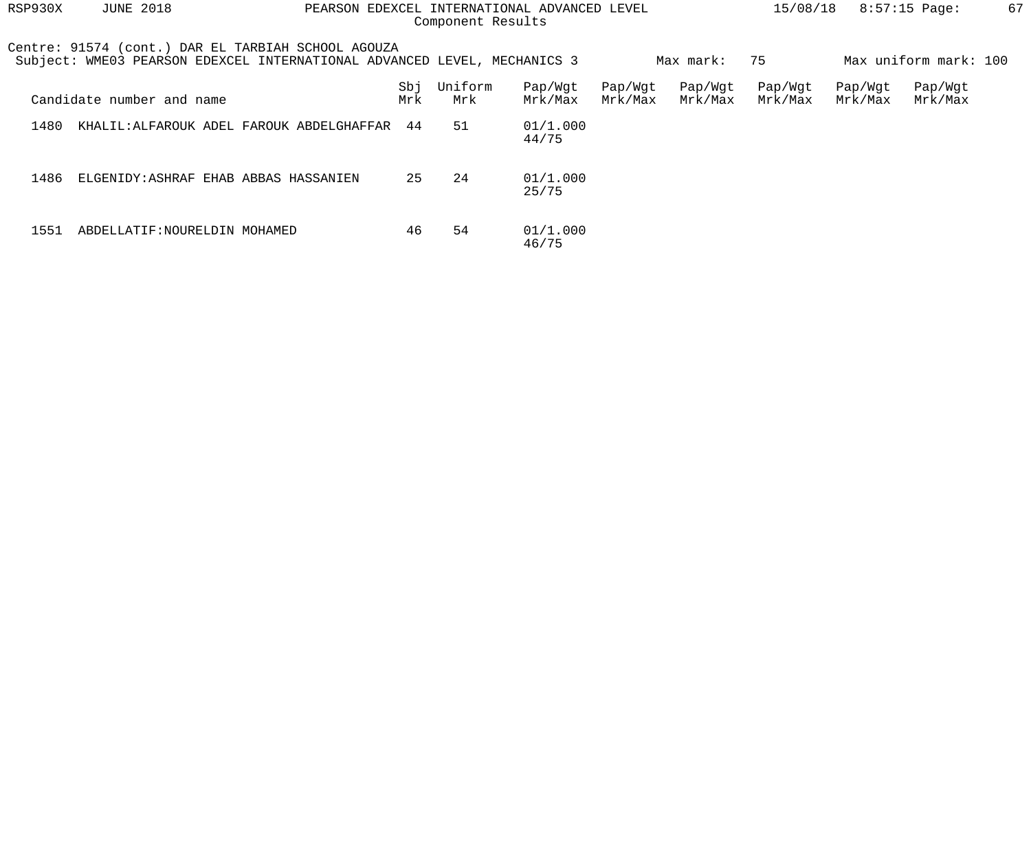| RSP930X | <b>JUNE 2018</b>              | PEARSON EDEXCEL INTERNATIONAL ADVANCED LEVEL                                                                                   | 67<br>15/08/18<br>$8:57:15$ Page: |                |                    |                    |                    |                    |                    |                       |  |
|---------|-------------------------------|--------------------------------------------------------------------------------------------------------------------------------|-----------------------------------|----------------|--------------------|--------------------|--------------------|--------------------|--------------------|-----------------------|--|
|         |                               | Centre: 91574 (cont.) DAR EL TARBIAH SCHOOL AGOUZA<br>Subject: WME03 PEARSON EDEXCEL INTERNATIONAL ADVANCED LEVEL, MECHANICS 3 |                                   |                |                    |                    | Max mark:          | 75                 |                    | Max uniform mark: 100 |  |
|         | Candidate number and name     |                                                                                                                                | Sbj<br>Mrk                        | Uniform<br>Mrk | Pap/Wgt<br>Mrk/Max | Pap/Wgt<br>Mrk/Max | Pap/Wgt<br>Mrk/Max | Pap/Wgt<br>Mrk/Max | Pap/Wgt<br>Mrk/Max | Pap/Wgt<br>Mrk/Max    |  |
| 1480    |                               | KHALIL:ALFAROUK ADEL FAROUK ABDELGHAFFAR                                                                                       | 44                                | 51             | 01/1.000<br>44/75  |                    |                    |                    |                    |                       |  |
| 1486    |                               | ELGENIDY: ASHRAF EHAB ABBAS HASSANIEN                                                                                          | 25                                | 24             | 01/1.000<br>25/75  |                    |                    |                    |                    |                       |  |
| 1551    | ABDELLATIF: NOURELDIN MOHAMED |                                                                                                                                | 46                                | 54             | 01/1.000<br>46/75  |                    |                    |                    |                    |                       |  |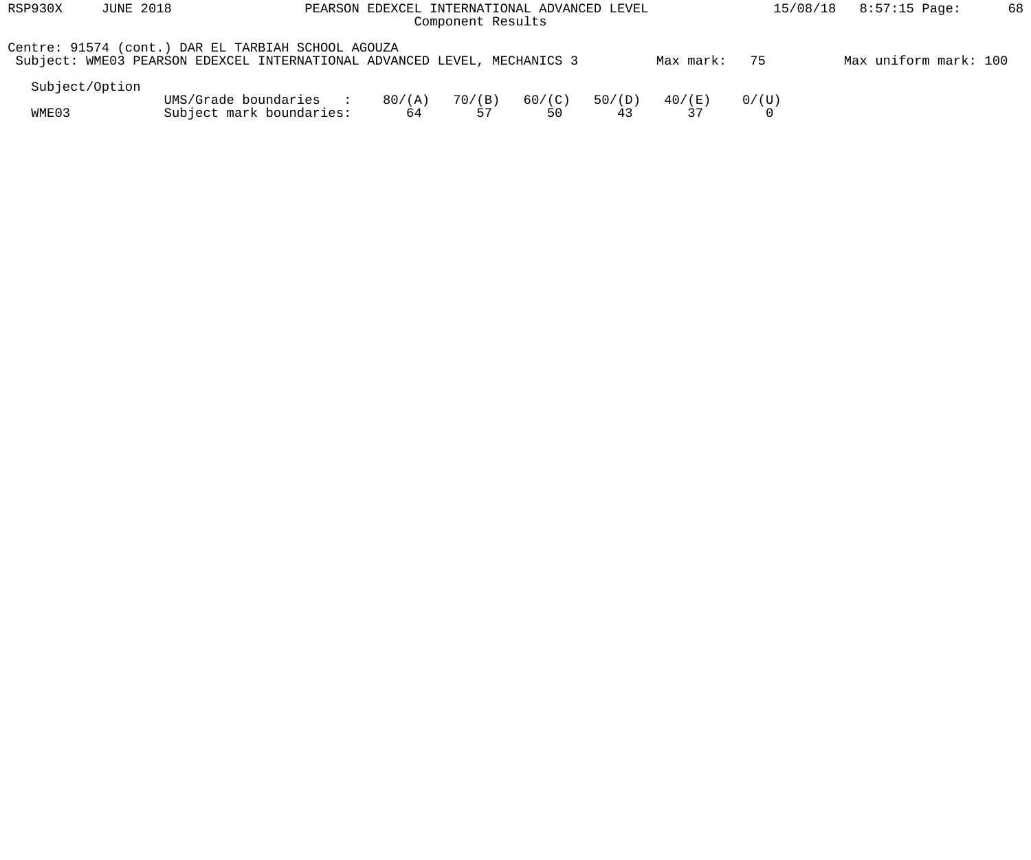| RSP930X                                                                                                                        | <b>JUNE 2018</b>      | PEARSON EDEXCEL INTERNATIONAL ADVANCED LEVEL                                        | 15/08/18     | 8:57:15 Page: | 68           |              |              |            |  |  |
|--------------------------------------------------------------------------------------------------------------------------------|-----------------------|-------------------------------------------------------------------------------------|--------------|---------------|--------------|--------------|--------------|------------|--|--|
| Centre: 91574 (cont.) DAR EL TARBIAH SCHOOL AGOUZA<br>Subject: WME03 PEARSON EDEXCEL INTERNATIONAL ADVANCED LEVEL, MECHANICS 3 | Max uniform mark: 100 |                                                                                     |              |               |              |              |              |            |  |  |
| Subject/Option                                                                                                                 |                       |                                                                                     |              |               |              |              |              |            |  |  |
| WME03                                                                                                                          |                       | UMS/Grade boundaries<br><b>Contract Contract Street</b><br>Subject mark boundaries: | 80/(A)<br>64 | 70/(B)<br>57  | 60/(C)<br>50 | 50/(D)<br>43 | 40/(E)<br>37 | $0/$ ( U ) |  |  |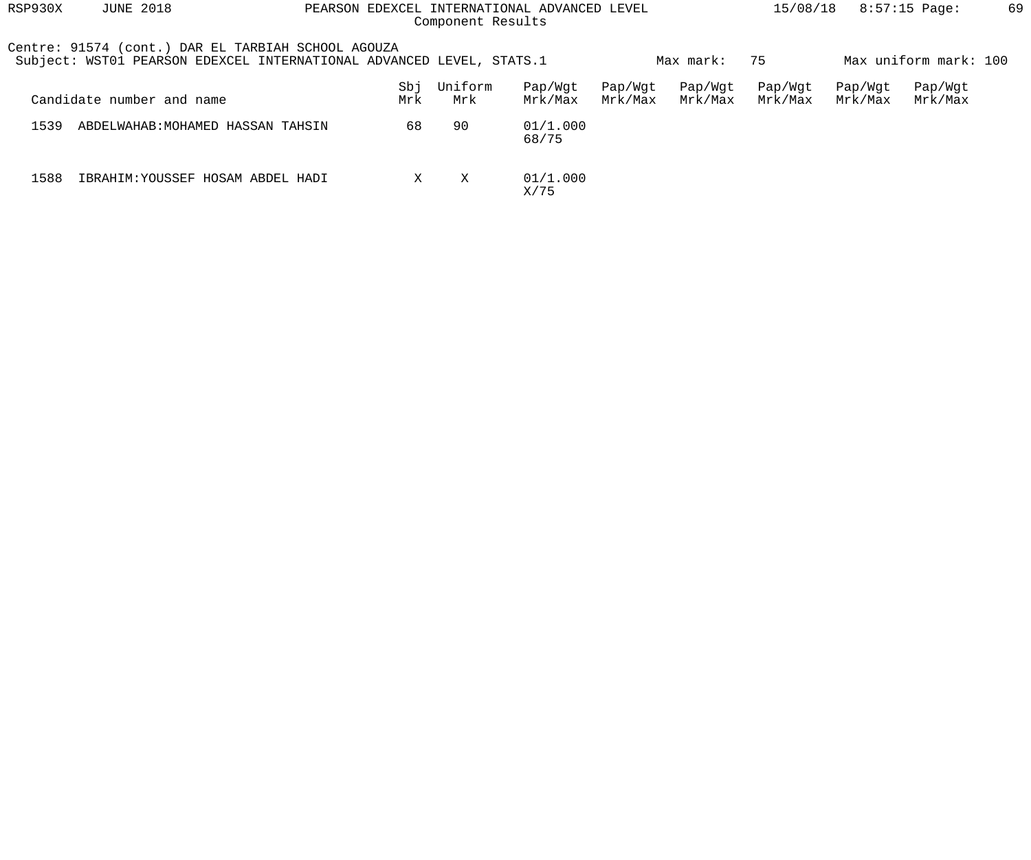| RSP930X | <b>JUNE 2018</b>                                                                                                           |            | Component Results | PEARSON EDEXCEL INTERNATIONAL ADVANCED LEVEL | 15/08/18<br>$8:57:15$ Page: |                    |                    |                    |                       |  |
|---------|----------------------------------------------------------------------------------------------------------------------------|------------|-------------------|----------------------------------------------|-----------------------------|--------------------|--------------------|--------------------|-----------------------|--|
|         | Centre: 91574 (cont.) DAR EL TARBIAH SCHOOL AGOUZA<br>Subject: WST01 PEARSON EDEXCEL INTERNATIONAL ADVANCED LEVEL, STATS.1 |            |                   |                                              |                             | Max mark:          | 75                 |                    | Max uniform mark: 100 |  |
|         | Candidate number and name                                                                                                  | Sbj<br>Mrk | Uniform<br>Mrk    | Pap/Wqt<br>Mrk/Max                           | Pap/Wgt<br>Mrk/Max          | Pap/Wgt<br>Mrk/Max | Pap/Wgt<br>Mrk/Max | Pap/Wqt<br>Mrk/Max | Pap/Wgt<br>Mrk/Max    |  |
| 1539    | ABDELWAHAB: MOHAMED HASSAN TAHSIN                                                                                          | 68         | 90                | 01/1.000<br>68/75                            |                             |                    |                    |                    |                       |  |
| 1588    | IBRAHIM: YOUSSEF HOSAM ABDEL HADI                                                                                          | X          | X                 | 01/1.000<br>X/75                             |                             |                    |                    |                    |                       |  |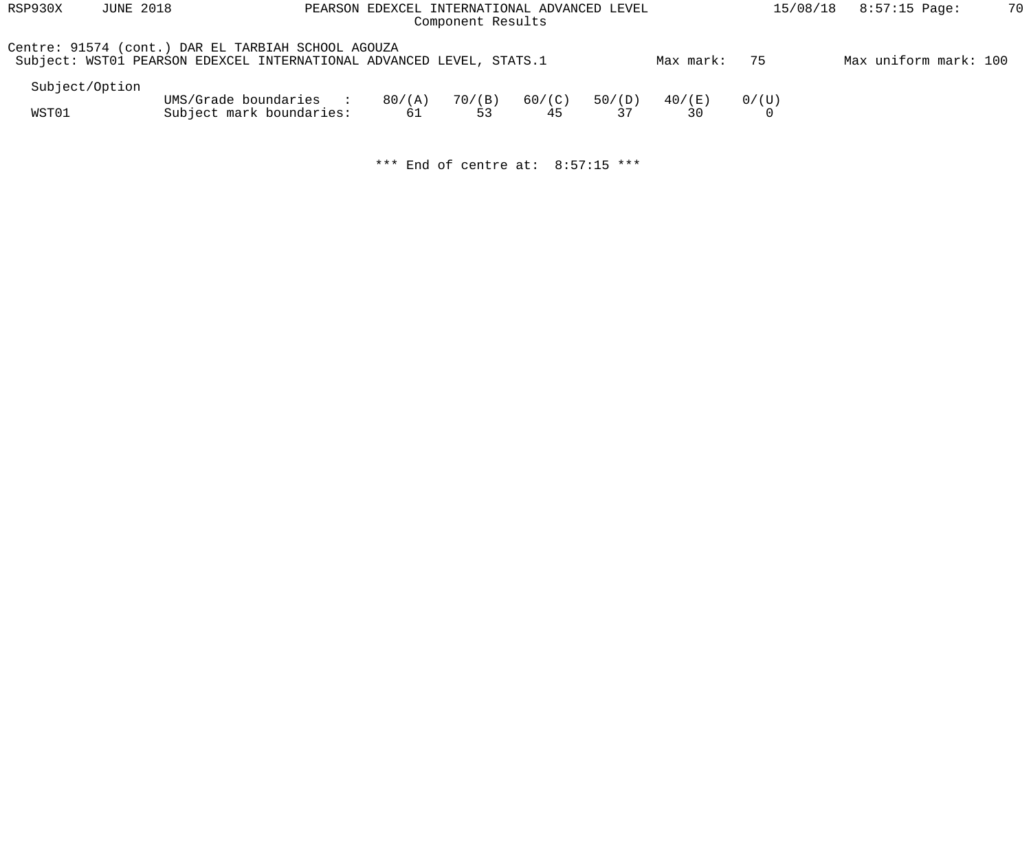| RSP930X        | <b>JUNE 2018</b>                                                                                                           |                          | PEARSON EDEXCEL INTERNATIONAL ADVANCED LEVEL<br>Component Results | 15/08/18 | $8:57:15$ Page: | 70     |           |       |                       |  |
|----------------|----------------------------------------------------------------------------------------------------------------------------|--------------------------|-------------------------------------------------------------------|----------|-----------------|--------|-----------|-------|-----------------------|--|
|                | Centre: 91574 (cont.) DAR EL TARBIAH SCHOOL AGOUZA<br>Subject: WST01 PEARSON EDEXCEL INTERNATIONAL ADVANCED LEVEL, STATS.1 |                          |                                                                   |          |                 |        | Max mark: | 75    | Max uniform mark: 100 |  |
| Subject/Option |                                                                                                                            |                          |                                                                   |          |                 |        |           |       |                       |  |
|                |                                                                                                                            | UMS/Grade boundaries     | 80/(A)                                                            | 70/(B)   | 60/(C)          | 50/(D) | 40/(E)    | 0/(U) |                       |  |
| WST01          |                                                                                                                            | Subject mark boundaries: | 61                                                                | 53       | 45              | 37     | 30        |       |                       |  |

\*\*\* End of centre at: 8:57:15 \*\*\*